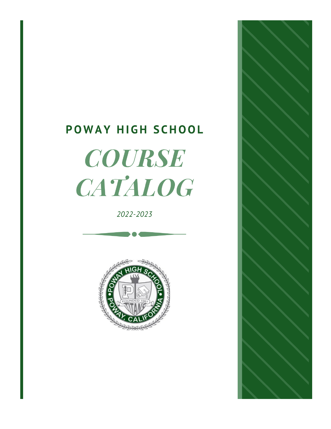# POWAY HIGH SCHOOL **COURSE** CATALOG

2022-2023



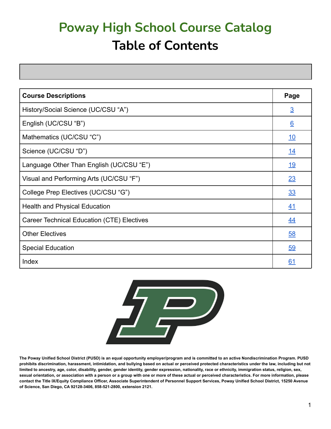# **Poway High School Course Catalog Table of Contents**

| <b>Course Descriptions</b>                 | Page           |
|--------------------------------------------|----------------|
| History/Social Science (UC/CSU "A")        | $\overline{3}$ |
| English (UC/CSU "B")                       | 6              |
| Mathematics (UC/CSU "C")                   | <u>10</u>      |
| Science (UC/CSU "D")                       | <u> 14</u>     |
| Language Other Than English (UC/CSU "E")   | <u>19</u>      |
| Visual and Performing Arts (UC/CSU "F")    | 23             |
| College Prep Electives (UC/CSU "G")        | 33             |
| <b>Health and Physical Education</b>       | 41             |
| Career Technical Education (CTE) Electives | <u>44</u>      |
| <b>Other Electives</b>                     | 58             |
| <b>Special Education</b>                   | 59             |
| Index                                      | 61             |



**The Poway Unified School District (PUSD) is an equal opportunity employer/program and is committed to an active Nondiscrimination Program. PUSD prohibits discrimination, harassment, intimidation, and bullying based on actual or perceived protected characteristics under the law, including but not limited to ancestry, age, color, disability, gender, gender identity, gender expression, nationality, race or ethnicity, immigration status, religion, sex, sexual orientation, or association with a person or a group with one or more of these actual or perceived characteristics. For more information, please contact the Title IX/Equity Compliance Officer, Associate Superintendent of Personnel Support Services, Poway Unified School District, 15250 Avenue of Science, San Diego, CA 92128-3406, 858-521-2800, extension 2121.**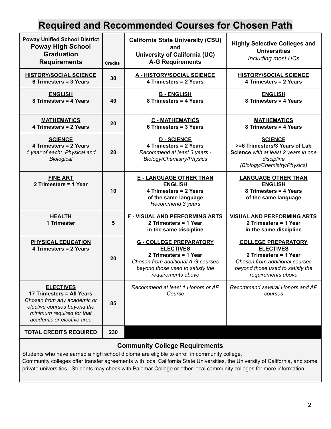### **Required and Recommended Courses for Chosen Path**

| <b>Poway Unified School District</b><br><b>Poway High School</b><br><b>Graduation</b><br><b>Requirements</b>                                                          | <b>Credits</b> | <b>California State University (CSU)</b><br>and<br><b>University of California (UC)</b><br><b>A-G Requirements</b>                                                          | <b>Highly Selective Colleges and</b><br><b>Universities</b><br><b>Including most UCs</b>                                                                            |
|-----------------------------------------------------------------------------------------------------------------------------------------------------------------------|----------------|-----------------------------------------------------------------------------------------------------------------------------------------------------------------------------|---------------------------------------------------------------------------------------------------------------------------------------------------------------------|
| <b>HISTORY/SOCIAL SCIENCE</b><br>6 Trimesters = 3 Years                                                                                                               | 30             | <b>A - HISTORY/SOCIAL SCIENCE</b><br>4 Trimesters = 2 Years                                                                                                                 | <b>HISTORY/SOCIAL SCIENCE</b><br>4 Trimesters = 2 Years                                                                                                             |
| <b>ENGLISH</b><br>8 Trimesters = 4 Years                                                                                                                              | 40             | <b>B-ENGLISH</b><br>8 Trimesters = 4 Years                                                                                                                                  | <b>ENGLISH</b><br>8 Trimesters = 4 Years                                                                                                                            |
| <b>MATHEMATICS</b><br>4 Trimesters = 2 Years                                                                                                                          | 20             | <b>C - MATHEMATICS</b><br>6 Trimesters = 3 Years                                                                                                                            | <b>MATHEMATICS</b><br>8 Trimesters = 4 Years                                                                                                                        |
| <b>SCIENCE</b><br>4 Trimesters = 2 Years<br>1 year of each: Physical and<br><b>Biological</b>                                                                         | 20             | <b>D-SCIENCE</b><br>4 Trimesters = 2 Years<br>Recommend at least 3 years -<br>Biology/Chemistry/Physics                                                                     | <b>SCIENCE</b><br>>=6 Trimesters/3 Years of Lab<br>Science with at least 2 years in one<br>discipline<br>(Biology/Chemistry/Physics)                                |
| <b>FINE ART</b><br>2 Trimesters = 1 Year                                                                                                                              | 10             | <b>E - LANGUAGE OTHER THAN</b><br><b>ENGLISH</b><br>4 Trimesters = 2 Years<br>of the same language<br>Recommend 3 years                                                     | <b>LANGUAGE OTHER THAN</b><br><b>ENGLISH</b><br>8 Trimesters = 4 Years<br>of the same language                                                                      |
| <b>HEALTH</b><br>1 Trimester                                                                                                                                          | $5\phantom{1}$ | <b>F - VISUAL AND PERFORMING ARTS</b><br>2 Trimesters = 1 Year<br>in the same discipline                                                                                    | <b>VISUAL AND PERFORMING ARTS</b><br>2 Trimesters = 1 Year<br>in the same discipline                                                                                |
| <b>PHYSICAL EDUCATION</b><br>4 Trimesters = 2 Years                                                                                                                   | 20             | <b>G - COLLEGE PREPARATORY</b><br><b>ELECTIVES</b><br>2 Trimesters = 1 Year<br>Chosen from additional A-G courses<br>beyond those used to satisfy the<br>requirements above | <b>COLLEGE PREPARATORY</b><br><b>ELECTIVES</b><br>2 Trimesters = 1 Year<br>Chosen from additional courses<br>beyond those used to satisfy the<br>requirements above |
| <b>ELECTIVES</b><br>17 Trimesters = All Years<br>Chosen from any academic or<br>elective courses beyond the<br>minimum required for that<br>academic or elective area | 85             | Recommend at least 1 Honors or AP<br>Course                                                                                                                                 | Recommend several Honors and AP<br>courses                                                                                                                          |
| <b>TOTAL CREDITS REQUIRED</b>                                                                                                                                         | 230            |                                                                                                                                                                             |                                                                                                                                                                     |

### **Community College Requirements**

Students who have earned a high school diploma are eligible to enroll in community college. Community colleges offer transfer agreements with local California State Universities, the University of California, and some private universities. Students may check with Palomar College or other local community colleges for more information.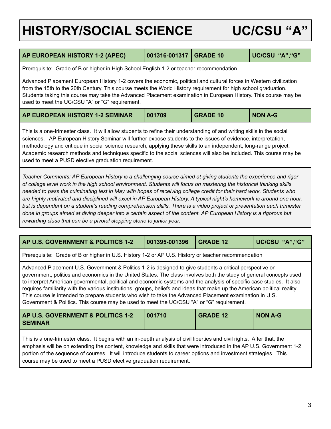# <span id="page-3-0"></span>**HISTORY/SOCIAL SCIENCE UC/CSU "A"**

<span id="page-3-4"></span><span id="page-3-3"></span>

| AP EUROPEAN HISTORY 1-2 (APEC)                                                                                                                                                                                                                                                                                                                                                                                                                                                                                                                                                                                     | 001316-001317 | <b>GRADE 10</b> | UC/CSU "A", "G" |  |  |
|--------------------------------------------------------------------------------------------------------------------------------------------------------------------------------------------------------------------------------------------------------------------------------------------------------------------------------------------------------------------------------------------------------------------------------------------------------------------------------------------------------------------------------------------------------------------------------------------------------------------|---------------|-----------------|-----------------|--|--|
| Prerequisite: Grade of B or higher in High School English 1-2 or teacher recommendation                                                                                                                                                                                                                                                                                                                                                                                                                                                                                                                            |               |                 |                 |  |  |
| Advanced Placement European History 1-2 covers the economic, political and cultural forces in Western civilization<br>from the 15th to the 20th Century. This course meets the World History requirement for high school graduation.<br>Students taking this course may take the Advanced Placement examination in European History. This course may be<br>used to meet the UC/CSU "A" or "G" requirement.                                                                                                                                                                                                         |               |                 |                 |  |  |
| AP EUROPEAN HISTORY 1-2 SEMINAR                                                                                                                                                                                                                                                                                                                                                                                                                                                                                                                                                                                    | 001709        | <b>GRADE 10</b> | <b>NON A-G</b>  |  |  |
| This is a one-trimester class. It will allow students to refine their understanding of and writing skills in the social<br>sciences. AP European History Seminar will further expose students to the issues of evidence, interpretation,<br>methodology and critique in social science research, applying these skills to an independent, long-range project.<br>Academic research methods and techniques specific to the social sciences will also be included. This course may be<br>used to meet a PUSD elective graduation requirement.                                                                        |               |                 |                 |  |  |
| Teacher Comments: AP European History is a challenging course aimed at giving students the experience and rigor<br>of college level work in the high school environment. Students will focus on mastering the historical thinking skills<br>needed to pass the culminating test in May with hopes of receiving college credit for their hard work. Students who<br>are highly motivated and disciplined will excel in AP European History. A typical night's homework is around one hour,<br>but is dependent on a student's reading comprehension skills. There is a video project or presentation each trimester |               |                 |                 |  |  |

done in groups aimed at diving deeper into a certain aspect of the content. AP European History is a rigorous but *rewarding class that can be a pivotal stepping stone to junior year.*

<span id="page-3-2"></span><span id="page-3-1"></span>

| AP U.S. GOVERNMENT & POLITICS 1-2                                                                                                                                                                                                                                                                                                                                                                                                                                                                                                                                                                                                                                                              | 001395-001396 | <b>GRADE 12</b> | UC/CSU "A", "G" |  |  |
|------------------------------------------------------------------------------------------------------------------------------------------------------------------------------------------------------------------------------------------------------------------------------------------------------------------------------------------------------------------------------------------------------------------------------------------------------------------------------------------------------------------------------------------------------------------------------------------------------------------------------------------------------------------------------------------------|---------------|-----------------|-----------------|--|--|
| Prerequisite: Grade of B or higher in U.S. History 1-2 or AP U.S. History or teacher recommendation                                                                                                                                                                                                                                                                                                                                                                                                                                                                                                                                                                                            |               |                 |                 |  |  |
| Advanced Placement U.S. Government & Politics 1-2 is designed to give students a critical perspective on<br>government, politics and economics in the United States. The class involves both the study of general concepts used<br>to interpret American governmental, political and economic systems and the analysis of specific case studies. It also<br>requires familiarity with the various institutions, groups, beliefs and ideas that make up the American political reality.<br>This course is intended to prepare students who wish to take the Advanced Placement examination in U.S.<br>Government & Politics. This course may be used to meet the UC/CSU "A" or "G" requirement. |               |                 |                 |  |  |
| AP U.S. GOVERNMENT & POLITICS 1-2<br><b>NON A-G</b><br>001710<br><b>GRADE 12</b><br><b>SEMINAR</b>                                                                                                                                                                                                                                                                                                                                                                                                                                                                                                                                                                                             |               |                 |                 |  |  |
| This is a one-trimester class. It begins with an in-depth analysis of civil liberties and civil rights. After that, the<br>emphasis will be on extending the content, knowledge and skills that were introduced in the AP U.S. Government 1-2<br>portion of the sequence of courses. It will introduce students to career options and investment strategies. This<br>course may be used to meet a PUSD elective graduation requirement.                                                                                                                                                                                                                                                        |               |                 |                 |  |  |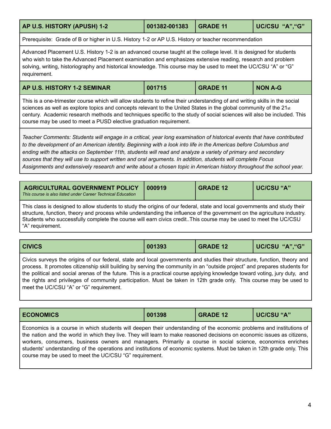<span id="page-4-0"></span>

| AP U.S. HISTORY (APUSH) 1-2                                                                         | 001382-001383                                                                                                                                                                                                                                                                                                                                        | <b>GRADE 11</b> | UC/CSU "A", "G" |  |  |
|-----------------------------------------------------------------------------------------------------|------------------------------------------------------------------------------------------------------------------------------------------------------------------------------------------------------------------------------------------------------------------------------------------------------------------------------------------------------|-----------------|-----------------|--|--|
| Prerequisite: Grade of B or higher in U.S. History 1-2 or AP U.S. History or teacher recommendation |                                                                                                                                                                                                                                                                                                                                                      |                 |                 |  |  |
| requirement.                                                                                        | Advanced Placement U.S. History 1-2 is an advanced course taught at the college level. It is designed for students<br>who wish to take the Advanced Placement examination and emphasizes extensive reading, research and problem<br>solving, writing, historiography and historical knowledge. This course may be used to meet the UC/CSU "A" or "G" |                 |                 |  |  |

<span id="page-4-1"></span>

| AP U.S. HISTORY 1-2 SEMINAR | 001715 | <b>GRADE 11</b> | <b>NON A-G</b> |
|-----------------------------|--------|-----------------|----------------|
|-----------------------------|--------|-----------------|----------------|

This is a one-trimester course which will allow students to refine their understanding of and writing skills in the social sciences as well as explore topics and concepts relevant to the United States in the global community of the 21st century. Academic research methods and techniques specific to the study of social sciences will also be included. This course may be used to meet a PUSD elective graduation requirement.

Teacher Comments: Students will engage in a critical, year long examination of historical events that have contributed to the development of an American identity. Beginning with a look into life in the Americas before Columbus and ending with the attacks on September 11th, students will read and analyze a variety of primary and secondary sources that they will use to support written and oral arguments. In addition, students will complete Focus Assignments and extensively research and write about a chosen topic in American history throughout the school year.

<span id="page-4-2"></span>

| <b>AGRICULTURAL GOVERNMENT POLICY</b><br>This course is also listed under Career Technical Education | 000919 | <b>GRADE 12</b> | I UC/CSU "A"/ |
|------------------------------------------------------------------------------------------------------|--------|-----------------|---------------|
|------------------------------------------------------------------------------------------------------|--------|-----------------|---------------|

This class is designed to allow students to study the origins of our federal, state and local governments and study their structure, function, theory and process while understanding the influence of the government on the agriculture industry. Students who successfully complete the course will earn civics credit..This course may be used to meet the UC/CSU "A" requirement.

<span id="page-4-3"></span>

| <b>CIVICS</b><br>"A","G"<br><b>UC/CSU</b><br>001393<br><b>GRADE 12</b> |
|------------------------------------------------------------------------|
|------------------------------------------------------------------------|

Civics surveys the origins of our federal, state and local governments and studies their structure, function, theory and process. It promotes citizenship skill building by serving the community in an "outside project" and prepares students for the political and social arenas of the future. This is a practical course applying knowledge toward voting, jury duty, and the rights and privileges of community participation. Must be taken in 12th grade only. This course may be used to meet the UC/CSU "A" or "G" requirement.

<span id="page-4-4"></span>

| <b>ECONOMICS</b> | 001398 | <b>GRADE 12</b> | UC/CSU "A" |
|------------------|--------|-----------------|------------|
|------------------|--------|-----------------|------------|

Economics is a course in which students will deepen their understanding of the economic problems and institutions of the nation and the world in which they live. They will learn to make reasoned decisions on economic issues as citizens, workers, consumers, business owners and managers. Primarily a course in social science, economics enriches students' understanding of the operations and institutions of economic systems. Must be taken in 12th grade only. This course may be used to meet the UC/CSU "G" requirement.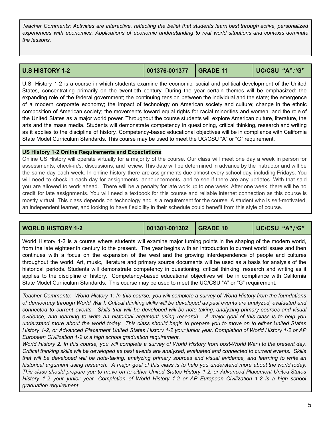Teacher Comments: Activities are interactive, reflecting the belief that students learn best through active, personalized *experiences with economics. Applications of economic understanding to real world situations and contexts dominate the lessons.*

<span id="page-5-0"></span>

| <b>U.S HISTORY 1-2</b> | 001376-001377 GRADE 11 |  | UC/CSU "A","G" |
|------------------------|------------------------|--|----------------|
|------------------------|------------------------|--|----------------|

U.S. History 1-2 is a course in which students examine the economic, social and political development of the United States, concentrating primarily on the twentieth century. During the year certain themes will be emphasized: the expanding role of the federal government; the continuing tension between the individual and the state; the emergence of a modern corporate economy; the impact of technology on American society and culture; change in the ethnic composition of American society; the movements toward equal rights for racial minorities and women; and the role of the United States as a major world power. Throughout the course students will explore American culture, literature, the arts and the mass media. Students will demonstrate competency in questioning, critical thinking, research and writing as it applies to the discipline of history. Competency-based educational objectives will be in compliance with California State Model Curriculum Standards. This course may be used to meet the UC/CSU "A" or "G" requirement.

### **US History 1-2 Online Requirements and Expectations**:

Online US History will operate virtually for a majority of the course. Our class will meet one day a week in person for assessments, check-in/s, discussions, and review. This date will be determined in advance by the instructor and will be the same day each week. In online history there are assignments due almost every school day, including Fridays. You will need to check in each day for assignments, announcements, and to see if there are any updates. With that said you are allowed to work ahead. There will be a penalty for late work up to one week. After one week, there will be no credit for late assignments. You will need a textbook for this course and reliable internet connection as this course is mostly virtual. This class depends on technology and is a requirement for the course. A student who is self-motivated, an independent learner, and looking to have flexibility in their schedule could benefit from this style of course.

<span id="page-5-1"></span>**WORLD HISTORY 1-2 001301-001302 GRADE 10 UC/CSU "A","G"**

World History 1-2 is a course where students will examine major turning points in the shaping of the modern world, from the late eighteenth century to the present. The year begins with an introduction to current world issues and then continues with a focus on the expansion of the west and the growing interdependence of people and cultures throughout the world. Art, music, literature and primary source documents will be used as a basis for analysis of the historical periods. Students will demonstrate competency in questioning, critical thinking, research and writing as it applies to the discipline of history. Competency-based educational objectives will be in compliance with California State Model Curriculum Standards. This course may be used to meet the UC/CSU "A" or "G" requirement.

Teacher Comments: World History 1: In this course, you will complete a survey of World History from the foundations of democracy through World War I. Critical thinking skills will be developed as past events are analyzed, evaluated and connected to current events. Skills that will be developed will be note-taking, analyzing primary sources and visual evidence, and learning to write an historical argument using research. A major goal of this class is to help you understand more about the world today. This class should begin to prepare you to move on to either United States History 1-2, or Advanced Placement United States History 1-2 your junior year. Completion of World History 1-2 or AP *European Civilization 1-2 is a high school graduation requirement.*

World History 2: In this course, you will complete a survey of World History from post-World War I to the present day. Critical thinking skills will be developed as past events are analyzed, evaluated and connected to current events. Skills that will be developed will be note-taking, analyzing primary sources and visual evidence, and learning to write an historical argument using research. A major goal of this class is to help you understand more about the world today. This class should prepare you to move on to either United States History 1-2, or Advanced Placement United States History 1-2 your junior year. Completion of World History 1-2 or AP European Civilization 1-2 is a high school *graduation requirement.*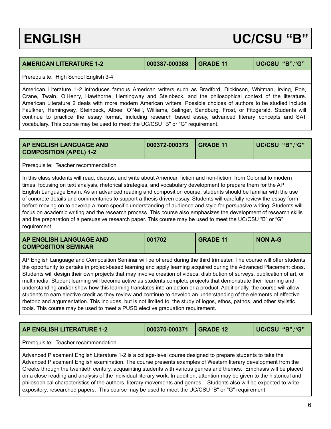## <span id="page-6-0"></span>**ENGLISH UC/CSU "B"**

### <span id="page-6-1"></span>**AMERICAN LITERATURE 1-2 000387-000388 GRADE 11 UC/CSU "B","G"**

Prerequisite: High School English 3-4

American Literature 1-2 introduces famous American writers such as Bradford, Dickinson, Whitman, Irving, Poe, Crane, Twain, O'Henry, Hawthorne, Hemingway and Steinbeck, and the philosophical context of the literature. American Literature 2 deals with more modern American writers. Possible choices of authors to be studied include Faulkner, Hemingway, Steinbeck, Albee, O'Neill, Williams, Salinger, Sandburg, Frost, or Fitzgerald. Students will continue to practice the essay format, including research based essay, advanced literary concepts and SAT vocabulary. This course may be used to meet the UC/CSU "B" or "G" requirement.

<span id="page-6-2"></span>

| AP ENGLISH LANGUAGE AND<br><b>COMPOSITION (APEL) 1-2</b>                                                                                                                                                                                                                                                                                                                                                                                                                                                                                                                                                                                                                                                                                                                                                                                                     | 000372-000373 | <b>GRADE 11</b> | UC/CSU "B", "G" |  |
|--------------------------------------------------------------------------------------------------------------------------------------------------------------------------------------------------------------------------------------------------------------------------------------------------------------------------------------------------------------------------------------------------------------------------------------------------------------------------------------------------------------------------------------------------------------------------------------------------------------------------------------------------------------------------------------------------------------------------------------------------------------------------------------------------------------------------------------------------------------|---------------|-----------------|-----------------|--|
| Prerequisite: Teacher recommendation                                                                                                                                                                                                                                                                                                                                                                                                                                                                                                                                                                                                                                                                                                                                                                                                                         |               |                 |                 |  |
| In this class students will read, discuss, and write about American fiction and non-fiction, from Colonial to modern<br>times, focusing on text analysis, rhetorical strategies, and vocabulary development to prepare them for the AP<br>English Language Exam. As an advanced reading and composition course, students should be familiar with the use<br>of concrete details and commentaries to support a thesis driven essay. Students will carefully review the essay form<br>before moving on to develop a more specific understanding of audience and style for persuasive writing. Students will<br>focus on academic writing and the research process. This course also emphasizes the development of research skills<br>and the preparation of a persuasive research paper. This course may be used to meet the UC/CSU "B" or "G"<br>requirement. |               |                 |                 |  |
| 001702<br><b>GRADE 11</b><br><b>NON A-G</b><br>AP ENGLISH LANGUAGE AND<br><b>COMPOSITION SEMINAR</b>                                                                                                                                                                                                                                                                                                                                                                                                                                                                                                                                                                                                                                                                                                                                                         |               |                 |                 |  |
| AP English Language and Composition Seminar will be offered during the third trimester. The course will offer students<br>the opportunity to partake in project-based learning and apply learning acquired during the Advanced Placement class.<br>Students will design their own projects that may involve creation of videos, distribution of surveys, publication of art, or<br>multimedia. Student learning will become active as students complete projects that demonstrate their learning and                                                                                                                                                                                                                                                                                                                                                         |               |                 |                 |  |

<span id="page-6-3"></span>understanding and/or show how this learning translates into an action or a product. Additionally, the course will allow students to earn elective credit as they review and continue to develop an understanding of the elements of effective rhetoric and argumentation. This includes, but is not limited to, the study of logos, ethos, pathos, and other stylistic tools. This course may be used to meet a PUSD elective graduation requirement.

<span id="page-6-4"></span>

| <b>AP ENGLISH LITERATURE 1-2</b>                                                                                                                                                                                                                                                                                                                                                                                                                                                                                                                                                                          | 000370-000371 | <b>GRADE 12</b> | UC/CSU "B", "G" |
|-----------------------------------------------------------------------------------------------------------------------------------------------------------------------------------------------------------------------------------------------------------------------------------------------------------------------------------------------------------------------------------------------------------------------------------------------------------------------------------------------------------------------------------------------------------------------------------------------------------|---------------|-----------------|-----------------|
| Prerequisite: Teacher recommendation                                                                                                                                                                                                                                                                                                                                                                                                                                                                                                                                                                      |               |                 |                 |
| Advanced Placement English Literature 1-2 is a college-level course designed to prepare students to take the<br>Advanced Placement English examination. The course presents examples of Western literary development from the<br>Greeks through the twentieth century, acquainting students with various genres and themes. Emphasis will be placed<br>on a close reading and analysis of the individual literary work. In addition, attention may be given to the historical and<br>philosophical characteristics of the authors, literary movements and genres. Students also will be expected to write |               |                 |                 |

expository, researched papers. This course may be used to meet the UC/CSU "B" or "G" requirement.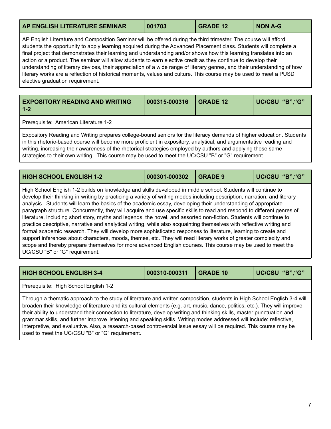<span id="page-7-0"></span>

| AP ENGLISH LITERATURE SEMINAR | 001703 | <b>GRADE 12</b> | NON A-G |
|-------------------------------|--------|-----------------|---------|
|                               |        |                 |         |

AP English Literature and Composition Seminar will be offered during the third trimester. The course will afford students the opportunity to apply learning acquired during the Advanced Placement class. Students will complete a final project that demonstrates their learning and understanding and/or shows how this learning translates into an action or a product. The seminar will allow students to earn elective credit as they continue to develop their understanding of literary devices, their appreciation of a wide range of literary genres, and their understanding of how literary works are a reflection of historical moments, values and culture. This course may be used to meet a PUSD elective graduation requirement.

<span id="page-7-1"></span>

| <b>EXPOSITORY READING AND WRITING</b><br>$\overline{1}$ 1-2                                                                                                                                                                                          | 000315-000316 | $\overline{)}$ GRADE 12 | UC/CSU "B", "G" |  |  |
|------------------------------------------------------------------------------------------------------------------------------------------------------------------------------------------------------------------------------------------------------|---------------|-------------------------|-----------------|--|--|
| Prerequisite: American Literature 1-2                                                                                                                                                                                                                |               |                         |                 |  |  |
| Expository Reading and Writing prepares college-bound seniors for the literacy demands of higher education. Students<br><u>Lin this rhetoric-based course will become more proficient in expository, analytical, and argumentative reading and L</u> |               |                         |                 |  |  |

se will become more proficient in expository, analytical, and argumentative reading a writing, increasing their awareness of the rhetorical strategies employed by authors and applying those same strategies to their own writing. This course may be used to meet the UC/CSU "B" or "G" requirement.

<span id="page-7-2"></span>

| <b>HIGH SCHOOL ENGLISH 1-2</b> | 000301-000302   GRADE 9 | UC/CSU "B", "G" |
|--------------------------------|-------------------------|-----------------|
|                                |                         |                 |

High School English 1-2 builds on knowledge and skills developed in middle school. Students will continue to develop their thinking-in-writing by practicing a variety of writing modes including description, narration, and literary analysis. Students will learn the basics of the academic essay, developing their understanding of appropriate paragraph structure. Concurrently, they will acquire and use specific skills to read and respond to different genres of literature, including short story, myths and legends, the novel, and assorted non-fiction. Students will continue to practice descriptive, narrative and analytical writing, while also acquainting themselves with reflective writing and formal academic research. They will develop more sophisticated responses to literature, learning to create and support inferences about characters, moods, themes, etc. They will read literary works of greater complexity and scope and thereby prepare themselves for more advanced English courses. This course may be used to meet the UC/CSU "B" or "G" requirement.

<span id="page-7-3"></span>

| <b>HIGH SCHOOL ENGLISH 3-4</b>                                                                                                                                                                                                                                                                                                                                                                                                                                                                                                                                                                                                    | 000310-000311 | <b>GRADE 10</b> | UC/CSU "B", "G" |
|-----------------------------------------------------------------------------------------------------------------------------------------------------------------------------------------------------------------------------------------------------------------------------------------------------------------------------------------------------------------------------------------------------------------------------------------------------------------------------------------------------------------------------------------------------------------------------------------------------------------------------------|---------------|-----------------|-----------------|
| Prerequisite: High School English 1-2                                                                                                                                                                                                                                                                                                                                                                                                                                                                                                                                                                                             |               |                 |                 |
| Through a thematic approach to the study of literature and written composition, students in High School English 3-4 will<br>broaden their knowledge of literature and its cultural elements (e.g. art, music, dance, politics, etc.). They will improve<br>their ability to understand their connection to literature, develop writing and thinking skills, master punctuation and<br>grammar skills, and further improve listening and speaking skills. Writing modes addressed will include: reflective,<br>interpretive, and evaluative. Also, a research-based controversial issue essay will be required. This course may be |               |                 |                 |

used to meet the UC/CSU "B" or "G" requirement.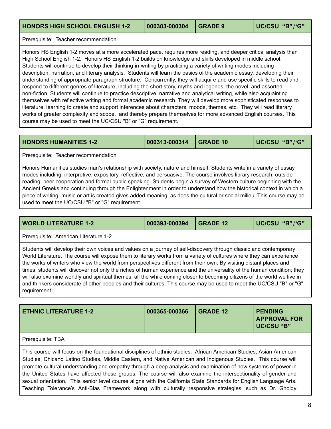<span id="page-8-1"></span>Prerequisite: Teacher recommendation

Honors HS English 1-2 moves at a more accelerated pace, requires more reading, and deeper critical analysis than High School English 1-2. Honors HS English 1-2 builds on knowledge and skills developed in middle school. Students will continue to develop their thinking-in-writing by practicing a variety of writing modes including description, narration, and literary analysis. Students will learn the basics of the academic essay, developing their understanding of appropriate paragraph structure. Concurrently, they will acquire and use specific skills to read and respond to different genres of literature, including the short story, myths and legends, the novel, and assorted non-fiction. Students will continue to practice descriptive, narrative and analytical writing, while also acquainting themselves with reflective writing and formal academic research. They will develop more sophisticated responses to literature, learning to create and support inferences about characters, moods, themes, etc. They will read literary works of greater complexity and scope, and thereby prepare themselves for more advanced English courses. This course may be used to meet the UC/CSU "B" or "G" requirement.

<span id="page-8-2"></span>

| <b>HONORS HUMANITIES 1-2</b> | 000313-000314 | <b>I</b> GRADE 10 | UC/CSU"B","G" |
|------------------------------|---------------|-------------------|---------------|
|------------------------------|---------------|-------------------|---------------|

Prerequisite: Teacher recommendation

Honors Humanities studies man's relationship with society, nature and himself. Students write in a variety of essay modes including: interpretive, expository, reflective, and persuasive. The course involves library research, outside reading, peer cooperation and formal public speaking. Students begin a survey of Western culture beginning with the Ancient Greeks and continuing through the Enlightenment in order to understand how the historical context in which a piece of writing, music or art is created gives added meaning, as does the cultural or social milieu. This course may be used to meet the UC/CSU "B" or "G" requirement.

<span id="page-8-3"></span>

| <b>WORLD LITERATURE 1-2</b>                                                                                                                                                                                                                                                                                                                                                                                                                                                                                                                                                                                                                                                                                                                                   | 000393-000394 | <b>GRADE 12</b> | UC/CSU "B", "G" |
|---------------------------------------------------------------------------------------------------------------------------------------------------------------------------------------------------------------------------------------------------------------------------------------------------------------------------------------------------------------------------------------------------------------------------------------------------------------------------------------------------------------------------------------------------------------------------------------------------------------------------------------------------------------------------------------------------------------------------------------------------------------|---------------|-----------------|-----------------|
| Prerequisite: American Literature 1-2                                                                                                                                                                                                                                                                                                                                                                                                                                                                                                                                                                                                                                                                                                                         |               |                 |                 |
| Students will develop their own voices and values on a journey of self-discovery through classic and contemporary<br>World Literature. The course will expose them to literary works from a variety of cultures where they can experience<br>the works of writers who view the world from perspectives different from their own. By visiting distant places and<br>times, students will discover not only the riches of human experience and the universality of the human condition; they<br>will also examine worldly and spiritual themes, all the while coming closer to becoming citizens of the world we live in<br>and thinkers considerate of other peoples and their cultures. This course may be used to meet the UC/CSU "B" or "G"<br>requirement. |               |                 |                 |

<span id="page-8-0"></span>

| <b>ETHNIC LITERATURE 1-2</b> | 000365-000366 | l GRADE 12 | <b>PENDING</b><br><b>APPROVAL FOR</b><br>UC/CSU "B" |
|------------------------------|---------------|------------|-----------------------------------------------------|
| Prerequisite: TBA            |               |            |                                                     |

This course will focus on the foundational disciplines of ethnic studies: African American Studies, Asian American Studies, Chicano Latino Studies, Middle Eastern, and Native American and Indigenous Studies. This course will promote cultural understanding and empathy through a deep analysis and examination of how systems of power in the United States have affected these groups. The course will also examine the intersectionality of gender and sexual orientation. This senior level course aligns with the California State Standards for English Language Arts. Teaching Tolerance's Anti-Bias Framework along with culturally responsive strategies, such as Dr. Gholdy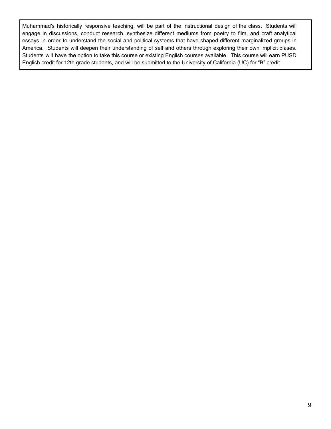Muhammad's historically responsive teaching, will be part of the instructional design of the class. Students will engage in discussions, conduct research, synthesize different mediums from poetry to film, and craft analytical essays in order to understand the social and political systems that have shaped different marginalized groups in America. Students will deepen their understanding of self and others through exploring their own implicit biases. Students will have the option to take this course or existing English courses available. This course will earn PUSD English credit for 12th grade students, and will be submitted to the University of California (UC) for "B" credit.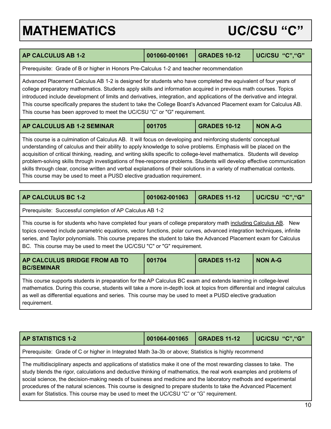# <span id="page-10-0"></span>**MATHEMATICS UC/CSU "C"**

<span id="page-10-3"></span><span id="page-10-2"></span>

| <b>AP CALCULUS AB 1-2</b>                                                                                                                                                                                                                                                                                                                                                                                                                                                                                                                                                                                                                                                                       | 001060-001061                                                                            | <b>GRADES 10-12</b> | UC/CSU "C"."G" |  |
|-------------------------------------------------------------------------------------------------------------------------------------------------------------------------------------------------------------------------------------------------------------------------------------------------------------------------------------------------------------------------------------------------------------------------------------------------------------------------------------------------------------------------------------------------------------------------------------------------------------------------------------------------------------------------------------------------|------------------------------------------------------------------------------------------|---------------------|----------------|--|
|                                                                                                                                                                                                                                                                                                                                                                                                                                                                                                                                                                                                                                                                                                 | Prerequisite: Grade of B or higher in Honors Pre-Calculus 1-2 and teacher recommendation |                     |                |  |
| Advanced Placement Calculus AB 1-2 is designed for students who have completed the equivalent of four years of<br>college preparatory mathematics. Students apply skills and information acquired in previous math courses. Topics<br>introduced include development of limits and derivatives, integration, and applications of the derivative and integral.<br>This course specifically prepares the student to take the College Board's Advanced Placement exam for Calculus AB.<br>This course has been approved to meet the UC/CSU "C" or "G" requirement.                                                                                                                                 |                                                                                          |                     |                |  |
| AP CALCULUS AB 1-2 SEMINAR                                                                                                                                                                                                                                                                                                                                                                                                                                                                                                                                                                                                                                                                      | 001705                                                                                   | <b>GRADES 10-12</b> | <b>NON A-G</b> |  |
| This course is a culmination of Calculus AB. It will focus on developing and reinforcing students' conceptual<br>understanding of calculus and their ability to apply knowledge to solve problems. Emphasis will be placed on the<br>acquisition of critical thinking, reading, and writing skills specific to college-level mathematics. Students will develop<br>problem-solving skills through investigations of free-response problems. Students will develop effective communication<br>skills through clear, concise written and verbal explanations of their solutions in a variety of mathematical contexts.<br>This course may be used to meet a PUSD elective graduation requirement. |                                                                                          |                     |                |  |
| <b>AP CALCULUS BC 1-2</b>                                                                                                                                                                                                                                                                                                                                                                                                                                                                                                                                                                                                                                                                       | 001062-001063                                                                            | <b>GRADES 11-12</b> | UC/CSU "C"."G" |  |
| Prerequisite: Successful completion of AP Calculus AB 1-2                                                                                                                                                                                                                                                                                                                                                                                                                                                                                                                                                                                                                                       |                                                                                          |                     |                |  |
| This course is for students who have completed four years of college preparatory math including Calculus AB. New<br>topics covered include parametric equations, vector functions, polar curves, advanced integration techniques, infinite<br>series, and Taylor polynomials. This course prepares the student to take the Advanced Placement exam for Calculus<br>BC. This course may be used to meet the UC/CSU "C" or "G" requirement.                                                                                                                                                                                                                                                       |                                                                                          |                     |                |  |
| AP CALCULUS BRIDGE FROM AB TO<br><b>BC/SEMINAR</b>                                                                                                                                                                                                                                                                                                                                                                                                                                                                                                                                                                                                                                              | 001704                                                                                   | <b>GRADES 11-12</b> | <b>NON A-G</b> |  |

<span id="page-10-5"></span><span id="page-10-4"></span>This course supports students in preparation for the AP Calculus BC exam and extends learning in college-level mathematics. During this course, students will take a more in-depth look at topics from differential and integral calculus as well as differential equations and series. This course may be used to meet a PUSD elective graduation requirement.

<span id="page-10-1"></span>

| <b>AP STATISTICS 1-2</b>                                                                                                                                                                                                                                                                                                                                                                                                                                                                                                                                                 | 001064-001065 | <b>GRADES 11-12</b> | UC/CSU "C", "G" |  |
|--------------------------------------------------------------------------------------------------------------------------------------------------------------------------------------------------------------------------------------------------------------------------------------------------------------------------------------------------------------------------------------------------------------------------------------------------------------------------------------------------------------------------------------------------------------------------|---------------|---------------------|-----------------|--|
| Prerequisite: Grade of C or higher in Integrated Math 3a-3b or above; Statistics is highly recommend                                                                                                                                                                                                                                                                                                                                                                                                                                                                     |               |                     |                 |  |
| The multidisciplinary aspects and applications of statistics make it one of the most rewarding classes to take. The<br>study blends the rigor, calculations and deductive thinking of mathematics, the real work examples and problems of<br>social science, the decision-making needs of business and medicine and the laboratory methods and experimental<br>procedures of the natural sciences. This course is designed to prepare students to take the Advanced Placement<br>exam for Statistics. This course may be used to meet the UC/CSU "C" or "G" requirement. |               |                     |                 |  |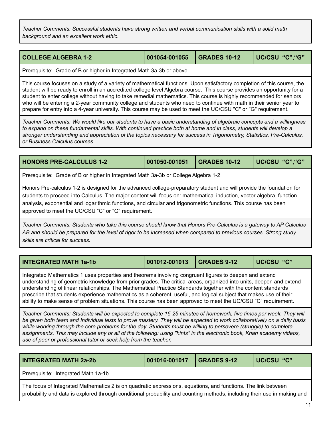*Teacher Comments: Successful students have strong written and verbal communication skills with a solid math background and an excellent work ethic.*

<span id="page-11-0"></span>

| COLLEGE ALGEBRA 1-2 | 001054-001055 GRADES 10-12 |  | UC/CSU "C", "G" |
|---------------------|----------------------------|--|-----------------|
|---------------------|----------------------------|--|-----------------|

Prerequisite: Grade of B or higher in Integrated Math 3a-3b or above

This course focuses on a study of a variety of mathematical functions. Upon satisfactory completion of this course, the student will be ready to enroll in an accredited college level Algebra course. This course provides an opportunity for a student to enter college without having to take remedial mathematics. This course is highly recommended for seniors who will be entering a 2-year community college and students who need to continue with math in their senior year to prepare for entry into a 4-year university. This course may be used to meet the UC/CSU "C" or "G" requirement.

Teacher Comments: We would like our students to have a basic understanding of algebraic concepts and a willingness to expand on these fundamental skills. With continued practice both at home and in class, students will develop a *stronger understanding and appreciation of the topics necessary for success in Trigonometry, Statistics, Pre-Calculus, or Business Calculus courses.*

<span id="page-11-1"></span>**HONORS PRE-CALCULUS 1-2 001050-001051 GRADES 10-12 UC/CSU "C","G"** Prerequisite: Grade of B or higher in Integrated Math 3a-3b or College Algebra 1-2 Honors Pre-calculus 1-2 is designed for the advanced college-preparatory student and will provide the foundation for students to proceed into Calculus. The major content will focus on: mathematical induction, vector algebra, function analysis, exponential and logarithmic functions, and circular and trigonometric functions. This course has been approved to meet the UC/CSU "C" or "G" requirement.

Teacher Comments: Students who take this course should know that Honors Pre-Calculus is a gateway to AP Calculus AB and should be prepared for the level of rigor to be increased when compared to previous courses. Strong study *skills are critical for success.*

<span id="page-11-2"></span>

|--|

Integrated Mathematics 1 uses properties and theorems involving congruent figures to deepen and extend understanding of geometric knowledge from prior grades. The critical areas, organized into units, deepen and extend understanding of linear relationships. The Mathematical Practice Standards together with the content standards prescribe that students experience mathematics as a coherent, useful, and logical subject that makes use of their ability to make sense of problem situations. This course has been approved to meet the UC/CSU "C" requirement.

Teacher Comments: Students will be expected to complete 15-25 minutes of homework, five times per week. They will be given both team and Individual tests to prove mastery. They will be expected to work collaboratively on a daily basis while working through the core problems for the day. Students must be willing to persevere (struggle) to complete assignments. This may include any or all of the following: using "hints" in the electronic book, Khan academy videos, *use of peer or professional tutor or seek help from the teacher.*

<span id="page-11-3"></span>

| <b>INTEGRATED MATH 2a-2b</b>        | 001016-001017 | $\mid$ GRADES 9-12 | UC/CSU "C" |
|-------------------------------------|---------------|--------------------|------------|
| Prerequisite: Integrated Math 1a-1b |               |                    |            |

The focus of Integrated Mathematics 2 is on quadratic expressions, equations, and functions. The link between probability and data is explored through conditional probability and counting methods, including their use in making and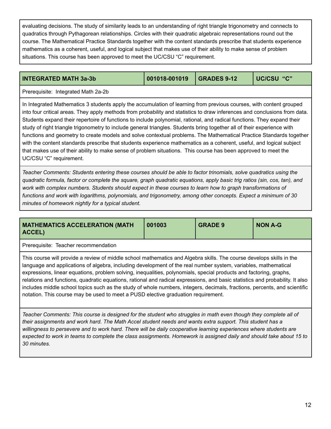evaluating decisions. The study of similarity leads to an understanding of right triangle trigonometry and connects to quadratics through Pythagorean relationships. Circles with their quadratic algebraic representations round out the course. The Mathematical Practice Standards together with the content standards prescribe that students experience mathematics as a coherent, useful, and logical subject that makes use of their ability to make sense of problem situations. This course has been approved to meet the UC/CSU "C" requirement.

### <span id="page-12-1"></span>**INTEGRATED MATH 3a-3b 001018-001019 GRADES 9-12 UC/CSU "C"**

Prerequisite: Integrated Math 2a-2b

In Integrated Mathematics 3 students apply the accumulation of learning from previous courses, with content grouped into four critical areas. They apply methods from probability and statistics to draw inferences and conclusions from data. Students expand their repertoire of functions to include polynomial, rational, and radical functions. They expand their study of right triangle trigonometry to include general triangles. Students bring together all of their experience with functions and geometry to create models and solve contextual problems. The Mathematical Practice Standards together with the content standards prescribe that students experience mathematics as a coherent, useful, and logical subject that makes use of their ability to make sense of problem situations. This course has been approved to meet the UC/CSU "C" requirement.

Teacher Comments: Students entering these courses should be able to factor trinomials, solve quadratics using the quadratic formula, factor or complete the square, graph quadratic equations, apply basic trig ratios (sin, cos, tan), and work with complex numbers. Students should expect in these courses to learn how to graph transformations of *functions and work with logarithms, polynomials, and trigonometry, among other concepts. Expect a minimum of 30 minutes of homework nightly for a typical student.*

<span id="page-12-0"></span>

| <b>MATHEMATICS ACCELERATION (MATH</b><br>ACCEL)                                                                                                                                                                                                                                                                                                                                                                                                                                                                                                                                                                                                                                                                 | 001003 | <b>GRADE 9</b> | <b>NON A-G</b> |  |  |
|-----------------------------------------------------------------------------------------------------------------------------------------------------------------------------------------------------------------------------------------------------------------------------------------------------------------------------------------------------------------------------------------------------------------------------------------------------------------------------------------------------------------------------------------------------------------------------------------------------------------------------------------------------------------------------------------------------------------|--------|----------------|----------------|--|--|
| Prerequisite: Teacher recommendation                                                                                                                                                                                                                                                                                                                                                                                                                                                                                                                                                                                                                                                                            |        |                |                |  |  |
| This course will provide a review of middle school mathematics and Algebra skills. The course develops skills in the<br>language and applications of algebra, including development of the real number system, variables, mathematical<br>expressions, linear equations, problem solving, inequalities, polynomials, special products and factoring, graphs,<br>relations and functions, quadratic equations, rational and radical expressions, and basic statistics and probability. It also<br>includes middle school topics such as the study of whole numbers, integers, decimals, fractions, percents, and scientific<br>notation. This course may be used to meet a PUSD elective graduation requirement. |        |                |                |  |  |

Teacher Comments: This course is designed for the student who struggles in math even though they complete all of their assignments and work hard. The Math Accel student needs and wants extra support. This student has a willingness to persevere and to work hard. There will be daily cooperative learning experiences where students are expected to work in teams to complete the class assignments. Homework is assigned daily and should take about 15 to *30 minutes.*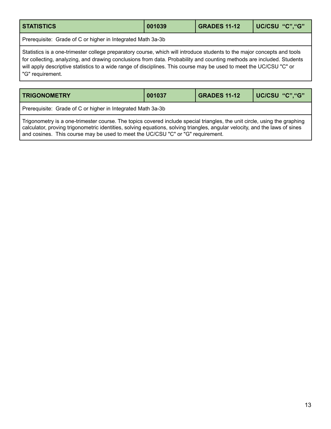<span id="page-13-0"></span>

| <b>STATISTICS</b>                                                                                                                                                                                                                                                                                                                                                                           | 001039 | <b>GRADES 11-12</b> | UC/CSU "C", "G" |  |
|---------------------------------------------------------------------------------------------------------------------------------------------------------------------------------------------------------------------------------------------------------------------------------------------------------------------------------------------------------------------------------------------|--------|---------------------|-----------------|--|
| Prerequisite: Grade of C or higher in Integrated Math 3a-3b                                                                                                                                                                                                                                                                                                                                 |        |                     |                 |  |
| Statistics is a one-trimester college preparatory course, which will introduce students to the major concepts and tools<br>for collecting, analyzing, and drawing conclusions from data. Probability and counting methods are included. Students<br>will apply descriptive statistics to a wide range of disciplines. This course may be used to meet the UC/CSU "C" or<br>"G" requirement. |        |                     |                 |  |

<span id="page-13-1"></span>

| <b>TRIGONOMETRY</b>                                         | 001037 | <b>GRADES 11-12</b> | UC/CSU "C", "G" |
|-------------------------------------------------------------|--------|---------------------|-----------------|
| Prerequisite: Grade of C or higher in Integrated Math 3a-3b |        |                     |                 |

Trigonometry is a one-trimester course. The topics covered include special triangles, the unit circle, using the graphing calculator, proving trigonometric identities, solving equations, solving triangles, angular velocity, and the laws of sines and cosines. This course may be used to meet the UC/CSU "C" or "G" requirement.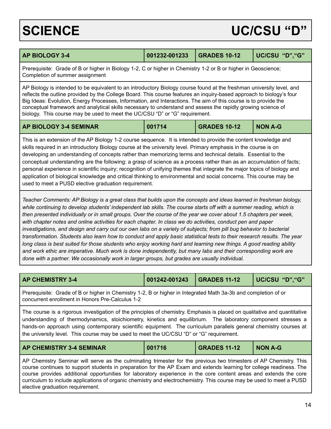## <span id="page-14-0"></span>SCIENCE UC/CSU "D"

<span id="page-14-2"></span><span id="page-14-1"></span>

| <b>AP BIOLOGY 3-4</b>                                                                                                                                                                                                                                                                                                                                                                                                                                                                                                                                                                                                                                                                                                                                                                                                                                                                                                                                                                                                                                                       | 001232-001233 | <b>GRADES 10-12</b> | UC/CSU "D", "G" |  |
|-----------------------------------------------------------------------------------------------------------------------------------------------------------------------------------------------------------------------------------------------------------------------------------------------------------------------------------------------------------------------------------------------------------------------------------------------------------------------------------------------------------------------------------------------------------------------------------------------------------------------------------------------------------------------------------------------------------------------------------------------------------------------------------------------------------------------------------------------------------------------------------------------------------------------------------------------------------------------------------------------------------------------------------------------------------------------------|---------------|---------------------|-----------------|--|
| Prerequisite: Grade of B or higher in Biology 1-2, C or higher in Chemistry 1-2 or B or higher in Geoscience;<br>Completion of summer assignment                                                                                                                                                                                                                                                                                                                                                                                                                                                                                                                                                                                                                                                                                                                                                                                                                                                                                                                            |               |                     |                 |  |
| AP Biology is intended to be equivalent to an introductory Biology course found at the freshman university level, and<br>reflects the outline provided by the College Board. This course features an inquiry-based approach to biology's four<br>Big Ideas: Evolution, Energy Processes, Information, and Interactions. The aim of this course is to provide the<br>conceptual framework and analytical skills necessary to understand and assess the rapidly growing science of<br>biology. This course may be used to meet the UC/CSU "D" or "G" requirement.                                                                                                                                                                                                                                                                                                                                                                                                                                                                                                             |               |                     |                 |  |
| <b>AP BIOLOGY 3-4 SEMINAR</b>                                                                                                                                                                                                                                                                                                                                                                                                                                                                                                                                                                                                                                                                                                                                                                                                                                                                                                                                                                                                                                               | 001714        | <b>GRADES 10-12</b> | <b>NON A-G</b>  |  |
| skills required in an introductory Biology course at the university level. Primary emphasis in the course is on<br>developing an understanding of concepts rather than memorizing terms and technical details. Essential to the<br>conceptual understanding are the following: a grasp of science as a process rather than as an accumulation of facts;<br>personal experience in scientific inquiry; recognition of unifying themes that integrate the major topics of biology and<br>application of biological knowledge and critical thinking to environmental and social concerns. This course may be<br>used to meet a PUSD elective graduation requirement.                                                                                                                                                                                                                                                                                                                                                                                                           |               |                     |                 |  |
| Teacher Comments: AP Biology is a great class that builds upon the concepts and ideas learned in freshman biology,<br>while continuing to develop students' independent lab skills. The course starts off with a summer reading, which is<br>then presented individually or in small groups. Over the course of the year we cover about 1.5 chapters per week,<br>with chapter notes and online activities for each chapter. In class we do activities, conduct pen and paper<br>investigations, and design and carry out our own labs on a variety of subjects; from pill bug behavior to bacterial<br>transformation. Students also learn how to conduct and apply basic statistical tests to their research results. The year<br>long class is best suited for those students who enjoy working hard and learning new things. A good reading ability<br>and work ethic are imperative. Much work is done independently, but many labs and their corresponding work are<br>done with a partner. We occasionally work in larger groups, but grades are usually individual. |               |                     |                 |  |
|                                                                                                                                                                                                                                                                                                                                                                                                                                                                                                                                                                                                                                                                                                                                                                                                                                                                                                                                                                                                                                                                             |               |                     |                 |  |
| <b>AP CHEMISTRY 3-4</b>                                                                                                                                                                                                                                                                                                                                                                                                                                                                                                                                                                                                                                                                                                                                                                                                                                                                                                                                                                                                                                                     | 001242-001243 | <b>GRADES 11-12</b> | UC/CSU "D", "G" |  |
| Prerequisite: Grade of B or higher in Chemistry 1-2 B or higher in Integrated Math 3a-3b and completion of or                                                                                                                                                                                                                                                                                                                                                                                                                                                                                                                                                                                                                                                                                                                                                                                                                                                                                                                                                               |               |                     |                 |  |

<span id="page-14-3"></span>Prerequisite: Grade of B or higher in Chemistry 1-2, B or higher in Integrated Math 3a-3b and completion of or concurrent enrollment in Honors Pre-Calculus 1-2

The course is a rigorous investigation of the principles of chemistry. Emphasis is placed on qualitative and quantitative understanding of thermodynamics, stoichiometry, kinetics and equilibrium. The laboratory component stresses a hands-on approach using contemporary scientific equipment. The curriculum parallels general chemistry courses at the university level. This course may be used to meet the UC/CSU "D" or "G" requirement.

<span id="page-14-4"></span>

| <b>AP CHEMISTRY 3-4 SEMINAR</b> | 001716 | <b>GRADES 11-12</b> | <b>NON A-G</b> |
|---------------------------------|--------|---------------------|----------------|
|                                 |        |                     |                |

AP Chemistry Seminar will serve as the culminating trimester for the previous two trimesters of AP Chemistry. This course continues to support students in preparation for the AP Exam and extends learning for college readiness. The course provides additional opportunities for laboratory experience in the core content areas and extends the core curriculum to include applications of organic chemistry and electrochemistry. This course may be used to meet a PUSD elective graduation requirement.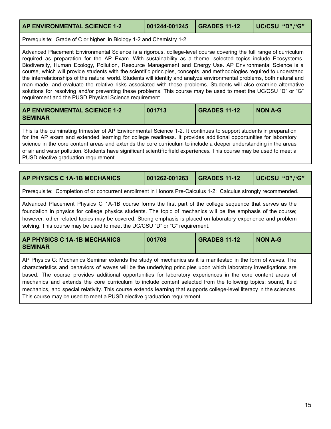### <span id="page-15-0"></span>**AP ENVIRONMENTAL SCIENCE 1-2 001244-001245 GRADES 11-12 UC/CSU "D","G"**

Prerequisite: Grade of C or higher in Biology 1-2 and Chemistry 1-2

Advanced Placement Environmental Science is a rigorous, college-level course covering the full range of curriculum required as preparation for the AP Exam. With sustainability as a theme, selected topics include Ecosystems, Biodiversity, Human Ecology, Pollution, Resource Management and Energy Use. AP Environmental Science is a course, which will provide students with the scientific principles, concepts, and methodologies required to understand the interrelationships of the natural world. Students will identify and analyze environmental problems, both natural and man-made, and evaluate the relative risks associated with these problems. Students will also examine alternative solutions for resolving and/or preventing these problems. This course may be used to meet the UC/CSU "D" or "G" requirement and the PUSD Physical Science requirement.

<span id="page-15-1"></span>

| <b>AP ENVIRONMENTAL SCIENCE 1-2</b> | 001713 | <b>GRADES 11-12</b> | <b>NON A-G</b> |
|-------------------------------------|--------|---------------------|----------------|
| <b>SEMINAR</b>                      |        |                     |                |

This is the culminating trimester of AP Environmental Science 1-2. It continues to support students in preparation for the AP exam and extended learning for college readiness. It provides additional opportunities for laboratory science in the core content areas and extends the core curriculum to include a deeper understanding in the areas of air and water pollution. Students have significant scientific field experiences. This course may be used to meet a PUSD elective graduation requirement.

<span id="page-15-2"></span>

| AP PHYSICS C 1A-1B MECHANICS                                                                                                                                                                                                                                                                                                                                                                                               | 001262-001263 | <b>GRADES 11-12</b> | UC/CSU "D", "G" |  |
|----------------------------------------------------------------------------------------------------------------------------------------------------------------------------------------------------------------------------------------------------------------------------------------------------------------------------------------------------------------------------------------------------------------------------|---------------|---------------------|-----------------|--|
| Prerequisite: Completion of or concurrent enrollment in Honors Pre-Calculus 1-2; Calculus strongly recommended.                                                                                                                                                                                                                                                                                                            |               |                     |                 |  |
| Advanced Placement Physics C 1A-1B course forms the first part of the college sequence that serves as the<br>foundation in physics for college physics students. The topic of mechanics will be the emphasis of the course;<br>however, other related topics may be covered. Strong emphasis is placed on laboratory experience and problem<br>solving. This course may be used to meet the UC/CSU "D" or "G" requirement. |               |                     |                 |  |

<span id="page-15-3"></span>

| <b>AP PHYSICS C 1A-1B MECHANICS</b> | 001708 | <b>GRADES 11-12</b> | <b>NON A-G</b> |
|-------------------------------------|--------|---------------------|----------------|
| <b>SEMINAR</b>                      |        |                     |                |

AP Physics C: Mechanics Seminar extends the study of mechanics as it is manifested in the form of waves. The characteristics and behaviors of waves will be the underlying principles upon which laboratory investigations are based. The course provides additional opportunities for laboratory experiences in the core content areas of mechanics and extends the core curriculum to include content selected from the following topics: sound, fluid mechanics, and special relativity. This course extends learning that supports college-level literacy in the sciences. This course may be used to meet a PUSD elective graduation requirement.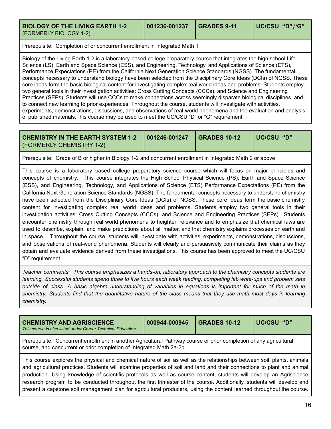<span id="page-16-0"></span>**BIOLOGY OF THE LIVING EARTH 1-2** (FORMERLY BIOLOGY 1-2)

Prerequisite: Completion of or concurrent enrollment in Integrated Math 1

Biology of the Living Earth 1-2 is a laboratory-based college preparatory course that integrates the high school Life Science (LS), Earth and Space Science (ESS), and Engineering, Technology, and Applications of Science (ETS), Performance Expectations (PE) from the California Next Generation Science Standards (NGSS). The fundamental concepts necessary to understand biology have been selected from the Disciplinary Core Ideas (DCIs) of NGSS. These core ideas form the basic biological content for investigating complex real world ideas and problems. Students employ two general tools in their investigation activities: Cross Cutting Concepts (CCCs), and Science and Engineering Practices (SEPs). Students will use CCCs to make connections across seemingly disparate biological disciplines, and to connect new learning to prior experiences. Throughout the course, students will investigate with activities, experiments, demonstrations, discussions, and observations of real-world phenomena and the evaluation and analysis of published materials.This course may be used to meet the UC/CSU "D" or "G" requirement. .

<span id="page-16-2"></span>

| <b>CHEMISTRY IN THE EARTH SYSTEM 1-2   001246-001247   GRADES 10-12</b> |  | UC/CSU "D" |
|-------------------------------------------------------------------------|--|------------|
| (FORMERLY CHEMISTRY 1-2)                                                |  |            |

Prerequisite: Grade of B or higher in Biology 1-2 and concurrent enrollment in Integrated Math 2 or above

This course is a laboratory based college preparatory science course which will focus on major principles and concepts of chemistry. This course integrates the High School Physical Science (PS), Earth and Space Science (ESS), and Engineering, Technology, and Applications of Science (ETS) Performance Expectations (PE) from the California Next Generation Science Standards (NGSS). The fundamental concepts necessary to understand chemistry have been selected from the Disciplinary Core Ideas (DCIs) of NGSS. These core ideas form the basic chemistry content for investigating complex real world ideas and problems. Students employ two general tools in their investigation activities: Cross Cutting Concepts (CCCs), and Science and Engineering Practices (SEPs). Students encounter chemistry through real world phenomena to heighten relevance and to emphasize that chemical laws are used to describe, explain, and make predictions about all matter, and that chemistry explains processes on earth and in space. Throughout the course, students will investigate with activities, experiments, demonstrations, discussions, and observations of real-world phenomena. Students will clearly and persuasively communicate their claims as they obtain and evaluate evidence derived from these investigations. This course has been approved to meet the UC/CSU "D" requirement.

*Teacher comments: This course emphasizes a hands-on, laboratory approach to the chemistry concepts students are* learning. Successful students spend three to five hours each week reading, completing lab write-ups and problem sets outside of class. A basic algebra understanding of variables in equations is important for much of the math in chemistry. Students find that the quantitative nature of the class means that they use math most days in learning *chemistry.*

<span id="page-16-1"></span>

| <b>CHEMISTRY AND AGRISCIENCE</b><br>This course is also listed under Career Technical Education                                                                                                                                                     | 000944-000945 | <b>GRADES 10-12</b> | UC/CSU "D" |  |  |
|-----------------------------------------------------------------------------------------------------------------------------------------------------------------------------------------------------------------------------------------------------|---------------|---------------------|------------|--|--|
| Prerequisite: Concurrent enrollment in another Agricultural Pathway course or prior completion of any agricultural<br>course, and concurrent or prior completion of Integrated Math 2a-2b                                                           |               |                     |            |  |  |
| This course explores the physical and chemical nature of soil as well as the relationships between soil, plants, animals<br>and agricultural practices. Students will evening properties of soil and land and their connections to plant and animal |               |                     |            |  |  |

and agricultural practices. Students will examine properties of soil and land and their connections to plant and animal production. Using knowledge of scientific protocols as well as course content, students will develop an Agriscience research program to be conducted throughout the first trimester of the course. Additionally, students will develop and present a capstone soil management plan for agricultural producers, using the content learned throughout the course.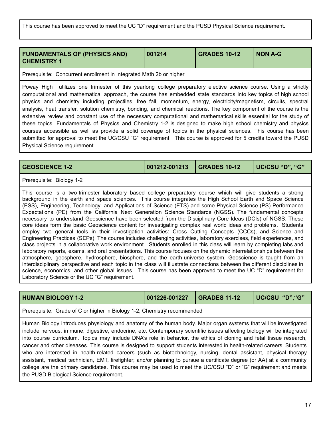This course has been approved to meet the UC "D" requirement and the PUSD Physical Science requirement.

<span id="page-17-0"></span>

| <b>FUNDAMENTALS OF (PHYSICS AND)</b><br><b>CHEMISTRY 1</b> | 001214 | <b>GRADES 10-12</b> | <b>NON A-G</b> |
|------------------------------------------------------------|--------|---------------------|----------------|
|                                                            |        |                     |                |

Prerequisite: Concurrent enrollment in Integrated Math 2b or higher

Poway High utilizes one trimester of this yearlong college preparatory elective science course. Using a strictly computational and mathematical approach, the course has embedded state standards into key topics of high school physics and chemistry including projectiles, free fall, momentum, energy, electricity/magnetism, circuits, spectral analysis, heat transfer, solution chemistry, bonding, and chemical reactions. The key component of the course is the extensive review and constant use of the necessary computational and mathematical skills essential for the study of these topics. Fundamentals of Physics and Chemistry 1-2 is designed to make high school chemistry and physics courses accessible as well as provide a solid coverage of topics in the physical sciences. This course has been submitted for approval to meet the UC/CSU "G" requirement. This course is approved for 5 credits toward the PUSD Physical Science requirement.

<span id="page-17-1"></span>**GEOSCIENCE 1-2 001212-001213 GRADES 10-12 UC/CSU "D", "G"**

Prerequisite: Biology 1-2

This course is a two-trimester laboratory based college preparatory course which will give students a strong background in the earth and space sciences. This course integrates the High School Earth and Space Science (ESS), Engineering, Technology, and Applications of Science (ETS) and some Physical Science (PS) Performance Expectations (PE) from the California Next Generation Science Standards (NGSS). The fundamental concepts necessary to understand Geoscience have been selected from the Disciplinary Core Ideas (DCIs) of NGSS. These core ideas form the basic Geoscience content for investigating complex real world ideas and problems. Students employ two general tools in their investigation activities: Cross Cutting Concepts (CCCs), and Science and Engineering Practices (SEPs). The course includes challenging activities, laboratory exercises, field experiences, and class projects in a collaborative work environment. Students enrolled in this class will learn by completing labs and laboratory reports, exams, and oral presentations. This course focuses on the dynamic interrelationships between the atmosphere, geosphere, hydrosphere, biosphere, and the earth-universe system. Geoscience is taught from an interdisciplinary perspective and each topic in the class will illustrate connections between the different disciplines in science, economics, and other global issues. This course has been approved to meet the UC "D" requirement for Laboratory Science or the UC "G" requirement.

<span id="page-17-2"></span>

| <b>HUMAN BIOLOGY 1-2</b>                                                                                                                                                                                                                                                                                                                                                                                                                                                                                                                                                                                                                                                                                                                                                                                                                                     | 001226-001227 | <b>GRADES 11-12</b> | UC/CSU "D", "G" |
|--------------------------------------------------------------------------------------------------------------------------------------------------------------------------------------------------------------------------------------------------------------------------------------------------------------------------------------------------------------------------------------------------------------------------------------------------------------------------------------------------------------------------------------------------------------------------------------------------------------------------------------------------------------------------------------------------------------------------------------------------------------------------------------------------------------------------------------------------------------|---------------|---------------------|-----------------|
| Prerequisite: Grade of C or higher in Biology 1-2; Chemistry recommended                                                                                                                                                                                                                                                                                                                                                                                                                                                                                                                                                                                                                                                                                                                                                                                     |               |                     |                 |
| Human Biology introduces physiology and anatomy of the human body. Major organ systems that will be investigated<br>include nervous, immune, digestive, endocrine, etc. Contemporary scientific issues affecting biology will be integrated<br>into course curriculum. Topics may include DNA's role in behavior, the ethics of cloning and fetal tissue research,<br>cancer and other diseases. This course is designed to support students interested in health-related careers. Students<br>who are interested in health-related careers (such as biotechnology, nursing, dental assistant, physical therapy<br>assistant, medical technician, EMT, firefighter; and/or planning to pursue a certificate degree (or AA) at a community<br>college are the primary candidates. This course may be used to meet the UC/CSU "D" or "G" requirement and meets |               |                     |                 |

the PUSD Biological Science requirement.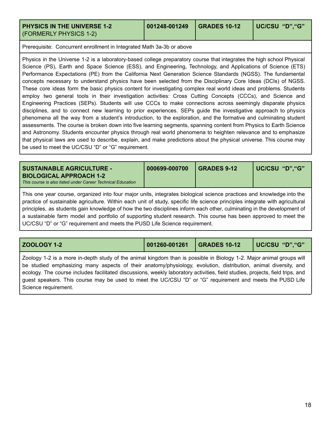<span id="page-18-0"></span>**PHYSICS IN THE UNIVERSE 1-2** (FORMERLY PHYSICS 1-2)

Prerequisite: Concurrent enrollment in Integrated Math 3a-3b or above

Physics in the Universe 1-2 is a laboratory-based college preparatory course that integrates the high school Physical Science (PS), Earth and Space Science (ESS), and Engineering, Technology, and Applications of Science (ETS) Performance Expectations (PE) from the California Next Generation Science Standards (NGSS). The fundamental concepts necessary to understand physics have been selected from the Disciplinary Core Ideas (DCIs) of NGSS. These core ideas form the basic physics content for investigating complex real world ideas and problems. Students employ two general tools in their investigation activities: Cross Cutting Concepts (CCCs), and Science and Engineering Practices (SEPs). Students will use CCCs to make connections across seemingly disparate physics disciplines, and to connect new learning to prior experiences. SEPs guide the investigative approach to physics phenomena all the way from a student's introduction, to the exploration, and the formative and culminating student assessments. The course is broken down into five learning segments, spanning content from Physics to Earth Science and Astronomy. Students encounter physics through real world phenomena to heighten relevance and to emphasize that physical laws are used to describe, explain, and make predictions about the physical universe. This course may be used to meet the UC/CSU "D" or "G" requirement.

<span id="page-18-1"></span>

| <b>SUSTAINABLE AGRICULTURE - I</b>                                                     | 000699-000700 | I GRADES 9-12 | UC/CSU "D","G" |
|----------------------------------------------------------------------------------------|---------------|---------------|----------------|
| BIOLOGICAL APPROACH 1-2<br>This course is also listed under Career Technical Education |               |               |                |

This one year course, organized into four major units, integrates biological science practices and knowledge into the practice of sustainable agriculture. Within each unit of study, specific life science principles integrate with agricultural principles, as students gain knowledge of how the two disciplines inform each other, culminating in the development of a sustainable farm model and portfolio of supporting student research. This course has been approved to meet the UC/CSU "D" or "G" requirement and meets the PUSD Life Science requirement.

<span id="page-18-2"></span>**ZOOLOGY 1-2 001260-001261 GRADES 10-12 UC/CSU "D","G"**

Zoology 1-2 is a more in-depth study of the animal kingdom than is possible in Biology 1-2. Major animal groups will be studied emphasizing many aspects of their anatomy/physiology, evolution, distribution, animal diversity, and ecology. The course includes facilitated discussions, weekly laboratory activities, field studies, projects, field trips, and guest speakers. This course may be used to meet the UC/CSU "D" or "G" requirement and meets the PUSD Life Science requirement.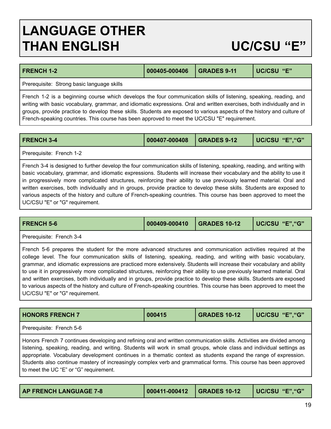## <span id="page-19-0"></span>**LANGUAGE OTHER THAN ENGLISH UC/CSU "E"**

<span id="page-19-2"></span>

| <b>FRENCH 1-2</b>                          | 000405-000406 GRADES 9-11 | <b>UC/CSU "E"</b> |
|--------------------------------------------|---------------------------|-------------------|
| Prerequisite: Strong basic language skills |                           |                   |

French 1-2 is a beginning course which develops the four communication skills of listening, speaking, reading, and writing with basic vocabulary, grammar, and idiomatic expressions. Oral and written exercises, both individually and in groups, provide practice to develop these skills. Students are exposed to various aspects of the history and culture of French-speaking countries. This course has been approved to meet the UC/CSU "E" requirement.

<span id="page-19-3"></span>

| <b>FRENCH 3-4</b> | 000407-000408 | GRADES 9-12 | UC/CSU "E", "G" |
|-------------------|---------------|-------------|-----------------|
|                   |               |             |                 |

Prerequisite: French 1-2

French 3-4 is designed to further develop the four communication skills of listening, speaking, reading, and writing with basic vocabulary, grammar, and idiomatic expressions. Students will increase their vocabulary and the ability to use it in progressively more complicated structures, reinforcing their ability to use previously learned material. Oral and written exercises, both individually and in groups, provide practice to develop these skills. Students are exposed to various aspects of the history and culture of French-speaking countries. This course has been approved to meet the UC/CSU "E" or "G" requirement.

<span id="page-19-4"></span>

| <b>FRENCH 5-6</b>                                                                                                                                                                                                                                                                                                                                                                                                                                                                                                                                                                                                                                                                                                                                                              | 000409-000410 | <b>GRADES 10-12</b> | UC/CSU "E", "G" |
|--------------------------------------------------------------------------------------------------------------------------------------------------------------------------------------------------------------------------------------------------------------------------------------------------------------------------------------------------------------------------------------------------------------------------------------------------------------------------------------------------------------------------------------------------------------------------------------------------------------------------------------------------------------------------------------------------------------------------------------------------------------------------------|---------------|---------------------|-----------------|
| Prerequisite: French 3-4                                                                                                                                                                                                                                                                                                                                                                                                                                                                                                                                                                                                                                                                                                                                                       |               |                     |                 |
| French 5-6 prepares the student for the more advanced structures and communication activities required at the<br>college level. The four communication skills of listening, speaking, reading, and writing with basic vocabulary,<br>grammar, and idiomatic expressions are practiced more extensively. Students will increase their vocabulary and ability<br>to use it in progressively more complicated structures, reinforcing their ability to use previously learned material. Oral<br>and written exercises, both individually and in groups, provide practice to develop these skills. Students are exposed<br>to various aspects of the history and culture of French-speaking countries. This course has been approved to meet the<br>UC/CSU "E" or "G" requirement. |               |                     |                 |

<span id="page-19-5"></span>

| <b>HONORS FRENCH 7</b>   | 000415 | <b>GRADES 10-12</b> | UC/CSU "E", "G" |
|--------------------------|--------|---------------------|-----------------|
| $\overline{\phantom{a}}$ |        |                     |                 |

Prerequisite: French 5-6

Honors French 7 continues developing and refining oral and written communication skills. Activities are divided among listening, speaking, reading, and writing. Students will work in small groups, whole class and individual settings as appropriate. Vocabulary development continues in a thematic context as students expand the range of expression. Students also continue mastery of increasingly complex verb and grammatical forms. This course has been approved to meet the UC "E" or "G" requirement.

<span id="page-19-1"></span>

| <b>AP FRENCH LANGUAGE 7-8</b> | $ 000411.000412 $ GRADES 10-12 | UC/CSU "E", "G" |
|-------------------------------|--------------------------------|-----------------|
|                               |                                |                 |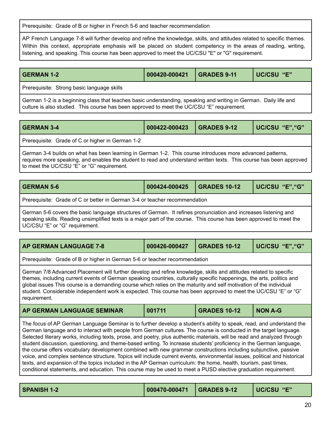Prerequisite: Grade of B or higher in French 5-6 and teacher recommendation

AP French Language 7-8 will further develop and refine the knowledge, skills, and attitudes related to specific themes. Within this context, appropriate emphasis will be placed on student competency in the areas of reading, writing, listening, and speaking. This course has been approved to meet the UC/CSU "E" or "G" requirement.

<span id="page-20-2"></span>

| <b>GERMAN 1-2</b>                                                                                                                                                                                              | 000420-000421 | GRADES 9-11 | <b>UC/CSU "E"</b> |  |
|----------------------------------------------------------------------------------------------------------------------------------------------------------------------------------------------------------------|---------------|-------------|-------------------|--|
| Prerequisite: Strong basic language skills                                                                                                                                                                     |               |             |                   |  |
| German 1-2 is a beginning class that teaches basic understanding, speaking and writing in German. Daily life and<br>culture is also studied. This course has been approved to meet the UC/CSU "E" requirement. |               |             |                   |  |

<span id="page-20-3"></span>

| <b>GERMAN 3-4</b>                                | 000422-000423 GRADES 9-12 | UC/CSU "E", "G" |
|--------------------------------------------------|---------------------------|-----------------|
| Prerequisite: Grade of C or higher in German 1-2 |                           |                 |

German 3-4 builds on what has been learning in German 1-2. This course introduces more advanced patterns, requires more speaking, and enables the student to read and understand written texts. This course has been approved to meet the UC/CSU "E" or "G" requirement.

<span id="page-20-5"></span>

| <b>GERMAN 5-6</b> | 000424-000425 | $\overline{\phantom{0}}$ GRADES 10-12 | UC/CSU "E", "G" |
|-------------------|---------------|---------------------------------------|-----------------|
|                   |               |                                       |                 |

Prerequisite: Grade of C or better in German 3-4 or teacher recommendation

German 5-6 covers the basic language structures of German. It refines pronunciation and increases listening and speaking skills. Reading unsimplified texts is a major part of the course. This course has been approved to meet the UC/CSU "E" or "G" requirement.

<span id="page-20-0"></span>

| <b>AP GERMAN LANGUAGE 7-8</b> | $000426 - 000427$ | $\overline{\phantom{0}}$ GRADES 10-12 | UC/CSU "E","G" |
|-------------------------------|-------------------|---------------------------------------|----------------|
|                               |                   |                                       |                |

Prerequisite: Grade of B or higher in German 5-6 or teacher recommendation

German 7/8 Advanced Placement will further develop and refine knowledge, skills and attitudes related to specific themes, including current events of German speaking countries, culturally specific happenings, the arts, politics and global issues This course is a demanding course which relies on the maturity and self motivation of the individual student. Considerable independent work is expected. This course has been approved to meet the UC/CSU "E" or "G" requirement.

<span id="page-20-1"></span>

| AP GERMAN LANGUAGE SEMINAR | 001711 | GRADES 10-12 | <b>NON A-G</b> |
|----------------------------|--------|--------------|----------------|
|----------------------------|--------|--------------|----------------|

The focus of AP German Language Seminar is to further develop a student's ability to speak, read, and understand the German language and to interact with people from German cultures. The course is conducted in the target language. Selected literary works, including texts, prose, and poetry, plus authentic materials, will be read and analyzed through student discussion, questioning, and theme-based writing. To increase students' proficiency in the German language, the course offers vocabulary development combined with new grammar constructions including subjunctive, passive voice, and complex sentence structure. Topics will include current events, environmental issues, political and historical texts, and expansion of the topics included in the AP German curriculum: the home, health, tourism, past times, conditional statements, and education. This course may be used to meet a PUSD elective graduation requirement.

<span id="page-20-4"></span>

| <b>SPANISH 1-2</b> |  |  | UC/CSU "E" |
|--------------------|--|--|------------|
|--------------------|--|--|------------|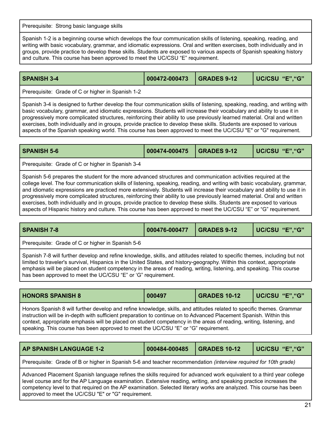Prerequisite: Strong basic language skills

Spanish 1-2 is a beginning course which develops the four communication skills of listening, speaking, reading, and writing with basic vocabulary, grammar, and idiomatic expressions. Oral and written exercises, both individually and in groups, provide practice to develop these skills. Students are exposed to various aspects of Spanish speaking history and culture. This course has been approved to meet the UC/CSU "E" requirement.

<span id="page-21-1"></span>

| <b>SPANISH 3-4</b> |  | UC/CSU "E","G" |
|--------------------|--|----------------|
|                    |  |                |

Prerequisite: Grade of C or higher in Spanish 1-2

Spanish 3-4 is designed to further develop the four communication skills of listening, speaking, reading, and writing with basic vocabulary, grammar, and idiomatic expressions. Students will increase their vocabulary and ability to use it in progressively more complicated structures, reinforcing their ability to use previously learned material. Oral and written exercises, both individually and in groups, provide practice to develop these skills. Students are exposed to various aspects of the Spanish speaking world. This course has been approved to meet the UC/CSU "E" or "G" requirement.

<span id="page-21-2"></span>

| <b>SPANISH 5-6</b>                                                                                                                                                                                                                                                                                                                                                                                                                                                                                                                                                                                                                                                                                                                                   | 000474-000475 | <b>GRADES 9-12</b> | UC/CSU "E", "G" |
|------------------------------------------------------------------------------------------------------------------------------------------------------------------------------------------------------------------------------------------------------------------------------------------------------------------------------------------------------------------------------------------------------------------------------------------------------------------------------------------------------------------------------------------------------------------------------------------------------------------------------------------------------------------------------------------------------------------------------------------------------|---------------|--------------------|-----------------|
| Prerequisite: Grade of C or higher in Spanish 3-4                                                                                                                                                                                                                                                                                                                                                                                                                                                                                                                                                                                                                                                                                                    |               |                    |                 |
| Spanish 5-6 prepares the student for the more advanced structures and communication activities required at the<br>college level. The four communication skills of listening, speaking, reading, and writing with basic vocabulary, grammar,<br>and idiomatic expressions are practiced more extensively. Students will increase their vocabulary and ability to use it in<br>progressively more complicated structures, reinforcing their ability to use previously learned material. Oral and written<br>exercises, both individually and in groups, provide practice to develop these skills. Students are exposed to various<br>aspects of Hispanic history and culture. This course has been approved to meet the UC/CSU "E" or "G" requirement. |               |                    |                 |

<span id="page-21-3"></span>

| <b>SPANISH 7-8</b>                                                                                                                                                                                                                                                                                                                                                                                                                            | 000476-000477 | <b>GRADES 9-12</b> | UC/CSU "E", "G" |
|-----------------------------------------------------------------------------------------------------------------------------------------------------------------------------------------------------------------------------------------------------------------------------------------------------------------------------------------------------------------------------------------------------------------------------------------------|---------------|--------------------|-----------------|
| Prerequisite: Grade of C or higher in Spanish 5-6                                                                                                                                                                                                                                                                                                                                                                                             |               |                    |                 |
| Spanish 7-8 will further develop and refine knowledge, skills, and attitudes related to specific themes, including but not<br>limited to traveler's survival, Hispanics in the United States, and history-geography. Within this context, appropriate<br>emphasis will be placed on student competency in the areas of reading, writing, listening, and speaking. This course<br>has been approved to meet the UC/CSU "E" or 'G" requirement. |               |                    |                 |

<span id="page-21-4"></span>

| <b>HONORS SPANISH 8</b>                                                                                                                                                                                                                                                                                                                                                                                                                                  | 000497 | <b>GRADES 10-12</b> | UC/CSU "E", "G" |
|----------------------------------------------------------------------------------------------------------------------------------------------------------------------------------------------------------------------------------------------------------------------------------------------------------------------------------------------------------------------------------------------------------------------------------------------------------|--------|---------------------|-----------------|
| Honors Spanish 8 will further develop and refine knowledge, skills, and attitudes related to specific themes. Grammar<br>instruction will be in-depth with sufficient preparation to continue on to Advanced Placement Spanish. Within this<br>context, appropriate emphasis will be placed on student competency in the areas of reading, writing, listening, and<br>speaking. This course has been approved to meet the UC/CSU "E" or "G" requirement. |        |                     |                 |

<span id="page-21-0"></span>

| <b>AP SPANISH LANGUAGE 1-2</b>                                                                                          | 000484-000485 | <b>GRADES 10-12</b> | UC/CSU "E", "G" |
|-------------------------------------------------------------------------------------------------------------------------|---------------|---------------------|-----------------|
| Prerequisite: Grade of B or higher in Spanish 5-6 and teacher recommendation <i>(interview required for 10th grade)</i> |               |                     |                 |
| Advanced Placement Spanish language refines the skills required for advanced work equivalent to a third vear college    |               |                     |                 |

ht Spanish language refines the skills required for advanced work equivalent to a third yea level course and for the AP Language examination. Extensive reading, writing, and speaking practice increases the competency level to that required on the AP examination. Selected literary works are analyzed. This course has been approved to meet the UC/CSU "E" or "G" requirement.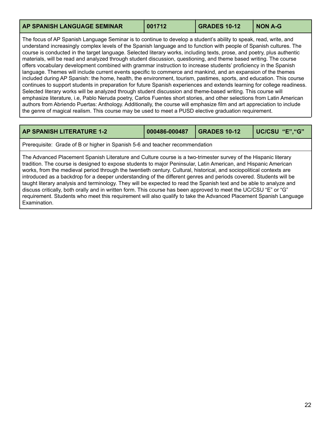<span id="page-22-1"></span>

| AP SPANISH LANGUAGE SEMINAR | 001712 | GRADES 10-12 | NON A-G |
|-----------------------------|--------|--------------|---------|
|                             |        |              |         |

The focus of AP Spanish Language Seminar is to continue to develop a student's ability to speak, read, write, and understand increasingly complex levels of the Spanish language and to function with people of Spanish cultures. The course is conducted in the target language. Selected literary works, including texts, prose, and poetry, plus authentic materials, will be read and analyzed through student discussion, questioning, and theme based writing. The course offers vocabulary development combined with grammar instruction to increase students' proficiency in the Spanish language. Themes will include current events specific to commerce and mankind, and an expansion of the themes included during AP Spanish: the home, health, the environment, tourism, pastimes, sports, and education. This course continues to support students in preparation for future Spanish experiences and extends learning for college readiness. Selected literary works will be analyzed through student discussion and theme-based writing. This course will emphasize literature, i.e, Pablo Neruda poetry, Carlos Fuentes short stories, and other selections from Latin American authors from Abriendo Puertas: Anthology. Additionally, the course will emphasize film and art appreciation to include the genre of magical realism. This course may be used to meet a PUSD elective graduation requirement.

<span id="page-22-0"></span>

| <b>AP SPANISH LITERATURE 1-2</b>                                                                                                                                                                                                                                                                                                                                                                                                                                                                                                                                                                                                                                                                                                                                                                                                                                | 000486-000487 | <b>GRADES 10-12</b> | UC/CSU "E", "G" |
|-----------------------------------------------------------------------------------------------------------------------------------------------------------------------------------------------------------------------------------------------------------------------------------------------------------------------------------------------------------------------------------------------------------------------------------------------------------------------------------------------------------------------------------------------------------------------------------------------------------------------------------------------------------------------------------------------------------------------------------------------------------------------------------------------------------------------------------------------------------------|---------------|---------------------|-----------------|
| Prerequisite: Grade of B or higher in Spanish 5-6 and teacher recommendation                                                                                                                                                                                                                                                                                                                                                                                                                                                                                                                                                                                                                                                                                                                                                                                    |               |                     |                 |
| The Advanced Placement Spanish Literature and Culture course is a two-trimester survey of the Hispanic literary<br>tradition. The course is designed to expose students to major Peninsular, Latin American, and Hispanic American<br>works, from the medieval period through the twentieth century. Cultural, historical, and sociopolitical contexts are<br>introduced as a backdrop for a deeper understanding of the different genres and periods covered. Students will be<br>taught literary analysis and terminology. They will be expected to read the Spanish text and be able to analyze and<br>discuss critically, both orally and in written form. This course has been approved to meet the UC/CSU "E" or "G"<br>requirement. Students who meet this requirement will also qualify to take the Advanced Placement Spanish Language<br>Examination. |               |                     |                 |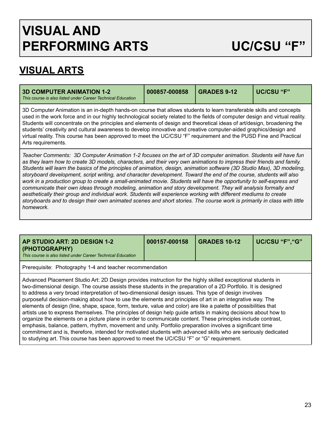## <span id="page-23-0"></span>**VISUAL AND PERFORMING ARTS UC/CSU "F"**

## **VISUAL ARTS**

<span id="page-23-1"></span>

| <b>3D COMPUTER ANIMATION 1-2</b><br>This course is also listed under Career Technical Education                                                                                                                                                                                                                                                                                                                                                                                                                                                                                                                                               | 000857-000858 | <b>GRADES 9-12</b> | <b>UC/CSU "F"</b> |  |
|-----------------------------------------------------------------------------------------------------------------------------------------------------------------------------------------------------------------------------------------------------------------------------------------------------------------------------------------------------------------------------------------------------------------------------------------------------------------------------------------------------------------------------------------------------------------------------------------------------------------------------------------------|---------------|--------------------|-------------------|--|
| 3D Computer Animation is an in-depth hands-on course that allows students to learn transferable skills and concepts<br>used in the work force and in our highly technological society related to the fields of computer design and virtual reality.<br>Students will concentrate on the principles and elements of design and theoretical ideas of art/design, broadening the<br>students' creativity and cultural awareness to develop innovative and creative computer-aided graphics/design and<br>virtual reality. This course has been approved to meet the UC/CSU "F" requirement and the PUSD Fine and Practical<br>Arts requirements. |               |                    |                   |  |
| Teacher Comments: 3D Computer Animation 1-2 focuses on the art of 3D computer animation. Students will have fun<br>to the colonical cools and <b>AB</b> and let the models and the boson composition to boson of the believed and leady.                                                                                                                                                                                                                                                                                                                                                                                                      |               |                    |                   |  |

as they learn how to create 3D models, characters, and their very own animations to impress their friends and family. Students will learn the basics of the principles of animation, design, animation software (3D Studio Max), 3D modeling, storyboard development, script writing, and character development. Toward the end of the course, students will also work in a production group to create a small-animated movie. Students will have the opportunity to self-express and *communicate their own ideas through modeling, animation and story development. They will analysis formally and aesthetically their group and individual work. Students will experience working with different mediums to create* storyboards and to design their own animated scenes and short stories. The course work is primarily in class with little *homework.*

<span id="page-23-2"></span>

| AP STUDIO ART: 2D DESIGN 1-2<br>(PHOTOGRAPHY)<br>This course is also listed under Career Technical Education | 000157-000158 | <b>GRADES 10-12</b> | UC/CSU "F","G" |
|--------------------------------------------------------------------------------------------------------------|---------------|---------------------|----------------|
| Prerequisite: Photography 1-4 and teacher recommendation                                                     |               |                     |                |
|                                                                                                              |               |                     |                |

Advanced Placement Studio Art: 2D Design provides instruction for the highly skilled exceptional students in two-dimensional design. The course assists these students in the preparation of a 2D Portfolio. It is designed to address a very broad interpretation of two-dimensional design issues. This type of design involves purposeful decision-making about how to use the elements and principles of art in an integrative way. The elements of design (line, shape, space, form, texture, value and color) are like a palette of possibilities that artists use to express themselves. The principles of design help guide artists in making decisions about how to organize the elements on a picture plane in order to communicate content. These principles include contrast, emphasis, balance, pattern, rhythm, movement and unity. Portfolio preparation involves a significant time commitment and is, therefore, intended for motivated students with advanced skills who are seriously dedicated to studying art. This course has been approved to meet the UC/CSU "F" or "G" requirement.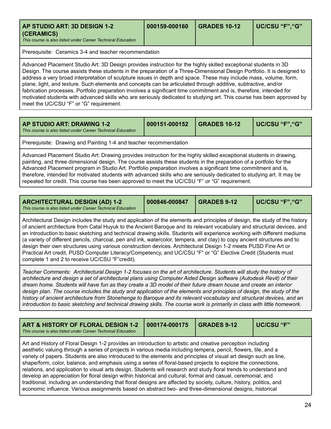<span id="page-24-0"></span>

| (CERAMICS)<br>This course is also listed under Career Technical Education |  |
|---------------------------------------------------------------------------|--|
|---------------------------------------------------------------------------|--|

Prerequisite: Ceramics 3-4 and teacher recommendation

Advanced Placement Studio Art: 3D Design provides instruction for the highly skilled exceptional students in 3D Design. The course assists these students in the preparation of a Three-Dimensional Design Portfolio. It is designed to address a very broad interpretation of sculpture issues in depth and space. These may include mass, volume, form, plane, light, and texture. Such elements and concepts can be articulated through additive, subtractive, and/or fabrication processes. Portfolio preparation involves a significant time commitment and is, therefore, intended for motivated students with advanced skills who are seriously dedicated to studying art. This course has been approved by meet the UC/CSU "F" or "G" requirement.

<span id="page-24-1"></span>

| AP STUDIO ART: DRAWING 1-2<br>This course is also listed under Career Technical Education                                                                                                                                                                                                                                                                                                                                                                                                                                                                                               | 000151-000152 | <b>GRADES 10-12</b> | UC/CSU "F", "G" |  |
|-----------------------------------------------------------------------------------------------------------------------------------------------------------------------------------------------------------------------------------------------------------------------------------------------------------------------------------------------------------------------------------------------------------------------------------------------------------------------------------------------------------------------------------------------------------------------------------------|---------------|---------------------|-----------------|--|
| Prerequisite: Drawing and Painting 1-4 and teacher recommendation                                                                                                                                                                                                                                                                                                                                                                                                                                                                                                                       |               |                     |                 |  |
| Advanced Placement Studio Art: Drawing provides instruction for the highly skilled exceptional students in drawing,<br>painting, and three dimensional design. The course assists these students in the preparation of a portfolio for the<br>Advanced Placement program in Studio Art. Portfolio preparation involves a significant time commitment and is,<br>therefore, intended for motivated students with advanced skills who are seriously dedicated to studying art. It may be<br>repeated for credit. This course has been approved to meet the UC/CSU "F" or "G" requirement. |               |                     |                 |  |

<span id="page-24-2"></span>

| <b>ARCHITECTURAL DESIGN (AD) 1-2</b>                        | 000846-000847 | <b>GRADES 9-12</b> | UC/CSU "F", "G" |
|-------------------------------------------------------------|---------------|--------------------|-----------------|
| This course is also listed under Career Technical Education |               |                    |                 |

Architectural Design includes the study and application of the elements and principles of design, the study of the history of ancient architecture from Catal Huyuk to the Ancient Baroque and its relevant vocabulary and structural devices, and an introduction to basic sketching and technical drawing skills. Students will experience working with different mediums (a variety of different pencils, charcoal, pen and ink, watercolor, tempera, and clay) to copy ancient structures and to design their own structures using various construction devices. Architectural Design 1-2 meets PUSD Fine Art or Practical Art credit, PUSD Computer Literacy/Competency, and UC/CSU "F" or "G" Elective Credit (Students must complete 1 and 2 to receive UC/CSU "F"credit).

Teacher Comments: Architectural Design 1-2 focuses on the art of architecture. Students will study the history of architecture and design a set of architectural plans using Computer Aided Design software (Autodesk Revit) of their dream home. Students will have fun as they create a 3D model of their future dream house and create an interior design plan. The course includes the study and application of the elements and principles of design, the study of the history of ancient architecture from Stonehenge to Baroque and its relevant vocabulary and structural devices, and an introduction to basic sketching and technical drawing skills. The course work is primarily in class with little homework.

<span id="page-24-3"></span>

| ART & HISTORY OF FLORAL DESIGN 1-2<br>This course is also listed under Career Technical Education                                                                                                                                                                                                                                                                                                                                                                                                                                                                                                                                                                                                                                                                                                                                                                                                                                             | 000174-000175 | <b>GRADES 9-12</b> | <b>UC/CSU "F"</b> |
|-----------------------------------------------------------------------------------------------------------------------------------------------------------------------------------------------------------------------------------------------------------------------------------------------------------------------------------------------------------------------------------------------------------------------------------------------------------------------------------------------------------------------------------------------------------------------------------------------------------------------------------------------------------------------------------------------------------------------------------------------------------------------------------------------------------------------------------------------------------------------------------------------------------------------------------------------|---------------|--------------------|-------------------|
| Art and History of Floral Design 1-2 provides an introduction to artistic and creative perception including<br>aesthetic valuing through a series of projects in various media including tempera, pencil, flowers, tile, and a<br>variety of papers. Students are also introduced to the elements and principles of visual art design such as line,<br>shape/form, color, balance, and emphasis using a series of floral-based projects to explore the connections,<br>relations, and application to visual arts design. Students will research and study floral trends to understand and<br>develop an appreciation for floral design within historical and cultural, formal and casual, ceremonial, and<br>traditional, including an understanding that floral designs are affected by society, culture, history, politics, and<br>economic influence. Various assignments based on abstract two- and three-dimensional designs, historical |               |                    |                   |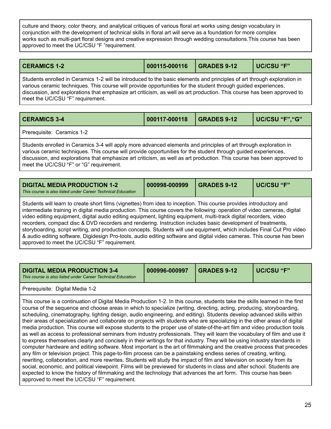culture and theory, color theory, and analytical critiques of various floral art works using design vocabulary in conjunction with the development of technical skills in floral art will serve as a foundation for more complex works such as multi-part floral designs and creative expression through wedding consultations.This course has been approved to meet the UC/CSU "F "requirement.

<span id="page-25-0"></span>**CERAMICS 1-2 000115-000116 GRADES 9-12 UC/CSU "F"**

Students enrolled in Ceramics 1-2 will be introduced to the basic elements and principles of art through exploration in various ceramic techniques. This course will provide opportunities for the student through guided experiences, discussion, and explorations that emphasize art criticism, as well as art production. This course has been approved to meet the UC/CSU "F" requirement.

<span id="page-25-1"></span>

| <b>CERAMICS 3-4</b>        | 000117-000118 | $\overline{\phantom{0}}$ GRADES 9-12 | UC/CSU "F", "G" |
|----------------------------|---------------|--------------------------------------|-----------------|
| Prerequisite: Ceramics 1-2 |               |                                      |                 |

Students enrolled in Ceramics 3-4 will apply more advanced elements and principles of art through exploration in various ceramic techniques. This course will provide opportunities for the student through guided experiences, discussion, and explorations that emphasize art criticism, as well as art production. This course has been approved to meet the UC/CSU "F" or "G" requirement.

<span id="page-25-2"></span>

| <b>DIGITAL MEDIA PRODUCTION 1-2</b><br>This course is also listed under Career Technical Education                                                                                                                                                                                                                                                                    | 000998-000999 | <b>GRADES 9-12</b> | UC/CSU "F" |
|-----------------------------------------------------------------------------------------------------------------------------------------------------------------------------------------------------------------------------------------------------------------------------------------------------------------------------------------------------------------------|---------------|--------------------|------------|
| Students will learn to create short films (vignettes) from idea to inception. This course provides introductory and<br>intermediate training in digital media production. This course covers the following: operation of video cameras, digital<br>video editing equipment, digital audio editing equipment, lighting equipment, multi-track digital recorders, video |               |                    |            |

recorders, compact disc & DVD recorders and rendering. Instruction includes basic development of treatments, storyboarding, script writing, and production concepts. Students will use equipment, which includes Final Cut Pro video & audio editing software, Digidesign Pro-tools, audio editing software and digital video cameras. This course has been approved to meet the UC/CSU "F" requirement.

| <b>DIGITAL MEDIA PRODUCTION 3-4</b><br>This course is also listed under Career Technical Education                                                                                                                                                                                                                                                                                                                                                                                                                                                                                                                                                                                                                                                                                                                                                                                                                                                                                                                                                                                                                                                                                                                                                                                                                                                                                                                                                                                                                                                                         | 000996-000997 | <b>GRADES 9-12</b> | <b>UC/CSU "F"</b> |
|----------------------------------------------------------------------------------------------------------------------------------------------------------------------------------------------------------------------------------------------------------------------------------------------------------------------------------------------------------------------------------------------------------------------------------------------------------------------------------------------------------------------------------------------------------------------------------------------------------------------------------------------------------------------------------------------------------------------------------------------------------------------------------------------------------------------------------------------------------------------------------------------------------------------------------------------------------------------------------------------------------------------------------------------------------------------------------------------------------------------------------------------------------------------------------------------------------------------------------------------------------------------------------------------------------------------------------------------------------------------------------------------------------------------------------------------------------------------------------------------------------------------------------------------------------------------------|---------------|--------------------|-------------------|
| Prerequisite: Digital Media 1-2                                                                                                                                                                                                                                                                                                                                                                                                                                                                                                                                                                                                                                                                                                                                                                                                                                                                                                                                                                                                                                                                                                                                                                                                                                                                                                                                                                                                                                                                                                                                            |               |                    |                   |
| This course is a continuation of Digital Media Production 1-2. In this course, students take the skills learned in the first<br>course of the sequence and choose areas in which to specialize (writing, directing, acting, producing, storyboarding,<br>scheduling, cinematography, lighting design, audio engineering, and editing). Students develop advanced skills within<br>their areas of specialization and collaborate on projects with students who are specializing in the other areas of digital<br>media production. This course will expose students to the proper use of state-of-the-art film and video production tools<br>as well as access to professional seminars from industry professionals. They will learn the vocabulary of film and use it<br>to express themselves clearly and concisely in their writings for that industry. They will be using industry standards in<br>computer hardware and editing software. Most important is the art of filmmaking and the creative process that precedes<br>any film or television project. This page-to-film process can be a painstaking endless series of creating, writing,<br>rewriting, collaboration, and more rewrites. Students will study the impact of film and television on society from its<br>social, economic, and political viewpoint. Films will be previewed for students in class and after school. Students are<br>expected to know the history of filmmaking and the technology that advances the art form. This course has been<br>approved to meet the UC/CSU "F" requirement. |               |                    |                   |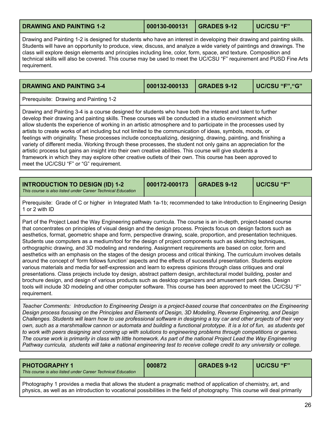<span id="page-26-1"></span>

| <b>DRAWING AND PAINTING 1-2</b> | 000130-000131 GRADES 9-12 | UC/CSU "F" |
|---------------------------------|---------------------------|------------|
|                                 |                           |            |

Drawing and Painting 1-2 is designed for students who have an interest in developing their drawing and painting skills. Students will have an opportunity to produce, view, discuss, and analyze a wide variety of paintings and drawings. The class will explore design elements and principles including line, color, form, space, and texture. Composition and technical skills will also be covered. This course may be used to meet the UC/CSU "F" requirement and PUSD Fine Arts requirement.

<span id="page-26-0"></span>**DRAWING AND PAINTING 3-4 000132-000133 GRADES 9-12 UC/CSU "F","G"**

Prerequisite: Drawing and Painting 1-2

Drawing and Painting 3-4 is a course designed for students who have both the interest and talent to further develop their drawing and painting skills. These courses will be conducted in a studio environment which allow students the experience of working in an artistic atmosphere and to participate in the processes used by artists to create works of art including but not limited to the communication of ideas, symbols, moods, or feelings with originality. These processes include conceptualizing, designing, drawing, painting, and finishing a variety of different media. Working through these processes, the student not only gains an appreciation for the artistic process but gains an insight into their own creative abilities. This course will give students a framework in which they may explore other creative outlets of their own. This course has been approved to meet the UC/CSU "F" or "G" requirement.

<span id="page-26-3"></span>

| UC/CSU "F"<br>000172-000173<br><b>INTRODUCTION TO DESIGN (ID) 1-2</b><br><b>GRADES 9-12</b><br>This course is also listed under Career Technical Education |
|------------------------------------------------------------------------------------------------------------------------------------------------------------|
|------------------------------------------------------------------------------------------------------------------------------------------------------------|

Prerequisite: Grade of C or higher in Integrated Math 1a-1b; recommended to take Introduction to Engineering Design 1 or 2 with ID

Part of the Project Lead the Way Engineering pathway curricula. The course is an in-depth, project-based course that concentrates on principles of visual design and the design process. Projects focus on design factors such as aesthetics, format, geometric shape and form, perspective drawing, scale, proportion, and presentation techniques. Students use computers as a medium/tool for the design of project components such as sketching techniques, orthographic drawing, and 3D modeling and rendering. Assignment requirements are based on color, form and aesthetics with an emphasis on the stages of the design process and critical thinking. The curriculum involves details around the concept of 'form follows function' aspects and the effects of successful presentation. Students explore various materials and media for self-expression and learn to express opinions through class critiques and oral presentations. Class projects include toy design, abstract pattern design, architectural model building, poster and brochure design, and design of various products such as desktop organizers and amusement park rides. Design tools will include 3D modeling and other computer software. This course has been approved to meet the UC/CSU "F" requirement.

*Teacher Comments: Introduction to Engineering Design is a project-based course that concentrates on the Engineering Design process focusing on the Principles and Elements of Design, 3D Modeling, Reverse Engineering, and Design* Challenges. Students will learn how to use professional software in designing a toy car and other projects of their very own, such as a marshmallow cannon or automata and building a functional prototype. It is a lot of fun, as students get to work with peers designing and coming up with solutions to engineering problems through competitions or games. The course work is primarily in class with little homework. As part of the national Project Lead the Way Engineering Pathway curricula, students will take a national engineering test to receive college credit to any university or college.

<span id="page-26-2"></span>

| <b>PHOTOGRAPHY 1</b><br>This course is also listed under Career Technical Education | 000872 | <b>GRADES 9-12</b> | UC/CSU "F" |
|-------------------------------------------------------------------------------------|--------|--------------------|------------|
|                                                                                     |        |                    |            |

Photography 1 provides a media that allows the student a pragmatic method of application of chemistry, art, and physics, as well as an introduction to vocational possibilities in the field of photography. This course will deal primarily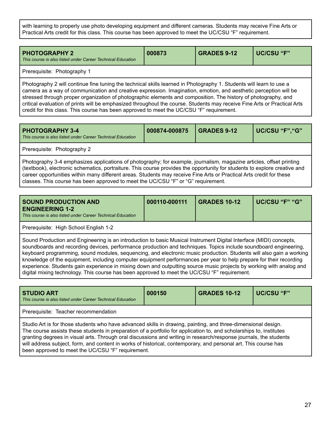with learning to properly use photo developing equipment and different cameras. Students may receive Fine Arts or Practical Arts credit for this class. This course has been approved to meet the UC/CSU "F" requirement.

<span id="page-27-0"></span>

| <b>PHOTOGRAPHY 2</b><br>This course is also listed under Career Technical Education                                                                                                                                                                                                                                                                      | 000873 | <b>GRADES 9-12</b> | UC/CSU "F" |  |  |
|----------------------------------------------------------------------------------------------------------------------------------------------------------------------------------------------------------------------------------------------------------------------------------------------------------------------------------------------------------|--------|--------------------|------------|--|--|
| Prerequisite: Photography 1                                                                                                                                                                                                                                                                                                                              |        |                    |            |  |  |
| Photography 2 will continue fine tuning the technical skills learned in Photography 1. Students will learn to use a<br>camera as a way of communication and creative expression. Imagination, emotion, and aesthetic perception will be<br>etropood through proper exacpization of photographic elements and composition. The biotomy of photography and |        |                    |            |  |  |

stressed through proper organization of photographic elements and composition. The history of photography, and critical evaluation of prints will be emphasized throughout the course. Students may receive Fine Arts or Practical Arts credit for this class. This course has been approved to meet the UC/CSU "F" requirement.

<span id="page-27-1"></span>

| <b>PHOTOGRAPHY 3-4</b><br>This course is also listed under Career Technical Education | 000874-000875 | GRADES 9-12 | UC/CSU "F","G" |
|---------------------------------------------------------------------------------------|---------------|-------------|----------------|
| Prerequisite: Photography 2                                                           |               |             |                |

Photography 3-4 emphasizes applications of photography; for example, journalism, magazine articles, offset printing (textbook), electronic schematics, portraiture. This course provides the opportunity for students to explore creative and career opportunities within many different areas. Students may receive Fine Arts or Practical Arts credit for these classes. This course has been approved to meet the UC/CSU "F" or "G" requirement.

<span id="page-27-2"></span>

| UC/CSU "F" "G"<br>000110-000111<br>  GRADES 10-12<br><b>SOUND PRODUCTION AND</b><br><b>ENGINEERING 1-2</b><br>This course is also listed under Career Technical Education |
|---------------------------------------------------------------------------------------------------------------------------------------------------------------------------|
|---------------------------------------------------------------------------------------------------------------------------------------------------------------------------|

Prerequisite: High School English 1-2

Sound Production and Engineering is an introduction to basic Musical Instrument Digital Interface (MIDI) concepts, soundboards and recording devices, performance production and techniques. Topics include soundboard engineering, keyboard programming, sound modules, sequencing, and electronic music production. Students will also gain a working knowledge of the equipment, including computer equipment performances per year to help prepare for their recording experience. Students gain experience in mixing down and outputting source music projects by working with analog and digital mixing technology. This course has been approved to meet the UC/CSU "F" requirement.

<span id="page-27-3"></span>

| <b>STUDIO ART</b><br>This course is also listed under Career Technical Education                                                                                                                                                                                                                                                                                                                                                                                                                                                  | 000150 | <b>GRADES 10-12</b> | UC/CSU "F" |  |  |
|-----------------------------------------------------------------------------------------------------------------------------------------------------------------------------------------------------------------------------------------------------------------------------------------------------------------------------------------------------------------------------------------------------------------------------------------------------------------------------------------------------------------------------------|--------|---------------------|------------|--|--|
| Prerequisite: Teacher recommendation                                                                                                                                                                                                                                                                                                                                                                                                                                                                                              |        |                     |            |  |  |
| Studio Art is for those students who have advanced skills in drawing, painting, and three-dimensional design.<br>The course assists these students in preparation of a portfolio for application to, and scholarships to, institutes<br>granting degrees in visual arts. Through oral discussions and writing in research/response journals, the students<br>will address subject, form, and content in works of historical, contemporary, and personal art. This course has<br>been approved to meet the UC/CSU "F" requirement. |        |                     |            |  |  |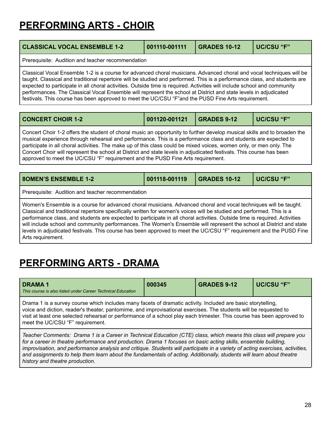## **PERFORMING ARTS - CHOIR**

<span id="page-28-0"></span>

| <b>CLASSICAL VOCAL ENSEMBLE 1-2</b>                                                                                                                                                                                                                                                                                                                                                                                                                                                                                                                                                                      | 001110-001111 | <b>GRADES 10-12</b> | <b>UC/CSU "F"</b> |  |  |
|----------------------------------------------------------------------------------------------------------------------------------------------------------------------------------------------------------------------------------------------------------------------------------------------------------------------------------------------------------------------------------------------------------------------------------------------------------------------------------------------------------------------------------------------------------------------------------------------------------|---------------|---------------------|-------------------|--|--|
| Prerequisite: Audition and teacher recommendation                                                                                                                                                                                                                                                                                                                                                                                                                                                                                                                                                        |               |                     |                   |  |  |
| Classical Vocal Ensemble 1-2 is a course for advanced choral musicians. Advanced choral and vocal techniques will be<br>taught. Classical and traditional repertoire will be studied and performed. This is a performance class, and students are<br>expected to participate in all choral activities. Outside time is required. Activities will include school and community<br>performances. The Classical Vocal Ensemble will represent the school at District and state levels in adjudicated<br>festivals. This course has been approved to meet the UC/CSU "F" and the PUSD Fine Arts requirement. |               |                     |                   |  |  |

<span id="page-28-1"></span>

| <b>CONCERT CHOIR 1-2</b>                                                                                                 | 001120-001121   GRADES 9-12 |  | UC/CSU "F" |  |
|--------------------------------------------------------------------------------------------------------------------------|-----------------------------|--|------------|--|
| Concert Choir 1-2 offers the student of choral music an opportunity to further develop musical skills and to broaden the |                             |  |            |  |

musical experience through rehearsal and performance. This is a performance class and students are expected to participate in all choral activities. The make up of this class could be mixed voices, women only, or men only. The Concert Choir will represent the school at District and state levels in adjudicated festivals. This course has been approved to meet the UC/CSU "F" requirement and the PUSD Fine Arts requirement.

<span id="page-28-3"></span>

| <b>8OMEN'S ENSEMBLE 1-2</b>                                                                                                                                                                                                                                                                                                                                                                                                                                                                                                                                                                                            | 001118-001119 | <b>GRADES 10-12</b> | UC/CSU "F" |  |
|------------------------------------------------------------------------------------------------------------------------------------------------------------------------------------------------------------------------------------------------------------------------------------------------------------------------------------------------------------------------------------------------------------------------------------------------------------------------------------------------------------------------------------------------------------------------------------------------------------------------|---------------|---------------------|------------|--|
| Prerequisite: Audition and teacher recommendation                                                                                                                                                                                                                                                                                                                                                                                                                                                                                                                                                                      |               |                     |            |  |
| Women's Ensemble is a course for advanced choral musicians. Advanced choral and vocal techniques will be taught.<br>Classical and traditional repertoire specifically written for women's voices will be studied and performed. This is a<br>performance class, and students are expected to participate in all choral activities. Outside time is required. Activities<br>will include school and community performances. The Women's Ensemble will represent the school at District and state<br>levels in adjudicated festivals. This course has been approved to meet the UC/CSU "F" requirement and the PUSD Fine |               |                     |            |  |

Arts requirement.

## **PERFORMING ARTS - DRAMA**

<span id="page-28-2"></span>

| <b>DRAMA1</b><br>This course is also listed under Career Technical Education                                                                                                                                                                                                                                                                                                                                                                                                                 | 000345 | <b>GRADES 9-12</b> | <b>UC/CSU "F"</b> |  |
|----------------------------------------------------------------------------------------------------------------------------------------------------------------------------------------------------------------------------------------------------------------------------------------------------------------------------------------------------------------------------------------------------------------------------------------------------------------------------------------------|--------|--------------------|-------------------|--|
| Drama 1 is a survey course which includes many facets of dramatic activity. Included are basic storytelling,<br>voice and diction, reader's theater, pantomime, and improvisational exercises. The students will be requested to<br>visit at least one selected rehearsal or performance of a school play each trimester. This course has been approved to<br>meet the UC/CSU "F" requirement.                                                                                               |        |                    |                   |  |
| Teacher Comments: Drama 1 is a Career in Technical Education (CTE) class, which means this class will prepare you<br>for a career in theatre performance and production. Drama 1 focuses on basic acting skills, ensemble building,<br>improvisation, and performance analysis and critique. Students will participate in a variety of acting exercises, activities,<br>and assignments to help them learn about the fundamentals of acting. Additionally, students will learn about theatre |        |                    |                   |  |

*history and theatre production.*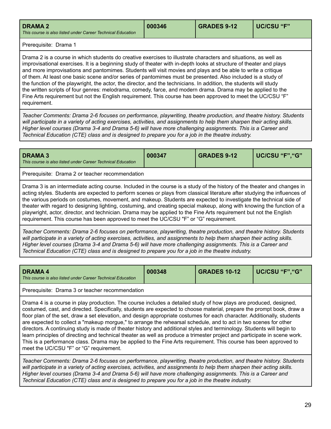<span id="page-29-0"></span>

|  | <b>DRAMA 2</b><br>This course is also listed under Career Technical Education | 000346 | <b>GRADES 9-12</b> | UC/CSU "F" |
|--|-------------------------------------------------------------------------------|--------|--------------------|------------|
|--|-------------------------------------------------------------------------------|--------|--------------------|------------|

### Prerequisite: Drama 1

Drama 2 is a course in which students do creative exercises to illustrate characters and situations, as well as improvisational exercises. It is a beginning study of theater with in-depth looks at structure of theater and plays and more improvisations and pantomimes. Students will visit movies and plays and be able to write a critique of them. At least one basic scene and/or series of pantomimes must be presented. Also included is a study of the function of the playwright, the actor, the director, and the technicians. In addition, the students will study the written scripts of four genres: melodrama, comedy, farce, and modern drama. Drama may be applied to the Fine Arts requirement but not the English requirement. This course has been approved to meet the UC/CSU "F" requirement.

*Teacher Comments: Drama 2-6 focuses on performance, playwriting, theatre production, and theatre history. Students* will participate in a variety of acting exercises, activities, and assignments to help them sharpen their acting skills. Higher level courses (Drama 3-4 and Drama 5-6) will have more challenging assignments. This is a Career and *Technical Education (CTE) class and is designed to prepare you for a job in the theatre industry.*

<span id="page-29-1"></span>

| <b>DRAMA 3</b><br>This course is also listed under Career Technical Education                                            | 000347 | <b>GRADES 9-12</b> | UC/CSU "F","G" |  |
|--------------------------------------------------------------------------------------------------------------------------|--------|--------------------|----------------|--|
| Prerequisite: Drama 2 or teacher recommendation                                                                          |        |                    |                |  |
| Drama 3 is an intermediate acting course. Included in the course is a study of the history of the theater and changes in |        |                    |                |  |

acting styles. Students are expected to perform scenes or plays from classical literature after studying the influences of the various periods on costumes, movement, and makeup. Students are expected to investigate the technical side of theater with regard to designing lighting, costuming, and creating special makeup, along with knowing the function of a playwright, actor, director, and technician. Drama may be applied to the Fine Arts requirement but not the English requirement. This course has been approved to meet the UC/CSU "F" or "G" requirement.

*Teacher Comments: Drama 2-6 focuses on performance, playwriting, theatre production, and theatre history. Students* will participate in a variety of acting exercises, activities, and assignments to help them sharpen their acting skills. Higher level courses (Drama 3-4 and Drama 5-6) will have more challenging assignments. This is a Career and *Technical Education (CTE) class and is designed to prepare you for a job in the theatre industry.*

<span id="page-29-2"></span>

| <b>DRAMA 4</b><br>l This course is also listed under Career Technical Education | 000348 | <b>GRADES 10-12</b> | UC/CSU "F","G" |
|---------------------------------------------------------------------------------|--------|---------------------|----------------|
| $\overline{\phantom{0}}$<br>$\overline{\phantom{a}}$                            |        |                     |                |

Prerequisite: Drama 3 or teacher recommendation

Drama 4 is a course in play production. The course includes a detailed study of how plays are produced, designed, costumed, cast, and directed. Specifically, students are expected to choose material, prepare the prompt book, draw a floor plan of the set, draw a set elevation, and design appropriate costumes for each character. Additionally, students are expected to collect a "makeup morgue," to arrange the rehearsal schedule, and to act in two scenes for other directors. A continuing study is made of theater history and additional styles and terminology. Students will begin to learn principles of directing and technical theater as well as produce a trimester project and participate in scene work. This is a performance class. Drama may be applied to the Fine Arts requirement. This course has been approved to meet the UC/CSU "F" or "G" requirement.

*Teacher Comments: Drama 2-6 focuses on performance, playwriting, theatre production, and theatre history. Students* will participate in a variety of acting exercises, activities, and assignments to help them sharpen their acting skills. Higher level courses (Drama 3-4 and Drama 5-6) will have more challenging assignments. This is a Career and *Technical Education (CTE) class and is designed to prepare you for a job in the theatre industry.*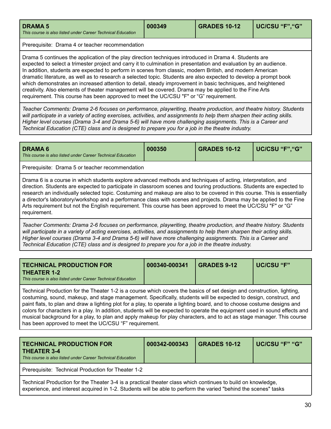<span id="page-30-0"></span>

| <b>GRADES 10-12</b><br>  UC/CSU "F", "G"<br>000349<br><b>DRAMA 5</b><br>This course is also listed under Career Technical Education |
|-------------------------------------------------------------------------------------------------------------------------------------|
|-------------------------------------------------------------------------------------------------------------------------------------|

Prerequisite: Drama 4 or teacher recommendation

Drama 5 continues the application of the play direction techniques introduced in Drama 4. Students are expected to select a trimester project and carry it to culmination in presentation and evaluation by an audience. In addition, students are expected to perform in scenes from classic, modern British, and modern American dramatic literature, as well as to research a selected topic. Students are also expected to develop a prompt book which demonstrates an increased attention to detail, steady improvement in basic techniques, and heightened creativity. Also elements of theater management will be covered. Drama may be applied to the Fine Arts requirement. This course has been approved to meet the UC/CSU "F" or "G" requirement.

*Teacher Comments: Drama 2-6 focuses on performance, playwriting, theatre production, and theatre history. Students* will participate in a variety of acting exercises, activities, and assignments to help them sharpen their acting skills. Higher level courses (Drama 3-4 and Drama 5-6) will have more challenging assignments. This is a Career and *Technical Education (CTE) class and is designed to prepare you for a job in the theatre industry.*

<span id="page-30-1"></span>

| <b>DRAMA 6</b><br>This course is also listed under Career Technical Education                                                                                                                                                                                                                                                                                                                                                                                                                                                                                                                                             | 000350 | <b>GRADES 10-12</b> | UC/CSU "F", "G" |  |  |
|---------------------------------------------------------------------------------------------------------------------------------------------------------------------------------------------------------------------------------------------------------------------------------------------------------------------------------------------------------------------------------------------------------------------------------------------------------------------------------------------------------------------------------------------------------------------------------------------------------------------------|--------|---------------------|-----------------|--|--|
| Prerequisite: Drama 5 or teacher recommendation                                                                                                                                                                                                                                                                                                                                                                                                                                                                                                                                                                           |        |                     |                 |  |  |
| Drama 6 is a course in which students explore advanced methods and techniques of acting, interpretation, and<br>direction. Students are expected to participate in classroom scenes and touring productions. Students are expected to<br>research an individually selected topic. Costuming and makeup are also to be covered in this course. This is essentially<br>a director's laboratory/workshop and a performance class with scenes and projects. Drama may be applied to the Fine<br>Arts requirement but not the English requirement. This course has been approved to meet the UC/CSU "F" or "G"<br>requirement. |        |                     |                 |  |  |
| Teacher Comments: Drama 2-6 focuses on performance, playwriting, theatre production, and theatre history. Students<br>will participate in a variety of acting exercises, activities, and assignments to help them sharpen their acting skills.<br>Higher level courses (Drama 3-4 and Drama 5-6) will have more challenging assignments. This is a Career and                                                                                                                                                                                                                                                             |        |                     |                 |  |  |

*Technical Education (CTE) class and is designed to prepare you for a job in the theatre industry.*

<span id="page-30-2"></span>

| THEATER 1-2<br>This course is also listed under Career Technical Education | <b>TECHNICAL PRODUCTION FOR</b> | 000340-000341 | <b>GRADES 9-12</b> | UC/CSU "F" |
|----------------------------------------------------------------------------|---------------------------------|---------------|--------------------|------------|
|----------------------------------------------------------------------------|---------------------------------|---------------|--------------------|------------|

Technical Production for the Theater 1-2 is a course which covers the basics of set design and construction, lighting, costuming, sound, makeup, and stage management. Specifically, students will be expected to design, construct, and paint flats, to plan and draw a lighting plot for a play, to operate a lighting board, and to choose costume designs and colors for characters in a play. In addition, students will be expected to operate the equipment used in sound effects and musical background for a play, to plan and apply makeup for play characters, and to act as stage manager. This course has been approved to meet the UC/CSU "F" requirement.

<span id="page-30-3"></span>

| <b>TECHNICAL PRODUCTION FOR</b><br><b>THEATER 3-4</b><br>This course is also listed under Career Technical Education                                                                                                            | 000342-000343 | <b>GRADES 10-12</b> | UC/CSU "F" "G" |  |
|---------------------------------------------------------------------------------------------------------------------------------------------------------------------------------------------------------------------------------|---------------|---------------------|----------------|--|
| Prerequisite: Technical Production for Theater 1-2                                                                                                                                                                              |               |                     |                |  |
| Technical Production for the Theater 3-4 is a practical theater class which continues to build on knowledge,<br>experience, and interest acquired in 1-2. Students will be able to perform the varied "behind the scenes" tasks |               |                     |                |  |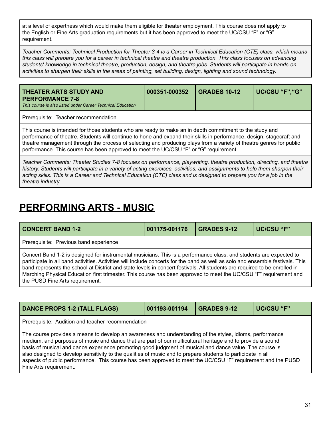at a level of expertness which would make them eligible for theater employment. This course does not apply to the English or Fine Arts graduation requirements but it has been approved to meet the UC/CSU "F" or "G" requirement.

Teacher Comments: Technical Production for Theater 3-4 is a Career in Technical Education (CTE) class, which means this class will prepare you for a career in technical theatre and theatre production. This class focuses on advancing *students' knowledge in technical theatre, production, design, and theatre jobs. Students will participate in hands-on* activities to sharpen their skills in the areas of painting, set building, design, lighting and sound technology.

<span id="page-31-2"></span>

| THEATER ARTS STUDY AND<br><b>PERFORMANCE 7-8</b><br>This course is also listed under Career Technical Education | 000351-000352 | <b>GRADES 10-12</b> | UC/CSU "F"."G" |
|-----------------------------------------------------------------------------------------------------------------|---------------|---------------------|----------------|
| Prerequisite: Teacher recommendation                                                                            |               |                     |                |

This course is intended for those students who are ready to make an in depth commitment to the study and performance of theatre. Students will continue to hone and expand their skills in performance, design, stagecraft and theatre management through the process of selecting and producing plays from a variety of theatre genres for public performance. This course has been approved to meet the UC/CSU "F" or "G" requirement.

*Teacher Comments: Theater Studies 7-8 focuses on performance, playwriting, theatre production, directing, and theatre* history. Students will participate in a variety of acting exercises, activities, and assignments to help them sharpen their acting skills. This is a Career and Technical Education (CTE) class and is designed to prepare you for a job in the *theatre industry.*

### **PERFORMING ARTS - MUSIC**

<span id="page-31-0"></span>

| <b>CONCERT BAND 1-2</b><br><b>GRADES 9-12</b><br>UC/CSU "F"<br>001175-001176                                                                                                                                                                                                                                                                                                                                                                                                                                                              |  |  |  |  |  |
|-------------------------------------------------------------------------------------------------------------------------------------------------------------------------------------------------------------------------------------------------------------------------------------------------------------------------------------------------------------------------------------------------------------------------------------------------------------------------------------------------------------------------------------------|--|--|--|--|--|
| Prerequisite: Previous band experience                                                                                                                                                                                                                                                                                                                                                                                                                                                                                                    |  |  |  |  |  |
| Concert Band 1-2 is designed for instrumental musicians. This is a performance class, and students are expected to<br>participate in all band activities. Activities will include concerts for the band as well as solo and ensemble festivals. This<br>band represents the school at District and state levels in concert festivals. All students are required to be enrolled in<br>Marching Physical Education first trimester. This course has been approved to meet the UC/CSU "F" requirement and<br>the PUSD Fine Arts requirement. |  |  |  |  |  |

<span id="page-31-1"></span>

| <b>DANCE PROPS 1-2 (TALL FLAGS)</b>                                                                                                                                                                                                                                                                                                                                                                                                                                                                                                                                                         | 001193-001194 | <b>GRADES 9-12</b> | <b>UC/CSU "F"</b> |  |  |
|---------------------------------------------------------------------------------------------------------------------------------------------------------------------------------------------------------------------------------------------------------------------------------------------------------------------------------------------------------------------------------------------------------------------------------------------------------------------------------------------------------------------------------------------------------------------------------------------|---------------|--------------------|-------------------|--|--|
| Prerequisite: Audition and teacher recommendation                                                                                                                                                                                                                                                                                                                                                                                                                                                                                                                                           |               |                    |                   |  |  |
| The course provides a means to develop an awareness and understanding of the styles, idioms, performance<br>medium, and purposes of music and dance that are part of our multicultural heritage and to provide a sound<br>basis of musical and dance experience promoting good judgment of musical and dance value. The course is<br>also designed to develop sensitivity to the qualities of music and to prepare students to participate in all<br>aspects of public performance. This course has been approved to meet the UC/CSU "F" requirement and the PUSD<br>Fine Arts requirement. |               |                    |                   |  |  |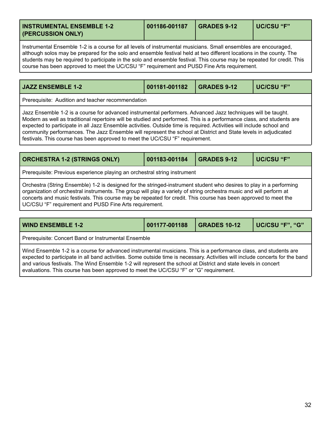<span id="page-32-1"></span>

| <b>INSTRUMENTAL ENSEMBLE 1-2</b><br>(PERCUSSION ONLY) | 001186-001187 | <b>GRADES 9-12</b> | l UC/CSU "F" |
|-------------------------------------------------------|---------------|--------------------|--------------|
|-------------------------------------------------------|---------------|--------------------|--------------|

Instrumental Ensemble 1-2 is a course for all levels of instrumental musicians. Small ensembles are encouraged, although solos may be prepared for the solo and ensemble festival held at two different locations in the county. The students may be required to participate in the solo and ensemble festival. This course may be repeated for credit. This course has been approved to meet the UC/CSU "F" requirement and PUSD Fine Arts requirement.

<span id="page-32-3"></span>

| <b>I JAZZ ENSEMBLE 1-2</b> I                                                                                   | 001181-001182 GRADES 9-12 |  | UC/CSU "F" |  |
|----------------------------------------------------------------------------------------------------------------|---------------------------|--|------------|--|
| Prerequisite: Audition and teacher recommendation                                                              |                           |  |            |  |
| Llazz Ensemble 1-2 is a course for advanced instrumental performers. Advanced Jazz techniques will be taught i |                           |  |            |  |

semble 1-2 is a course for advanced instrumental performers. Advanced Jazz techniques will be taught. Modern as well as traditional repertoire will be studied and performed. This is a performance class, and students are expected to participate in all Jazz Ensemble activities. Outside time is required. Activities will include school and community performances. The Jazz Ensemble will represent the school at District and State levels in adjudicated festivals. This course has been approved to meet the UC/CSU "F" requirement.

<span id="page-32-0"></span>

| <b>ORCHESTRA 1-2 (STRINGS ONLY)</b>                                                                                                                                                                                                                                                                                                                                                                                     | 001183-001184 | <b>GRADES 9-12</b> | UC/CSU "F" |  |
|-------------------------------------------------------------------------------------------------------------------------------------------------------------------------------------------------------------------------------------------------------------------------------------------------------------------------------------------------------------------------------------------------------------------------|---------------|--------------------|------------|--|
| Prerequisite: Previous experience playing an orchestral string instrument                                                                                                                                                                                                                                                                                                                                               |               |                    |            |  |
| Orchestra (String Ensemble) 1-2 is designed for the stringed-instrument student who desires to play in a performing<br>organization of orchestral instruments. The group will play a variety of string orchestra music and will perform at<br>concerts and music festivals. This course may be repeated for credit. This course has been approved to meet the<br>UC/CSU "F" requirement and PUSD Fine Arts requirement. |               |                    |            |  |

<span id="page-32-2"></span>

| <b>WIND ENSEMBLE 1-2</b>                                                                                                                                                                                                                                                                                                                                                                                                                                     | 001177-001188 | <b>GRADES 10-12</b> | UC/CSU "F", "G" |  |
|--------------------------------------------------------------------------------------------------------------------------------------------------------------------------------------------------------------------------------------------------------------------------------------------------------------------------------------------------------------------------------------------------------------------------------------------------------------|---------------|---------------------|-----------------|--|
| Prerequisite: Concert Band or Instrumental Ensemble                                                                                                                                                                                                                                                                                                                                                                                                          |               |                     |                 |  |
| Wind Ensemble 1-2 is a course for advanced instrumental musicians. This is a performance class, and students are<br>expected to participate in all band activities. Some outside time is necessary. Activities will include concerts for the band<br>and various festivals. The Wind Ensemble 1-2 will represent the school at District and state levels in concert<br>evaluations. This course has been approved to meet the UC/CSU "F" or "G" requirement. |               |                     |                 |  |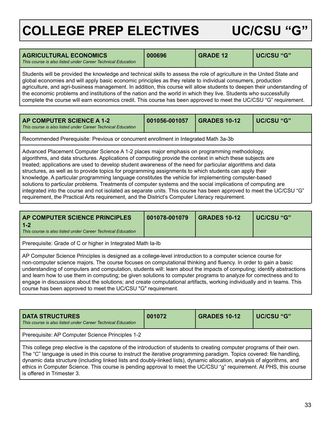## <span id="page-33-0"></span>**COLLEGE PREP ELECTIVES UC/CSU "G"**

<span id="page-33-1"></span>

| <b>AGRICULTURAL ECONOMICS</b><br>This course is also listed under Career Technical Education                                                                                                                                                                                                                                                                                                                                                                                           | 000696 | <b>GRADE 12</b> | UC/CSU "G" |  |
|----------------------------------------------------------------------------------------------------------------------------------------------------------------------------------------------------------------------------------------------------------------------------------------------------------------------------------------------------------------------------------------------------------------------------------------------------------------------------------------|--------|-----------------|------------|--|
| Students will be provided the knowledge and technical skills to assess the role of agriculture in the United State and<br>global economies and will apply basic economic principles as they relate to individual consumers, production<br>agriculture, and agri-business management. In addition, this course will allow students to deepen their understanding of<br>the economic problems and institutions of the nation and the world in which they live. Students who successfully |        |                 |            |  |

complete the course will earn economics credit. This course has been approved to meet the UC/CSU "G" requirement.

<span id="page-33-2"></span>

| <b>AP COMPUTER SCIENCE A 1-2</b><br>This course is also listed under Career Technical Education | 001056-001057 | <b>GRADES 10-12</b> | UC/CSU "G" |
|-------------------------------------------------------------------------------------------------|---------------|---------------------|------------|
|                                                                                                 |               |                     |            |

Recommended Prerequisite: Previous or concurrent enrollment in Integrated Math 3a-3b

course has been approved to meet the UC/CSU "G" requirement.

Advanced Placement Computer Science A 1-2 places major emphasis on programming methodology, algorithms, and data structures. Applications of computing provide the context in which these subjects are treated; applications are used to develop student awareness of the need for particular algorithms and data structures, as well as to provide topics for programming assignments to which students can apply their knowledge. A particular programming language constitutes the vehicle for implementing computer-based solutions to particular problems. Treatments of computer systems and the social implications of computing are integrated into the course and not isolated as separate units. This course has been approved to meet the UC/CSU "G" requirement, the Practical Arts requirement, and the District's Computer Literacy requirement.

<span id="page-33-3"></span>

| AP COMPUTER SCIENCE PRINCIPLES<br>$1 - 2$<br>This course is also listed under Career Technical Education                                                                                                                                                                                                                                                                                                                                                                      | 001078-001079 | <b>GRADES 10-12</b> | UC/CSU "G" |  |
|-------------------------------------------------------------------------------------------------------------------------------------------------------------------------------------------------------------------------------------------------------------------------------------------------------------------------------------------------------------------------------------------------------------------------------------------------------------------------------|---------------|---------------------|------------|--|
| Prerequisite: Grade of C or higher in Integrated Math Ia-Ib                                                                                                                                                                                                                                                                                                                                                                                                                   |               |                     |            |  |
| AP Computer Science Principles is designed as a college-level introduction to a computer science course for<br>non-computer science majors. The course focuses on computational thinking and fluency. In order to gain a basic<br>understanding of computers and computation, students will: learn about the impacts of computing; identify abstractions<br>and learn how to use them in computing; be given solutions to computer programs to analyze for correctness and to |               |                     |            |  |

engage in discussions about the solutions; and create computational artifacts, working individually and in teams. This

| <b>DATA STRUCTURES</b><br>This course is also listed under Career Technical Education                                                                                                                                                                                                                                                                                                                                                                                                                                             | 001072 | <b>GRADES 10-12</b> | UC/CSU "G" |  |
|-----------------------------------------------------------------------------------------------------------------------------------------------------------------------------------------------------------------------------------------------------------------------------------------------------------------------------------------------------------------------------------------------------------------------------------------------------------------------------------------------------------------------------------|--------|---------------------|------------|--|
| Prerequisite: AP Computer Science Principles 1-2                                                                                                                                                                                                                                                                                                                                                                                                                                                                                  |        |                     |            |  |
| This college prep elective is the capstone of the introduction of students to creating computer programs of their own.<br>The "C" language is used in this course to instruct the iterative programming paradigm. Topics covered: file handling,<br>dynamic data structure (including linked lists and doubly-linked lists), dynamic allocation, analysis of algorithms, and<br>ethics in Computer Science. This course is pending approval to meet the UC/CSU "g" requirement. At PHS, this course<br>is offered in Trimester 3. |        |                     |            |  |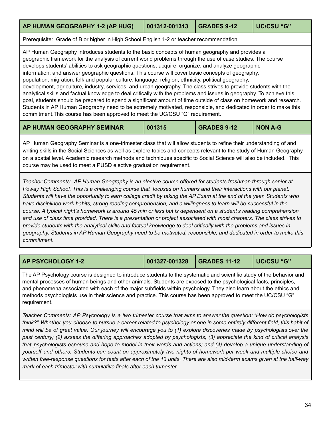### <span id="page-34-0"></span>**AP HUMAN GEOGRAPHY 1-2 (AP HUG) 001312-001313 GRADES 9-12 UC/CSU "G"** Prerequisite: Grade of B or higher in High School English 1-2 or teacher recommendation

AP Human Geography introduces students to the basic concepts of human geography and provides a geographic framework for the analysis of current world problems through the use of case studies. The course develops students' abilities to ask geographic questions; acquire, organize, and analyze geographic information; and answer geographic questions. This course will cover basic concepts of geography, population, migration, folk and popular culture, language, religion, ethnicity, political geography, development, agriculture, industry, services, and urban geography. The class strives to provide students with the analytical skills and factual knowledge to deal critically with the problems and issues in geography. To achieve this goal, students should be prepared to spend a significant amount of time outside of class on homework and research. Students in AP Human Geography need to be extremely motivated, responsible, and dedicated in order to make this commitment.This course has been approved to meet the UC/CSU "G" requirement.

<span id="page-34-1"></span>

| AP HUMAN GEOGRAPHY SEMINAR | 001315 | <b>GRADES 9-12</b> | <b>NON A-G</b> |
|----------------------------|--------|--------------------|----------------|
|----------------------------|--------|--------------------|----------------|

AP Human Geography Seminar is a one-trimester class that will allow students to refine their understanding of and writing skills in the Social Sciences as well as explore topics and concepts relevant to the study of Human Geography on a spatial level. Academic research methods and techniques specific to Social Science will also be included. This course may be used to meet a PUSD elective graduation requirement.

*Teacher Comments: AP Human Geography is an elective course offered for students freshman through senior at* Poway High School. This is a challenging course that focuses on humans and their interactions with our planet. Students will have the opportunity to earn college credit by taking the AP Exam at the end of the year. Students who have disciplined work habits, strong reading comprehension, and a willingness to learn will be successful in the course. A typical night's homework is around 45 min or less but is dependent on a student's reading comprehension and use of class time provided. There is a presentation or project associated with most chapters. The class strives to provide students with the analytical skills and factual knowledge to deal critically with the problems and issues in geography. Students in AP Human Geography need to be motivated, responsible, and dedicated in order to make this *commitment.*

<span id="page-34-2"></span>**AP PSYCHOLOGY 1-2 001327-001328 GRADES 11-12 UC/CSU "G"**

The AP Psychology course is designed to introduce students to the systematic and scientific study of the behavior and mental processes of human beings and other animals. Students are exposed to the psychological facts, principles, and phenomena associated with each of the major subfields within psychology. They also learn about the ethics and methods psychologists use in their science and practice. This course has been approved to meet the UC/CSU "G" requirement.

Teacher Comments: AP Psychology is a two trimester course that aims to answer the question: "How do psychologists think?" Whether you choose to pursue a career related to psychology or one in some entirely different field, this habit of mind will be of great value. Our journey will encourage you to (1) explore discoveries made by psychologists over the past century; (2) assess the differing approaches adopted by psychologists; (3) appreciate the kind of critical analysis that psychologists espouse and hope to model in their words and actions; and (4) develop a unique understanding of yourself and others. Students can count on approximately two nights of homework per week and multiple-choice and written free-response questions for tests after each of the 13 units. There are also mid-term exams given at the half-way *mark of each trimester with cumulative finals after each trimester.*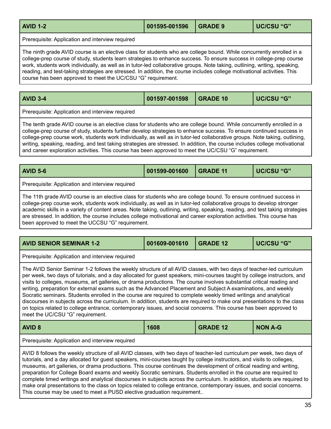<span id="page-35-0"></span>

| <b>AVID 1-2</b>                                                                                                                                                                                                                               | 001595-001596 | <b>GRADE 9</b> | UC/CSU "G" |  |
|-----------------------------------------------------------------------------------------------------------------------------------------------------------------------------------------------------------------------------------------------|---------------|----------------|------------|--|
| Prerequisite: Application and interview required                                                                                                                                                                                              |               |                |            |  |
| The ninth grade AVID course is an elective class for students who are college bound. While concurrently enrolled in a<br>college-prep course of study, students learn strategies to enhance success. To ensure success in college-prep course |               |                |            |  |

work, students work individually, as well as in tutor-led collaborative groups. Note taking, outlining, writing, speaking, reading, and test-taking strategies are stressed. In addition, the course includes college motivational activities. This course has been approved to meet the UC/CSU "G" requirement.

<span id="page-35-1"></span>

| <b>AVID 3-4</b>                                   | 001597-001598 | $\overline{ }$ GRADE 10 | UC/CSU "G" |
|---------------------------------------------------|---------------|-------------------------|------------|
| I Dessaulaita: Analiaatian and interview raculead |               |                         |            |

Prerequisite: Application and interview required

The tenth grade AVID course is an elective class for students who are college bound. While concurrently enrolled in a college-prep course of study, students further develop strategies to enhance success. To ensure continued success in college-prep course work, students work individually, as well as in tutor-led collaborative groups. Note taking, outlining, writing, speaking, reading, and test taking strategies are stressed. In addition, the course includes college motivational and career exploration activities. This course has been approved to meet the UC/CSU "G" requirement.

<span id="page-35-2"></span>

| <b>AVID 5-6</b>                                                                                                                                                                                                                                                                                                                                                                                                                                                                                         | 001599-001600 | <b>GRADE 11</b> | UC/CSU "G" |  |  |
|---------------------------------------------------------------------------------------------------------------------------------------------------------------------------------------------------------------------------------------------------------------------------------------------------------------------------------------------------------------------------------------------------------------------------------------------------------------------------------------------------------|---------------|-----------------|------------|--|--|
| Prerequisite: Application and interview required                                                                                                                                                                                                                                                                                                                                                                                                                                                        |               |                 |            |  |  |
| The 11th grade AVID course is an elective class for students who are college bound. To ensure continued success in<br>college-prep course work, students work individually, as well as in tutor-led collaborative groups to develop stronger<br>academic skills in a variety of content areas. Note taking, outlining, writing, speaking, reading, and test taking strategies<br>are stressed. In addition, the course includes college motivational and career exploration activities. This course has |               |                 |            |  |  |

been approved to meet the UCCSU "G" requirement.

<span id="page-35-4"></span>

| <b>AVID SENIOR SEMINAR 1-2</b>                                                                                                                                                                                                                                                                                                                                                                                                                                                                                                                                                                                                                                                                                                                                                                                                                                                                        | 001609-001610 | <b>GRADE 12</b> | <b>UC/CSU "G"</b> |  |
|-------------------------------------------------------------------------------------------------------------------------------------------------------------------------------------------------------------------------------------------------------------------------------------------------------------------------------------------------------------------------------------------------------------------------------------------------------------------------------------------------------------------------------------------------------------------------------------------------------------------------------------------------------------------------------------------------------------------------------------------------------------------------------------------------------------------------------------------------------------------------------------------------------|---------------|-----------------|-------------------|--|
| Prerequisite: Application and interview required                                                                                                                                                                                                                                                                                                                                                                                                                                                                                                                                                                                                                                                                                                                                                                                                                                                      |               |                 |                   |  |
| The AVID Senior Seminar 1-2 follows the weekly structure of all AVID classes, with two days of teacher-led curriculum<br>per week, two days of tutorials, and a day allocated for guest speakers, mini-courses taught by college instructors, and<br>visits to colleges, museums, art galleries, or drama productions. The course involves substantial critical reading and<br>writing, preparation for external exams such as the Advanced Placement and Subject A examinations, and weekly<br>Socratic seminars. Students enrolled in the course are required to complete weekly timed writings and analytical<br>discourses in subjects across the curriculum. In addition, students are required to make oral presentations to the class<br>on topics related to college entrance, contemporary issues, and social concerns. This course has been approved to<br>meet the UC/CSU "G" requirement. |               |                 |                   |  |
| <b>AVID 8</b>                                                                                                                                                                                                                                                                                                                                                                                                                                                                                                                                                                                                                                                                                                                                                                                                                                                                                         | 1608          | <b>GRADE 12</b> | <b>NON A-G</b>    |  |
| Prerequisite: Application and interview required                                                                                                                                                                                                                                                                                                                                                                                                                                                                                                                                                                                                                                                                                                                                                                                                                                                      |               |                 |                   |  |

<span id="page-35-3"></span>AVID 8 follows the weekly structure of all AVID classes, with two days of teacher-led curriculum per week, two days of tutorials, and a day allocated for guest speakers, mini-courses taught by college instructors, and visits to colleges, museums, art galleries, or drama productions. This course continues the development of critical reading and writing, preparation for College Board exams and weekly Socratic seminars. Students enrolled in the course are required to complete timed writings and analytical discourses in subjects across the curriculum. In addition, students are required to make oral presentations to the class on topics related to college entrance, contemporary issues, and social concerns. This course may be used to meet a PUSD elective graduation requirement..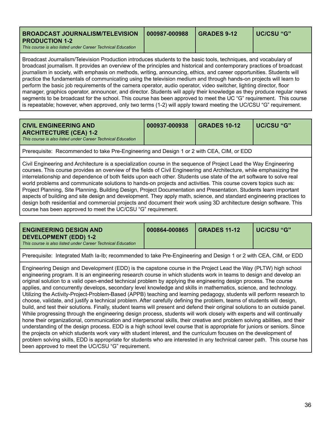<span id="page-36-0"></span>

| BROADCAST JOURNALISM/TELEVISION   000987-000988<br><b>PRODUCTION 1-2</b><br>This course is also listed under Career Technical Education | <b>GRADES 9-12</b> | l UC/CSU "G" |
|-----------------------------------------------------------------------------------------------------------------------------------------|--------------------|--------------|
|                                                                                                                                         |                    |              |

Broadcast Journalism/Television Production introduces students to the basic tools, techniques, and vocabulary of broadcast journalism. It provides an overview of the principles and historical and contemporary practices of broadcast journalism in society, with emphasis on methods, writing, announcing, ethics, and career opportunities. Students will practice the fundamentals of communicating using the television medium and through hands-on projects will learn to perform the basic job requirements of the camera operator, audio operator, video switcher, lighting director, floor manager, graphics operator, announcer, and director. Students will apply their knowledge as they produce regular news segments to be broadcast for the school. This course has been approved to meet the UC "G" requirement. This course is repeatable; however, when approved, only two terms (1-2) will apply toward meeting the UC/CSU "G" requirement.

<span id="page-36-1"></span>

|--|

Prerequisite: Recommended to take Pre-Engineering and Design 1 or 2 with CEA, CIM, or EDD

Civil Engineering and Architecture is a specialization course in the sequence of Project Lead the Way Engineering courses. This course provides an overview of the fields of Civil Engineering and Architecture, while emphasizing the interrelationship and dependence of both fields upon each other. Students use state of the art software to solve real world problems and communicate solutions to hands-on projects and activities. This course covers topics such as: Project Planning, Site Planning, Building Design, Project Documentation and Presentation. Students learn important aspects of building and site design and development. They apply math, science, and standard engineering practices to design both residential and commercial projects and document their work using 3D architecture design software. This course has been approved to meet the UC/CSU "G" requirement.

<span id="page-36-2"></span>

| <b>DEVELOPMENT (EDD) 1-2</b><br>This course is also listed under Career Technical Education |
|---------------------------------------------------------------------------------------------|
|---------------------------------------------------------------------------------------------|

Prerequisite: Integrated Math Ia-Ib; recommended to take Pre-Engineering and Design 1 or 2 with CEA, CIM, or EDD

Engineering Design and Development (EDD) is the capstone course in the Project Lead the Way (PLTW) high school engineering program. It is an engineering research course in which students work in teams to design and develop an original solution to a valid open-ended technical problem by applying the engineering design process. The course applies, and concurrently develops, secondary level knowledge and skills in mathematics, science, and technology. Utilizing the Activity-Project-Problem-Based (APPB) teaching and learning pedagogy, students will perform research to choose, validate, and justify a technical problem. After carefully defining the problem, teams of students will design, build, and test their solutions. Finally, student teams will present and defend their original solutions to an outside panel. While progressing through the engineering design process, students will work closely with experts and will continually hone their organizational, communication and interpersonal skills, their creative and problem solving abilities, and their understanding of the design process. EDD is a high school level course that is appropriate for juniors or seniors. Since the projects on which students work vary with student interest, and the curriculum focuses on the development of problem solving skills, EDD is appropriate for students who are interested in any technical career path. This course has been approved to meet the UC/CSU "G" requirement.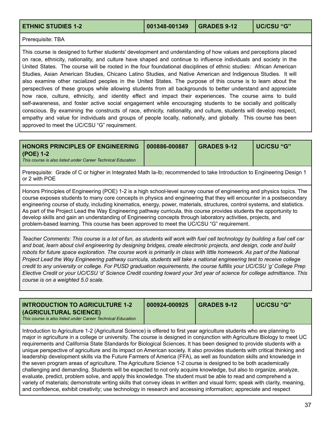<span id="page-37-0"></span>Prerequisite: TBA

This course is designed to further students' development and understanding of how values and perceptions placed on race, ethnicity, nationality, and culture have shaped and continue to influence individuals and society in the United States. The course will be rooted in the four foundational disciplines of ethnic studies: African American Studies, Asian American Studies, Chicano Latino Studies, and Native American and Indigenous Studies. It will also examine other racialized peoples in the United States. The purpose of this course is to learn about the perspectives of these groups while allowing students from all backgrounds to better understand and appreciate how race, culture, ethnicity, and identity effect and impact their experiences. The course aims to build self-awareness, and foster active social engagement while encouraging students to be socially and politically conscious. By examining the constructs of race, ethnicity, nationality, and culture, students will develop respect, empathy and value for individuals and groups of people locally, nationally, and globally. This course has been approved to meet the UC/CSU "G" requirement.

<span id="page-37-1"></span>

| HONORS PRINCIPLES OF ENGINEERING   000886-000887                         | $\overline{\phantom{0}}$ GRADES 9-12 | UC/CSU "G" |
|--------------------------------------------------------------------------|--------------------------------------|------------|
| (POE) 1-2<br>This course is also listed under Career Technical Education |                                      |            |

Prerequisite: Grade of C or higher in Integrated Math Ia-Ib; recommended to take Introduction to Engineering Design 1 or 2 with POE

Honors Principles of Engineering (POE) 1-2 is a high school-level survey course of engineering and physics topics. The course exposes students to many core concepts in physics and engineering that they will encounter in a postsecondary engineering course of study, including kinematics, energy, power, materials, structures, control systems, and statistics. As part of the Project Lead the Way Engineering pathway curricula, this course provides students the opportunity to develop skills and gain an understanding of Engineering concepts through laboratory activities, projects, and problem-based learning. This course has been approved to meet the UC/CSU "G" requirement.

Teacher Comments: This course is a lot of fun, as students will work with fuel cell technology by building a fuel cell car and boat, learn about civil engineering by designing bridges, create electronic projects, and design, code and build robots for future space exploration. The course work is primarily in class with little homework. As part of the National Project Lead the Way Engineering pathway curricula, students will take a national engineering test to receive college credit to any university or college. For PUSD graduation requirements, the course fulfills your UC/CSU 'q' College Prep Elective Credit or your UC/CSU 'd' Science Credit counting toward your 3rd year of science for college admittance. This *course is on a weighted 5.0 scale.*

<span id="page-37-2"></span>

| (AGRICULTURAL SCIENCE) | This course is also listed under Career Technical Education |
|------------------------|-------------------------------------------------------------|
|------------------------|-------------------------------------------------------------|

Introduction to Agriculture 1-2 (Agricultural Science) is offered to first year agriculture students who are planning to major in agriculture in a college or university. The course is designed in conjunction with Agriculture Biology to meet UC requirements and California State Standards for Biological Sciences. It has been designed to provide students with a unique perspective of agriculture and its impact on American society. It also provides students with critical thinking and leadership development skills via the Future Farmers of America (FFA), as well as foundation skills and knowledge in the seven program areas of agriculture. The Agriculture Science 1-2 course is designed to be both academically challenging and demanding. Students will be expected to not only acquire knowledge, but also to organize, analyze, evaluate, predict, problem solve, and apply this knowledge. The student must be able to read and comprehend a variety of materials; demonstrate writing skills that convey ideas in written and visual form; speak with clarity, meaning, and confidence, exhibit creativity; use technology in research and accessing information; appreciate and respect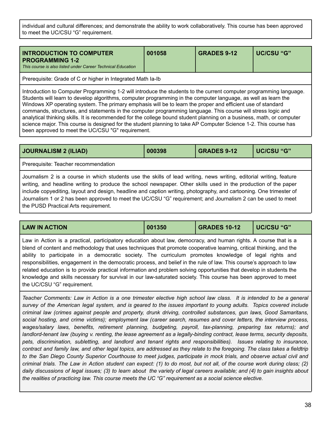individual and cultural differences; and demonstrate the ability to work collaboratively. This course has been approved to meet the UC/CSU "G" requirement.

<span id="page-38-1"></span>

| <b>INTRODUCTION TO COMPUTER</b><br><b>PROGRAMMING 1-2</b><br>This course is also listed under Career Technical Education | 001058 | <b>GRADES 9-12</b> | UC/CSU "G" |
|--------------------------------------------------------------------------------------------------------------------------|--------|--------------------|------------|
|                                                                                                                          |        |                    |            |

Prerequisite: Grade of C or higher in Integrated Math Ia-Ib

Introduction to Computer Programming 1-2 will introduce the students to the current computer programming language. Students will learn to develop algorithms, computer programming in the computer language, as well as learn the Windows XP operating system. The primary emphasis will be to learn the proper and efficient use of standard commands, structures, and statements in the computer programming language. This course will stress logic and analytical thinking skills. It is recommended for the college bound student planning on a business, math, or computer science major. This course is designed for the student planning to take AP Computer Science 1-2. This course has been approved to meet the UC/CSU "G" requirement.

<span id="page-38-2"></span>

| <b>JOURNALISM 2 (ILIAD)</b>                                                                                                                                                                                                                                                                                                                                                                                                                                                                                           | 000398 | <b>GRADES 9-12</b> | UC/CSU "G" |  |
|-----------------------------------------------------------------------------------------------------------------------------------------------------------------------------------------------------------------------------------------------------------------------------------------------------------------------------------------------------------------------------------------------------------------------------------------------------------------------------------------------------------------------|--------|--------------------|------------|--|
| Prerequisite: Teacher recommendation                                                                                                                                                                                                                                                                                                                                                                                                                                                                                  |        |                    |            |  |
| Journalism 2 is a course in which students use the skills of lead writing, news writing, editorial writing, feature<br>writing, and headline writing to produce the school newspaper. Other skills used in the production of the paper<br>include copyediting, layout and design, headline and caption writing, photography, and cartooning. One trimester of<br>Journalism 1 or 2 has been approved to meet the UC/CSU "G" requirement; and Journalism 2 can be used to meet<br>the PUSD Practical Arts requirement. |        |                    |            |  |

<span id="page-38-0"></span>

| <b>LAW IN ACTION</b>                                                                                                 | 001350 | <b>GRADES 10-12</b> | UC/CSU "G" |
|----------------------------------------------------------------------------------------------------------------------|--------|---------------------|------------|
| Law in Action is a practical, participatory education about law, democracy, and human rights. A course that is a     |        |                     |            |
| blend of content and methodology that uses techniques that promote cooperative learning, critical thinking, and the  |        |                     |            |
| ability to participate in a democratic society. The curriculum promotes knowledge of legal rights and                |        |                     |            |
| responsibilities, engagement in the democratic process, and belief in the rule of law. This course's approach to law |        |                     |            |
| related education is to provide practical information and problem solving opportunities that develop in students the |        |                     |            |
| knowledge and skills necessary for survival in our law-saturated society. This course has been approved to meet      |        |                     |            |
| the UC/CSU "G" requirement.                                                                                          |        |                     |            |

Teacher Comments: Law in Action is a one trimester elective high school law class. It is intended to be a general survey of the American legal system, and is geared to the issues important to young adults. Topics covered include *criminal law (crimes against people and property, drunk driving, controlled substances, gun laws, Good Samaritans,* social hosting, and crime victims); employment law (career search, resumes and cover letters, the interview process, *wages/salary laws, benefits, retirement planning, budgeting, payroll, tax-planning, preparing tax returns); and* landlord-tenant law (buying v. renting, the lease agreement as a legally-binding contract, lease terms, security deposits, *pets, discrimination, subletting, and landlord and tenant rights and responsibilities). Issues relating to insurance,* contract and family law, and other legal topics, are addressed as they relate to the foregoing. The class takes a fieldtrip to the San Diego County Superior Courthouse to meet judges, participate in mock trials, and observe actual civil and criminal trials. The Law in Action student can expect: (1) to do most, but not all, of the course work during class; (2) daily discussions of legal issues; (3) to learn about the variety of legal careers available; and (4) to gain insights about *the realities of practicing law. This course meets the UC "G" requirement as a social science elective.*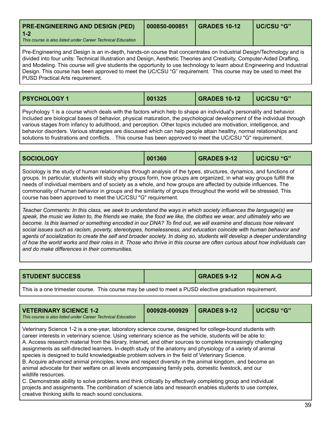<span id="page-39-0"></span>

| <b>PRE-ENGINEERING AND DESIGN (PED)</b>                                | 000850-000851 | GRADES 10-12 | <b>UC/CSU "G"</b> |
|------------------------------------------------------------------------|---------------|--------------|-------------------|
| $1 - 2$<br>This course is also listed under Career Technical Education |               |              |                   |

Pre-Engineering and Design is an in-depth, hands-on course that concentrates on Industrial Design/Technology and is divided into four units: Technical Illustration and Design, Aesthetic Theories and Creativity, Computer-Aided Drafting, and Modeling. This course will give students the opportunity to use technology to learn about Engineering and Industrial Design. This course has been approved to meet the UC/CSU "G" requirement. This course may be used to meet the PUSD Practical Arts requirement.

<span id="page-39-1"></span>

| <b>PSYCHOLOGY 1</b> | 001325 | <b>GRADES 10-12</b> | UC/CSU "G" |
|---------------------|--------|---------------------|------------|
|                     |        |                     |            |

Psychology 1 is a course which deals with the factors which help to shape an individual's personality and behavior. Included are biological bases of behavior, physical maturation, the psychological development of the individual through various stages from infancy to adulthood, and perception. Other topics included are motivation, intelligence, and behavior disorders. Various strategies are discussed which can help people attain healthy, normal relationships and solutions to frustrations and conflicts. . This course has been approved to meet the UC/CSU "G" requirement.

<span id="page-39-2"></span>

| <b>SOCIOLOGY</b> | 001360 | <b>GRADES 9-12</b> | UC/CSU "G" |
|------------------|--------|--------------------|------------|
| $\sim$ $\sim$    |        |                    |            |

Sociology is the study of human relationships through analysis of the types, structures, dynamics, and functions of groups. In particular, students will study why groups form, how groups are organized, in what way groups fulfill the needs of individual members and of society as a whole, and how groups are affected by outside influences. The commonality of human behavior in groups and the similarity of groups throughout the world will be stressed. This course has been approved to meet the UC/CSU "G" requirement.

Teacher Comments: In this class, we seek to understand the ways in which society influences the language(s) we speak, the music we listen to, the friends we make, the food we like, the clothes we wear, and ultimately who we become. Is this learned or something encoded in our DNA? To find out, we will examine and discuss how relevant *social issues such as racism, poverty, stereotypes, homelessness, and education coincide with human behavior and* agents of socialization to create the self and broader society. In doing so, students will develop a deeper understanding of how the world works and their roles in it. Those who thrive in this course are often curious about how individuals can *and do make differences in their communities.*

<span id="page-39-3"></span>

| <b>STUDENT SUCCESS</b> | <b>GRADES 9-12</b> | NON A-G |
|------------------------|--------------------|---------|

This is a one trimester course. This course may be used to meet a PUSD elective graduation requirement.

<span id="page-39-4"></span>

| <b>VETERINARY SCIENCE 1-2</b><br>This course is also listed under Career Technical Education                                                                                                                                                                                                                                                                                                                                                                                                                                                                                                                                                                                                                                                                                                                                                                                                                                                                                                                                                                                           | 000928-000929 | <b>GRADES 9-12</b> | <b>UC/CSU "G"</b> |
|----------------------------------------------------------------------------------------------------------------------------------------------------------------------------------------------------------------------------------------------------------------------------------------------------------------------------------------------------------------------------------------------------------------------------------------------------------------------------------------------------------------------------------------------------------------------------------------------------------------------------------------------------------------------------------------------------------------------------------------------------------------------------------------------------------------------------------------------------------------------------------------------------------------------------------------------------------------------------------------------------------------------------------------------------------------------------------------|---------------|--------------------|-------------------|
| Veterinary Science 1-2 is a one-year, laboratory science course, designed for college-bound students with<br>career interests in veterinary science. Using veterinary science as the vehicle, students will be able to:<br>A. Access research material from the library, Internet, and other sources to complete increasingly challenging<br>assignments as self-directed learners. In-depth study of the anatomy and physiology of a variety of animal<br>species is designed to build knowledgeable problem solvers in the field of Veterinary Science.<br>B. Acquire advanced animal principles, know and respect diversity in the animal kingdom, and become an<br>animal advocate for their welfare on all levels encompassing family pets, domestic livestock, and our<br>wildlife resources.<br>C. Demonstrate ability to solve problems and think critically by effectively completing group and individual<br>projects and assignments. The combination of science labs and research enables students to use complex,<br>creative thinking skills to reach sound conclusions. |               |                    |                   |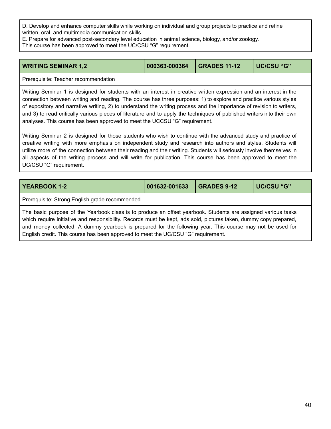D. Develop and enhance computer skills while working on individual and group projects to practice and refine written, oral, and multimedia communication skills.

E. Prepare for advanced post-secondary level education in animal science, biology, and/or zoology.

This course has been approved to meet the UC/CSU "G" requirement.

<span id="page-40-0"></span>

| <b>WRITING SEMINAR 1,2</b> | 000363-000364   GRADES 11-12 | UC/CSU "G" |
|----------------------------|------------------------------|------------|
|                            |                              |            |

Prerequisite: Teacher recommendation

Writing Seminar 1 is designed for students with an interest in creative written expression and an interest in the connection between writing and reading. The course has three purposes: 1) to explore and practice various styles of expository and narrative writing, 2) to understand the writing process and the importance of revision to writers, and 3) to read critically various pieces of literature and to apply the techniques of published writers into their own analyses. This course has been approved to meet the UCCSU "G" requirement.

Writing Seminar 2 is designed for those students who wish to continue with the advanced study and practice of creative writing with more emphasis on independent study and research into authors and styles. Students will utilize more of the connection between their reading and their writing. Students will seriously involve themselves in all aspects of the writing process and will write for publication. This course has been approved to meet the UC/CSU "G" requirement.

<span id="page-40-1"></span>

| <b>YEARBOOK 1-2</b>                                                                                                                                                                                                                                                                                                                                                                                                                  | 001632-001633 | <b>GRADES 9-12</b> | <b>UC/CSU "G"</b> |  |
|--------------------------------------------------------------------------------------------------------------------------------------------------------------------------------------------------------------------------------------------------------------------------------------------------------------------------------------------------------------------------------------------------------------------------------------|---------------|--------------------|-------------------|--|
| Prerequisite: Strong English grade recommended                                                                                                                                                                                                                                                                                                                                                                                       |               |                    |                   |  |
| The basic purpose of the Yearbook class is to produce an offset yearbook. Students are assigned various tasks<br>which require initiative and responsibility. Records must be kept, ads sold, pictures taken, dummy copy prepared,<br>and money collected. A dummy yearbook is prepared for the following year. This course may not be used for<br>English credit. This course has been approved to meet the UC/CSU "G" requirement. |               |                    |                   |  |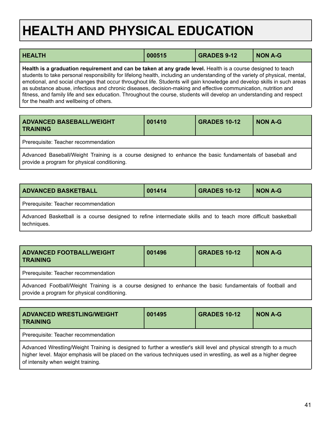# <span id="page-41-0"></span>**HEALTH AND PHYSICAL EDUCATION**

<span id="page-41-5"></span>

| <b>HEALTH</b>                                                                                                                                                                                                                                                                                                                                                                                                                                                                                                                                                                                                                                                  | 000515 | <b>GRADES 9-12</b> | <b>NON A-G</b> |
|----------------------------------------------------------------------------------------------------------------------------------------------------------------------------------------------------------------------------------------------------------------------------------------------------------------------------------------------------------------------------------------------------------------------------------------------------------------------------------------------------------------------------------------------------------------------------------------------------------------------------------------------------------------|--------|--------------------|----------------|
| Health is a graduation requirement and can be taken at any grade level. Health is a course designed to teach<br>students to take personal responsibility for lifelong health, including an understanding of the variety of physical, mental,<br>emotional, and social changes that occur throughout life. Students will gain knowledge and develop skills in such areas<br>as substance abuse, infectious and chronic diseases, decision-making and effective communication, nutrition and<br>fitness, and family life and sex education. Throughout the course, students will develop an understanding and respect<br>for the health and wellbeing of others. |        |                    |                |

<span id="page-41-1"></span>

| <b>ADVANCED BASEBALL/WEIGHT</b><br><b>TRAINING</b>                                                                                                       | 001410 | <b>GRADES 10-12</b> | NON A-G |
|----------------------------------------------------------------------------------------------------------------------------------------------------------|--------|---------------------|---------|
| Prerequisite: Teacher recommendation                                                                                                                     |        |                     |         |
| Advanced Baseball/Weight Training is a course designed to enhance the basic fundamentals of baseball and<br>provide a program for physical conditioning. |        |                     |         |

<span id="page-41-2"></span>

| <b>ADVANCED BASKETBALL</b>                                                                                                   | 001414 | <b>GRADES 10-12</b> | NON A-G |  |
|------------------------------------------------------------------------------------------------------------------------------|--------|---------------------|---------|--|
| Prerequisite: Teacher recommendation                                                                                         |        |                     |         |  |
| Advanced Basketball is a course designed to refine intermediate skills and to teach more difficult basketball<br>techniques. |        |                     |         |  |

<span id="page-41-3"></span>

| <b>ADVANCED FOOTBALL/WEIGHT</b><br><b>TRAINING</b>                                                       | 001496 | <b>GRADES 10-12</b> | NON A-G |  |
|----------------------------------------------------------------------------------------------------------|--------|---------------------|---------|--|
| Prerequisite: Teacher recommendation                                                                     |        |                     |         |  |
| Advanced Football/Weight Training is a course designed to enhance the basic fundamentals of football and |        |                     |         |  |

provide a program for physical conditioning.

<span id="page-41-4"></span>

| <b>ADVANCED WRESTLING/WEIGHT</b><br><b>TRAINING</b>                                                                                                                                                                                                                             | 001495 | <b>GRADES 10-12</b> | <b>NON A-G</b> |  |  |
|---------------------------------------------------------------------------------------------------------------------------------------------------------------------------------------------------------------------------------------------------------------------------------|--------|---------------------|----------------|--|--|
| Prerequisite: Teacher recommendation                                                                                                                                                                                                                                            |        |                     |                |  |  |
| Advanced Wrestling/Weight Training is designed to further a wrestler's skill level and physical strength to a much<br>higher level. Major emphasis will be placed on the various techniques used in wrestling, as well as a higher degree<br>of intensity when weight training. |        |                     |                |  |  |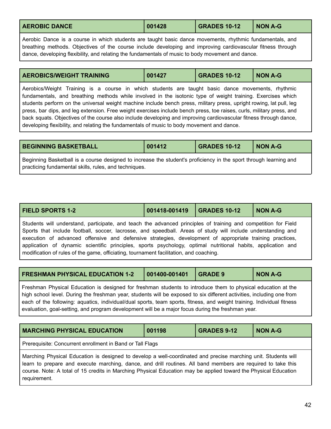<span id="page-42-0"></span>

| <b>AEROBIC DANCE</b> | 001428 | <b>GRADES 10-12</b> | NON A-G |
|----------------------|--------|---------------------|---------|
|----------------------|--------|---------------------|---------|

Aerobic Dance is a course in which students are taught basic dance movements, rhythmic fundamentals, and breathing methods. Objectives of the course include developing and improving cardiovascular fitness through dance, developing flexibility, and relating the fundamentals of music to body movement and dance.

<span id="page-42-1"></span>

| <b>AEROBICS/WEIGHT TRAINING</b> | 001427 | <b>GRADES 10-12</b> | NON A-G |
|---------------------------------|--------|---------------------|---------|
|                                 |        |                     |         |

Aerobics/Weight Training is a course in which students are taught basic dance movements, rhythmic fundamentals, and breathing methods while involved in the isotonic type of weight training. Exercises which students perform on the universal weight machine include bench press, military press, upright rowing, lat pull, leg press, bar dips, and leg extension. Free weight exercises include bench press, toe raises, curls, military press, and back squats. Objectives of the course also include developing and improving cardiovascular fitness through dance, developing flexibility, and relating the fundamentals of music to body movement and dance.

<span id="page-42-2"></span>

| <b>BEGINNING BASKETBALL</b>                                                                                       | 001412 | <b>GRADES 10-12</b> | NON A-G |
|-------------------------------------------------------------------------------------------------------------------|--------|---------------------|---------|
| Beginning Basketball is a course designed to increase the student's proficiency in the sport through learning and |        |                     |         |
| practicing fundamental skills, rules, and techniques.                                                             |        |                     |         |

<span id="page-42-4"></span>

| <b>FIELD SPORTS 1-2</b> |  | <b>NON A-G</b> |
|-------------------------|--|----------------|
|                         |  |                |

Students will understand, participate, and teach the advanced principles of training and competition for Field Sports that include football, soccer, lacrosse, and speedball. Areas of study will include understanding and execution of advanced offensive and defensive strategies, development of appropriate training practices, application of dynamic scientific principles, sports psychology, optimal nutritional habits, application and modification of rules of the game, officiating, tournament facilitation, and coaching.

<span id="page-42-5"></span>

| <b>FRESHMAN PHYSICAL EDUCATION 1-2</b> | $\vert$ 001400-001401 GRADE 9 |  | NON A-G |
|----------------------------------------|-------------------------------|--|---------|
|----------------------------------------|-------------------------------|--|---------|

Freshman Physical Education is designed for freshman students to introduce them to physical education at the high school level. During the freshman year, students will be exposed to six different activities, including one from each of the following: aquatics, individual/dual sports, team sports, fitness, and weight training. Individual fitness evaluation, goal-setting, and program development will be a major focus during the freshman year.

<span id="page-42-3"></span>

| <b>MARCHING PHYSICAL EDUCATION</b>                                                                                                                                                                                                                                                                                                                                | 001198 | <b>GRADES 9-12</b> | <b>NON A-G</b> |
|-------------------------------------------------------------------------------------------------------------------------------------------------------------------------------------------------------------------------------------------------------------------------------------------------------------------------------------------------------------------|--------|--------------------|----------------|
| Prerequisite: Concurrent enrollment in Band or Tall Flags                                                                                                                                                                                                                                                                                                         |        |                    |                |
| Marching Physical Education is designed to develop a well-coordinated and precise marching unit. Students will<br>learn to prepare and execute marching, dance, and drill routines. All band members are required to take this<br>course. Note: A total of 15 credits in Marching Physical Education may be applied toward the Physical Education<br>requirement. |        |                    |                |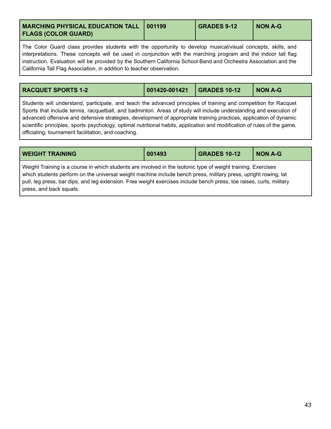<span id="page-43-0"></span>

| <b>MARCHING PHYSICAL EDUCATION TALL   001199</b><br><b>FLAGS (COLOR GUARD)</b> |  | <b>GRADES 9-12</b> | <b>NON A-G</b> |
|--------------------------------------------------------------------------------|--|--------------------|----------------|
|--------------------------------------------------------------------------------|--|--------------------|----------------|

The Color Guard class provides students with the opportunity to develop musical/visual concepts, skills, and interpretations. These concepts will be used in conjunction with the marching program and the indoor tall flag instruction. Evaluation will be provided by the Southern California School Band and Orchestra Association and the California Tall Flag Association, in addition to teacher observation.

<span id="page-43-1"></span>

| <b>RACQUET SPORTS 1-2</b> | 001420-001421 | <b>GRADES 10-12</b> | <b>NON A-G</b> |
|---------------------------|---------------|---------------------|----------------|
|                           |               |                     |                |

Students will understand, participate, and teach the advanced principles of training and competition for Racquet Sports that include tennis, racquetball, and badminton. Areas of study will include understanding and execution of advanced offensive and defensive strategies, development of appropriate training practices, application of dynamic scientific principles, sports psychology, optimal nutritional habits, application and modification of rules of the game, officiating, tournament facilitation, and coaching.

| <b>WEIGHT TRAINING</b>                                                                                                                                                                                                                                                                                                                                                              | 001493 | <b>GRADES 10-12</b> | <b>NON A-G</b> |
|-------------------------------------------------------------------------------------------------------------------------------------------------------------------------------------------------------------------------------------------------------------------------------------------------------------------------------------------------------------------------------------|--------|---------------------|----------------|
| Weight Training is a course in which students are involved in the isotonic type of weight training. Exercises<br>which students perform on the universal weight machine include bench press, military press, upright rowing, lat<br>pull, leg press, bar dips, and leg extension. Free weight exercises include bench press, toe raises, curls, military<br>press, and back squats. |        |                     |                |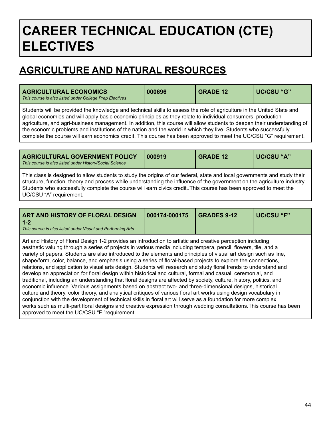## <span id="page-44-0"></span>**CAREER TECHNICAL EDUCATION (CTE) ELECTIVES**

## **AGRICULTURE AND NATURAL RESOURCES**

<span id="page-44-1"></span>

| <b>AGRICULTURAL ECONOMICS</b><br>This course is also listed under College Prep Electives                                                                                                                                                                                                                                                                                                                                                                                                                                                                                                                    | 000696 | <b>GRADE 12</b> | UC/CSU "G" |
|-------------------------------------------------------------------------------------------------------------------------------------------------------------------------------------------------------------------------------------------------------------------------------------------------------------------------------------------------------------------------------------------------------------------------------------------------------------------------------------------------------------------------------------------------------------------------------------------------------------|--------|-----------------|------------|
| Students will be provided the knowledge and technical skills to assess the role of agriculture in the United State and<br>global economies and will apply basic economic principles as they relate to individual consumers, production<br>agriculture, and agri-business management. In addition, this course will allow students to deepen their understanding of<br>the economic problems and institutions of the nation and the world in which they live. Students who successfully<br>complete the course will earn economics credit. This course has been approved to meet the UC/CSU "G" requirement. |        |                 |            |

<span id="page-44-3"></span>

| <b>AGRICULTURAL GOVERNMENT POLICY</b><br>This course is also listed under History/Social Science                                                                                                                                                                                                                                                                                                     | 000919 | <b>GRADE 12</b> | UC/CSU "A" |
|------------------------------------------------------------------------------------------------------------------------------------------------------------------------------------------------------------------------------------------------------------------------------------------------------------------------------------------------------------------------------------------------------|--------|-----------------|------------|
| This class is designed to allow students to study the origins of our federal, state and local governments and study their<br>structure, function, theory and process while understanding the influence of the government on the agriculture industry.<br>Students who successfully complete the course will earn civics credit. This course has been approved to meet the<br>UC/CSU "A" requirement. |        |                 |            |

<span id="page-44-2"></span>

| <b>ART AND HISTORY OF FLORAL DESIGN</b><br>UC/CSU "F"<br>$\big  000174 - 000175 \big $<br><b>GRADES 9-12</b><br>l 1-2<br>This course is also listed under Visual and Performing Arts |
|--------------------------------------------------------------------------------------------------------------------------------------------------------------------------------------|
|--------------------------------------------------------------------------------------------------------------------------------------------------------------------------------------|

Art and History of Floral Design 1-2 provides an introduction to artistic and creative perception including aesthetic valuing through a series of projects in various media including tempera, pencil, flowers, tile, and a variety of papers. Students are also introduced to the elements and principles of visual art design such as line, shape/form, color, balance, and emphasis using a series of floral-based projects to explore the connections, relations, and application to visual arts design. Students will research and study floral trends to understand and develop an appreciation for floral design within historical and cultural, formal and casual, ceremonial, and traditional, including an understanding that floral designs are affected by society, culture, history, politics, and economic influence. Various assignments based on abstract two- and three-dimensional designs, historical culture and theory, color theory, and analytical critiques of various floral art works using design vocabulary in conjunction with the development of technical skills in floral art will serve as a foundation for more complex works such as multi-part floral designs and creative expression through wedding consultations.This course has been approved to meet the UC/CSU "F "requirement.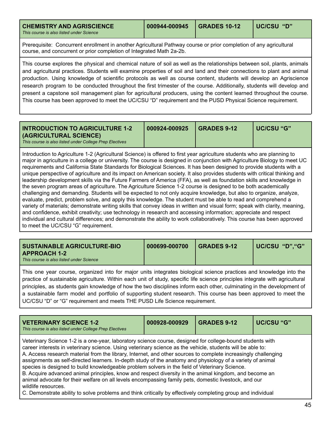<span id="page-45-0"></span>

| <b>CHEMISTRY AND AGRISCIENCE</b><br>This course is also listed under Science                                       | 000944-000945 GRADES 10-12 | UC/CSU "D" |
|--------------------------------------------------------------------------------------------------------------------|----------------------------|------------|
| Processibile: Concurrent oprollment in another Agricultural Pathway course or prior completion of any agricultural |                            |            |

Prerequisite: Concurrent enrollment in another Agricultural Pathway course or prior completion of any agricultural course, and concurrent or prior completion of Integrated Math 2a-2b.

This course explores the physical and chemical nature of soil as well as the relationships between soil, plants, animals and agricultural practices. Students will examine properties of soil and land and their connections to plant and animal production. Using knowledge of scientific protocols as well as course content, students will develop an Agriscience research program to be conducted throughout the first trimester of the course. Additionally, students will develop and present a capstone soil management plan for agricultural producers, using the content learned throughout the course. This course has been approved to meet the UC/CSU "D" requirement and the PUSD Physical Science requirement.

<span id="page-45-2"></span>

| <b>INTRODUCTION TO AGRICULTURE 1-2</b><br>(AGRICULTURAL SCIENCE)<br>This course is also listed under College Prep Electives | 000924-000925 | <b>GRADES 9-12</b> | ∣ UC/CSU "G" |
|-----------------------------------------------------------------------------------------------------------------------------|---------------|--------------------|--------------|
|                                                                                                                             |               |                    |              |

Introduction to Agriculture 1-2 (Agricultural Science) is offered to first year agriculture students who are planning to major in agriculture in a college or university. The course is designed in conjunction with Agriculture Biology to meet UC requirements and California State Standards for Biological Sciences. It has been designed to provide students with a unique perspective of agriculture and its impact on American society. It also provides students with critical thinking and leadership development skills via the Future Farmers of America (FFA), as well as foundation skills and knowledge in the seven program areas of agriculture. The Agriculture Science 1-2 course is designed to be both academically challenging and demanding. Students will be expected to not only acquire knowledge, but also to organize, analyze, evaluate, predict, problem solve, and apply this knowledge. The student must be able to read and comprehend a variety of materials; demonstrate writing skills that convey ideas in written and visual form; speak with clarity, meaning, and confidence, exhibit creativity; use technology in research and accessing information; appreciate and respect individual and cultural differences; and demonstrate the ability to work collaboratively. This course has been approved to meet the UC/CSU "G" requirement.

This one year course, organized into for major units integrates biological science practices and knowledge into the practice of sustainable agriculture. Within each unit of study, specific life science principles integrate with agricultural principles, as students gain knowledge of how the two disciplines inform each other, culminating in the development of a sustainable farm model and portfolio of supporting student research. This course has been approved to meet the UC/CSU "D" or "G" requirement and meets THE PUSD Life Science requirement.

<span id="page-45-1"></span>

| <b>VETERINARY SCIENCE 1-2</b><br>This course is also listed under College Prep Electives                                                                                                                                                                                                                                                                                                                                                                                                                                                                                                                                                                                                                                                                                                                                                                                                                            | 000928-000929 | <b>GRADES 9-12</b> | <b>UC/CSU "G"</b> |
|---------------------------------------------------------------------------------------------------------------------------------------------------------------------------------------------------------------------------------------------------------------------------------------------------------------------------------------------------------------------------------------------------------------------------------------------------------------------------------------------------------------------------------------------------------------------------------------------------------------------------------------------------------------------------------------------------------------------------------------------------------------------------------------------------------------------------------------------------------------------------------------------------------------------|---------------|--------------------|-------------------|
| Veterinary Science 1-2 is a one-year, laboratory science course, designed for college-bound students with<br>career interests in veterinary science. Using veterinary science as the vehicle, students will be able to:<br>A. Access research material from the library, Internet, and other sources to complete increasingly challenging<br>assignments as self-directed learners. In-depth study of the anatomy and physiology of a variety of animal<br>species is designed to build knowledgeable problem solvers in the field of Veterinary Science.<br>B. Acquire advanced animal principles, know and respect diversity in the animal kingdom, and become an<br>animal advocate for their welfare on all levels encompassing family pets, domestic livestock, and our<br>wildlife resources.<br>C. Demonstrate ability to solve problems and think critically by effectively completing group and individual |               |                    |                   |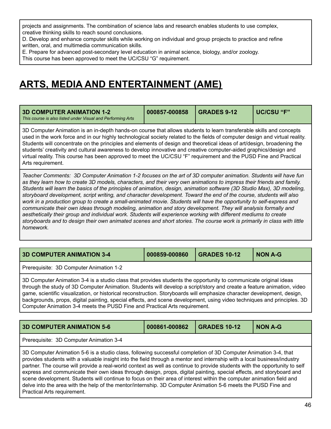projects and assignments. The combination of science labs and research enables students to use complex, creative thinking skills to reach sound conclusions.

D. Develop and enhance computer skills while working on individual and group projects to practice and refine written, oral, and multimedia communication skills.

E. Prepare for advanced post-secondary level education in animal science, biology, and/or zoology.

This course has been approved to meet the UC/CSU "G" requirement.

### **ARTS, MEDIA AND ENTERTAINMENT (AME)**

<span id="page-46-0"></span>

| <b>3D COMPUTER ANIMATION 1-2</b><br>This course is also listed under Visual and Performing Arts | 000857-000858 | GRADES 9-12 | <b>UC/CSU "F"</b> |
|-------------------------------------------------------------------------------------------------|---------------|-------------|-------------------|
|-------------------------------------------------------------------------------------------------|---------------|-------------|-------------------|

3D Computer Animation is an in-depth hands-on course that allows students to learn transferable skills and concepts used in the work force and in our highly technological society related to the fields of computer design and virtual reality. Students will concentrate on the principles and elements of design and theoretical ideas of art/design, broadening the students' creativity and cultural awareness to develop innovative and creative computer-aided graphics/design and virtual reality. This course has been approved to meet the UC/CSU "F" requirement and the PUSD Fine and Practical Arts requirement.

Teacher Comments: 3D Computer Animation 1-2 focuses on the art of 3D computer animation. Students will have fun as they learn how to create 3D models, characters, and their very own animations to impress their friends and family. Students will learn the basics of the principles of animation, design, animation software (3D Studio Max), 3D modeling, storyboard development, script writing, and character development. Toward the end of the course, students will also work in a production group to create a small-animated movie. Students will have the opportunity to self-express and *communicate their own ideas through modeling, animation and story development. They will analysis formally and aesthetically their group and individual work. Students will experience working with different mediums to create* storyboards and to design their own animated scenes and short stories. The course work is primarily in class with little *homework.*

<span id="page-46-1"></span>**3D COMPUTER ANIMATION 3-4 000859-000860 GRADES 10-12 NON A-G**

Prerequisite: 3D Computer Animation 1-2

3D Computer Animation 3-4 is a studio class that provides students the opportunity to communicate original ideas through the study of 3D Computer Animation. Students will develop a script/story and create a feature animation, video game, scientific visualization, or historical reconstruction. Storyboards will emphasize character development, design, backgrounds, props, digital painting, special effects, and scene development, using video techniques and principles. 3D Computer Animation 3-4 meets the PUSD Fine and Practical Arts requirement.

<span id="page-46-2"></span>

| <b>3D COMPUTER ANIMATION 5-6</b>                                                                                                                                                                                                                                                                                                                                                                                                                                                              | 000861-000862 | <b>GRADES 10-12</b> | <b>NON A-G</b> |
|-----------------------------------------------------------------------------------------------------------------------------------------------------------------------------------------------------------------------------------------------------------------------------------------------------------------------------------------------------------------------------------------------------------------------------------------------------------------------------------------------|---------------|---------------------|----------------|
| Prerequisite: 3D Computer Animation 3-4                                                                                                                                                                                                                                                                                                                                                                                                                                                       |               |                     |                |
| 3D Computer Animation 5-6 is a studio class, following successful completion of 3D Computer Animation 3-4, that<br>provides students with a valuable insight into the field through a mentor and internship with a local business/industry<br>partner. The course will provide a real-world context as well as continue to provide students with the opportunity to self<br>express and communicate their own ideas through design props digital painting special effects, and storyboard and |               |                     |                |

express and communicate their own ideas through design, props, digital painting, special effects, and storyboard and scene development. Students will continue to focus on their area of interest within the computer animation field and delve into the area with the help of the mentor/internship. 3D Computer Animation 5-6 meets the PUSD Fine and Practical Arts requirement.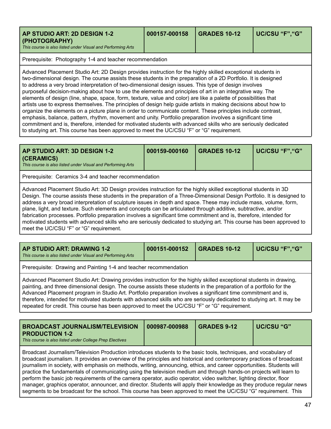<span id="page-47-0"></span>

| AP STUDIO ART: 2D DESIGN 1-2<br>(PHOTOGRAPHY)<br>This course is also listed under Visual and Performing Arts | 000157-000158 | <b>GRADES 10-12</b> | ∣ UC/CSU "F"."G" |
|--------------------------------------------------------------------------------------------------------------|---------------|---------------------|------------------|
| Prerequisite: Photography 1-4 and teacher recommendation                                                     |               |                     |                  |

Advanced Placement Studio Art: 2D Design provides instruction for the highly skilled exceptional students in two-dimensional design. The course assists these students in the preparation of a 2D Portfolio. It is designed to address a very broad interpretation of two-dimensional design issues. This type of design involves purposeful decision-making about how to use the elements and principles of art in an integrative way. The elements of design (line, shape, space, form, texture, value and color) are like a palette of possibilities that artists use to express themselves. The principles of design help guide artists in making decisions about how to organize the elements on a picture plane in order to communicate content. These principles include contrast, emphasis, balance, pattern, rhythm, movement and unity. Portfolio preparation involves a significant time commitment and is, therefore, intended for motivated students with advanced skills who are seriously dedicated to studying art. This course has been approved to meet the UC/CSU "F" or "G" requirement.

<span id="page-47-1"></span>

| AP STUDIO ART: 3D DESIGN 1-2<br><b>(CERAMICS)</b><br>This course is also listed under Visual and Performing Arts | 000159-000160 | <b>GRADES 10-12</b> | UC/CSU "F", "G" |
|------------------------------------------------------------------------------------------------------------------|---------------|---------------------|-----------------|
| Prerequisite: Ceramics 3-4 and teacher recommendation                                                            |               |                     |                 |

Advanced Placement Studio Art: 3D Design provides instruction for the highly skilled exceptional students in 3D Design. The course assists these students in the preparation of a Three-Dimensional Design Portfolio. It is designed to address a very broad interpretation of sculpture issues in depth and space. These may include mass, volume, form, plane, light, and texture. Such elements and concepts can be articulated through additive, subtractive, and/or fabrication processes. Portfolio preparation involves a significant time commitment and is, therefore, intended for motivated students with advanced skills who are seriously dedicated to studying art. This course has been approved to meet the UC/CSU "F" or "G" requirement.

<span id="page-47-2"></span>

| <b>AP STUDIO ART: DRAWING 1-2</b><br>This course is also listed under Visual and Performing Arts | 000151-000152 | <b>GRADES 10-12</b> | UC/CSU "F", "G" |
|--------------------------------------------------------------------------------------------------|---------------|---------------------|-----------------|
| Prerequisite: Drawing and Painting 1-4 and teacher recommendation                                |               |                     |                 |

Advanced Placement Studio Art: Drawing provides instruction for the highly skilled exceptional students in drawing, painting, and three dimensional design. The course assists these students in the preparation of a portfolio for the Advanced Placement program in Studio Art. Portfolio preparation involves a significant time commitment and is, therefore, intended for motivated students with advanced skills who are seriously dedicated to studying art. It may be repeated for credit. This course has been approved to meet the UC/CSU "F" or "G" requirement.

<span id="page-47-3"></span>

| <b>BROADCAST JOURNALISM/TELEVISION</b>                                           | $1000987 - 000988$ | <b>GRADES 9-12</b> | UC/CSU "G" |
|----------------------------------------------------------------------------------|--------------------|--------------------|------------|
| <b>PRODUCTION 1-2</b><br>This course is also listed under College Prep Electives |                    |                    |            |

Broadcast Journalism/Television Production introduces students to the basic tools, techniques, and vocabulary of broadcast journalism. It provides an overview of the principles and historical and contemporary practices of broadcast journalism in society, with emphasis on methods, writing, announcing, ethics, and career opportunities. Students will practice the fundamentals of communicating using the television medium and through hands-on projects will learn to perform the basic job requirements of the camera operator, audio operator, video switcher, lighting director, floor manager, graphics operator, announcer, and director. Students will apply their knowledge as they produce regular news segments to be broadcast for the school. This course has been approved to meet the UC/CSU "G" requirement. This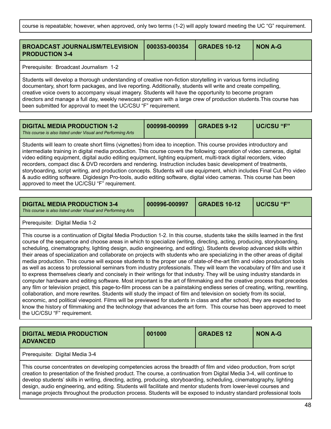course is repeatable; however, when approved, only two terms (1-2) will apply toward meeting the UC "G" requirement.

<span id="page-48-0"></span>

| <b>BROADCAST JOURNALISM/TELEVISION</b><br><b>PRODUCTION 3-4</b>                                                                                                                                                                                                                                                                                                                                                                                                                                                                     | 000353-000354 | <b>GRADES 10-12</b> | <b>NON A-G</b> |  |
|-------------------------------------------------------------------------------------------------------------------------------------------------------------------------------------------------------------------------------------------------------------------------------------------------------------------------------------------------------------------------------------------------------------------------------------------------------------------------------------------------------------------------------------|---------------|---------------------|----------------|--|
| Prerequisite: Broadcast Journalism 1-2                                                                                                                                                                                                                                                                                                                                                                                                                                                                                              |               |                     |                |  |
| Students will develop a thorough understanding of creative non-fiction storytelling in various forms including<br>documentary, short form packages, and live reporting. Additionally, students will write and create compelling,<br>creative voice overs to accompany visual imagery. Students will have the opportunity to become program<br>directors and manage a full day, weekly newscast program with a large crew of production students. This course has<br>been submitted for approval to meet the UC/CSU "F" requirement. |               |                     |                |  |

<span id="page-48-1"></span>

| <b>DIGITAL MEDIA PRODUCTION 1-2</b><br>This course is also listed under Visual and Performing Arts                    | 000998-000999 | $\overline{\phantom{0}}$ GRADES 9-12 | UC/CSU "F" |
|-----------------------------------------------------------------------------------------------------------------------|---------------|--------------------------------------|------------|
| l Students will learn to create short films (vignettes) from idea to incention. This course provides introductory and |               |                                      |            |

create short films (vignettes) from idea to inception. This course provides introductory and intermediate training in digital media production. This course covers the following: operation of video cameras, digital video editing equipment, digital audio editing equipment, lighting equipment, multi-track digital recorders, video recorders, compact disc & DVD recorders and rendering. Instruction includes basic development of treatments, storyboarding, script writing, and production concepts. Students will use equipment, which includes Final Cut Pro video & audio editing software. Digidesign Pro-tools, audio editing software, digital video cameras. This course has been approved to meet the UC/CSU "F" requirement.

<span id="page-48-2"></span>

| <b>DIGITAL MEDIA PRODUCTION 3-4</b><br>This course is also listed under Visual and Performing Arts | 000996-000997 | <b>GRADES 10-12</b> | UC/CSU "F" |
|----------------------------------------------------------------------------------------------------|---------------|---------------------|------------|
|                                                                                                    |               |                     |            |

Prerequisite: Digital Media 1-2

This course is a continuation of Digital Media Production 1-2. In this course, students take the skills learned in the first course of the sequence and choose areas in which to specialize (writing, directing, acting, producing, storyboarding, scheduling, cinematography, lighting design, audio engineering, and editing). Students develop advanced skills within their areas of specialization and collaborate on projects with students who are specializing in the other areas of digital media production. This course will expose students to the proper use of state-of-the-art film and video production tools as well as access to professional seminars from industry professionals. They will learn the vocabulary of film and use it to express themselves clearly and concisely in their writings for that industry. They will be using industry standards in computer hardware and editing software. Most important is the art of filmmaking and the creative process that precedes any film or television project, this page-to-film process can be a painstaking endless series of creating, writing, rewriting, collaboration, and more rewrites. Students will study the impact of film and television on society from its social, economic, and political viewpoint. Films will be previewed for students in class and after school, they are expected to know the history of filmmaking and the technology that advances the art form. This course has been approved to meet the UC/CSU "F" requirement.

<span id="page-48-3"></span>

| <b>DIGITAL MEDIA PRODUCTION</b><br><b>ADVANCED</b>                                                                                                                                                                                                                                                                                                                                                                                                                                                                                                                                                              | 001000 | <b>GRADES 12</b> | <b>NON A-G</b> |
|-----------------------------------------------------------------------------------------------------------------------------------------------------------------------------------------------------------------------------------------------------------------------------------------------------------------------------------------------------------------------------------------------------------------------------------------------------------------------------------------------------------------------------------------------------------------------------------------------------------------|--------|------------------|----------------|
| Prerequisite: Digital Media 3-4                                                                                                                                                                                                                                                                                                                                                                                                                                                                                                                                                                                 |        |                  |                |
| This course concentrates on developing competencies across the breadth of film and video production, from script<br>creation to presentation of the finished product. The course, a continuation from Digital Media 3-4, will continue to<br>develop students' skills in writing, directing, acting, producing, storyboarding, scheduling, cinematography, lighting<br>design, audio engineering, and editing. Students will facilitate and mentor students from lower-level courses and<br>manage projects throughout the production process. Students will be exposed to industry standard professional tools |        |                  |                |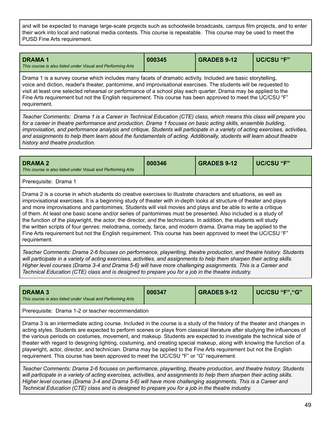and will be expected to manage large-scale projects such as schoolwide broadcasts, campus film projects, and to enter their work into local and national media contests. This course is repeatable. This course may be used to meet the PUSD Fine Arts requirement.

<span id="page-49-0"></span>

| <b>DRAMA1</b><br>This course is also listed under Visual and Performing Arts | 000345 | <b>GRADES 9-12</b> | UC/CSU "F" |
|------------------------------------------------------------------------------|--------|--------------------|------------|
|------------------------------------------------------------------------------|--------|--------------------|------------|

Drama 1 is a survey course which includes many facets of dramatic activity. Included are basic storytelling, voice and diction, reader's theater, pantomime, and improvisational exercises. The students will be requested to visit at least one selected rehearsal or performance of a school play each quarter. Drama may be applied to the Fine Arts requirement but not the English requirement. This course has been approved to meet the UC/CSU "F" requirement.

Teacher Comments: Drama 1 is a Career in Technical Education (CTE) class, which means this class will prepare you for a career in theatre performance and production. Drama 1 focuses on basic acting skills, ensemble building, improvisation, and performance analysis and critique. Students will participate in a variety of acting exercises, activities, and assignments to help them learn about the fundamentals of acting. Additionally, students will learn about theatre *history and theatre production.*

<span id="page-49-1"></span>

| <b>DRAMA 2</b><br>This course is also listed under Visual and Performing Arts | 000346 | <b>GRADES 9-12</b> | <b>UC/CSU "F"</b> |
|-------------------------------------------------------------------------------|--------|--------------------|-------------------|
| Indiana and alternative communication                                         |        |                    |                   |

Prerequisite: Drama 1

Drama 2 is a course in which students do creative exercises to illustrate characters and situations, as well as improvisational exercises. It is a beginning study of theater with in-depth looks at structure of theater and plays and more improvisations and pantomimes. Students will visit movies and plays and be able to write a critique of them. At least one basic scene and/or series of pantomimes must be presented. Also included is a study of the function of the playwright, the actor, the director, and the technicians. In addition, the students will study the written scripts of four genres: melodrama, comedy, farce, and modern drama. Drama may be applied to the Fine Arts requirement but not the English requirement. This course has been approved to meet the UC/CSU "F" requirement.

*Teacher Comments: Drama 2-6 focuses on performance, playwriting, theatre production, and theatre history. Students* will participate in a variety of acting exercises, activities, and assignments to help them sharpen their acting skills. Higher level courses (Drama 3-4 and Drama 5-6) will have more challenging assignments. This is a Career and *Technical Education (CTE) class and is designed to prepare you for a job in the theatre industry.*

<span id="page-49-2"></span>

| <b>DRAMA 3</b><br>This course is also listed under Visual and Performing Arts                                                                                                                                                                                                                                                                                                                                                                                                                                                                                                                                                                                                                                         | 000347 | <b>GRADES 9-12</b> | UC/CSU "F", "G" |  |  |
|-----------------------------------------------------------------------------------------------------------------------------------------------------------------------------------------------------------------------------------------------------------------------------------------------------------------------------------------------------------------------------------------------------------------------------------------------------------------------------------------------------------------------------------------------------------------------------------------------------------------------------------------------------------------------------------------------------------------------|--------|--------------------|-----------------|--|--|
| Prerequisite: Drama 1-2 or teacher recommendation                                                                                                                                                                                                                                                                                                                                                                                                                                                                                                                                                                                                                                                                     |        |                    |                 |  |  |
| Drama 3 is an intermediate acting course. Included in the course is a study of the history of the theater and changes in<br>acting styles. Students are expected to perform scenes or plays from classical literature after studying the influences of<br>the various periods on costumes, movement, and makeup. Students are expected to investigate the technical side of<br>theater with regard to designing lighting, costuming, and creating special makeup, along with knowing the function of a<br>playwright, actor, director, and technician. Drama may be applied to the Fine Arts requirement but not the English<br>requirement. This course has been approved to meet the UC/CSU "F" or "G" requirement. |        |                    |                 |  |  |
| Teacher Commente: Drama 2.6 focuses on performance, playwriting, theatre production, and theatre bistory, Students                                                                                                                                                                                                                                                                                                                                                                                                                                                                                                                                                                                                    |        |                    |                 |  |  |

*Teacher Comments: Drama 2-6 focuses on performance, playwriting, theatre production, and theatre history. Students* will participate in a variety of acting exercises, activities, and assignments to help them sharpen their acting skills. Higher level courses (Drama 3-4 and Drama 5-6) will have more challenging assignments. This is a Career and *Technical Education (CTE) class and is designed to prepare you for a job in the theatre industry.*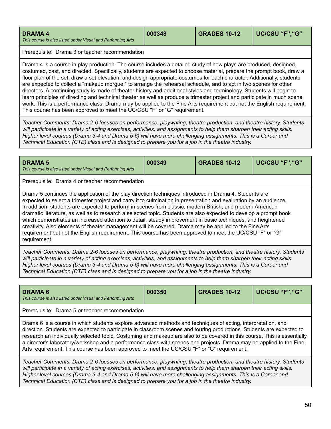<span id="page-50-0"></span>

| <b>DRAMA 4</b><br>This course is also listed under Visual and Performing Arts | 000348 | <b>GRADES 10-12</b> | UC/CSU "F", "G" |
|-------------------------------------------------------------------------------|--------|---------------------|-----------------|
|-------------------------------------------------------------------------------|--------|---------------------|-----------------|

Prerequisite: Drama 3 or teacher recommendation

Drama 4 is a course in play production. The course includes a detailed study of how plays are produced, designed, costumed, cast, and directed. Specifically, students are expected to choose material, prepare the prompt book, draw a floor plan of the set, draw a set elevation, and design appropriate costumes for each character. Additionally, students are expected to collect a "makeup morgue," to arrange the rehearsal schedule, and to act in two scenes for other directors. A continuing study is made of theater history and additional styles and terminology. Students will begin to learn principles of directing and technical theater as well as produce a trimester project and participate in much scene work. This is a performance class. Drama may be applied to the Fine Arts requirement but not the English requirement. This course has been approved to meet the UC/CSU "F" or "G" requirement.

*Teacher Comments: Drama 2-6 focuses on performance, playwriting, theatre production, and theatre history. Students* will participate in a variety of acting exercises, activities, and assignments to help them sharpen their acting skills. Higher level courses (Drama 3-4 and Drama 5-6) will have more challenging assignments. This is a Career and *Technical Education (CTE) class and is designed to prepare you for a job in the theatre industry.*

<span id="page-50-1"></span>

| <b>DRAMA 5</b><br>This course is also listed under Visual and Performing Arts                                                                                                                                                                                                                                                                                                                                                                                                                                                                                                                                                                                                                                                                                                                                      | 000349 | <b>GRADES 10-12</b> | UC/CSU "F", "G" |  |  |
|--------------------------------------------------------------------------------------------------------------------------------------------------------------------------------------------------------------------------------------------------------------------------------------------------------------------------------------------------------------------------------------------------------------------------------------------------------------------------------------------------------------------------------------------------------------------------------------------------------------------------------------------------------------------------------------------------------------------------------------------------------------------------------------------------------------------|--------|---------------------|-----------------|--|--|
| Prerequisite: Drama 4 or teacher recommendation                                                                                                                                                                                                                                                                                                                                                                                                                                                                                                                                                                                                                                                                                                                                                                    |        |                     |                 |  |  |
| Drama 5 continues the application of the play direction techniques introduced in Drama 4. Students are<br>expected to select a trimester project and carry it to culmination in presentation and evaluation by an audience.<br>In addition, students are expected to perform in scenes from classic, modern British, and modern American<br>dramatic literature, as well as to research a selected topic. Students are also expected to develop a prompt book<br>which demonstrates an increased attention to detail, steady improvement in basic techniques, and heightened<br>creativity. Also elements of theater management will be covered. Drama may be applied to the Fine Arts<br>requirement but not the English requirement. This course has been approved to meet the UC/CSU "F" or "G"<br>requirement. |        |                     |                 |  |  |

*Teacher Comments: Drama 2-6 focuses on performance, playwriting, theatre production, and theatre history. Students* will participate in a variety of acting exercises, activities, and assignments to help them sharpen their acting skills. Higher level courses (Drama 3-4 and Drama 5-6) will have more challenging assignments. This is a Career and *Technical Education (CTE) class and is designed to prepare you for a job in the theatre industry.*

| <b>DRAMA 6</b><br>This course is also listed under Visual and Performing Arts                                                                                                                                                                                                                                                                                                                                                                                                                                                                                                          | 000350 | <b>GRADES 10-12</b> | UC/CSU "F", "G" |  |  |
|----------------------------------------------------------------------------------------------------------------------------------------------------------------------------------------------------------------------------------------------------------------------------------------------------------------------------------------------------------------------------------------------------------------------------------------------------------------------------------------------------------------------------------------------------------------------------------------|--------|---------------------|-----------------|--|--|
| Prerequisite: Drama 5 or teacher recommendation                                                                                                                                                                                                                                                                                                                                                                                                                                                                                                                                        |        |                     |                 |  |  |
| Drama 6 is a course in which students explore advanced methods and techniques of acting, interpretation, and<br>direction. Students are expected to participate in classroom scenes and touring productions. Students are expected to<br>research an individually selected topic. Costuming and makeup are also to be covered in this course. This is essentially<br>a director's laboratory/workshop and a performance class with scenes and projects. Drama may be applied to the Fine<br>Arts requirement. This course has been approved to meet the UC/CSU "F" or "G" requirement. |        |                     |                 |  |  |
| Teacher Comments: Drama 2-6 focuses on performance, playwriting, theatre production, and theatre history. Students<br>will participate in a variety of acting exercises, activities, and assignments to belp them sharpen their acting skills                                                                                                                                                                                                                                                                                                                                          |        |                     |                 |  |  |

will participate in a variety of acting exercises, activities, and assignments to help them sharpen their acting skills. Higher level courses (Drama 3-4 and Drama 5-6) will have more challenging assignments. This is a Career and *Technical Education (CTE) class and is designed to prepare you for a job in the theatre industry.*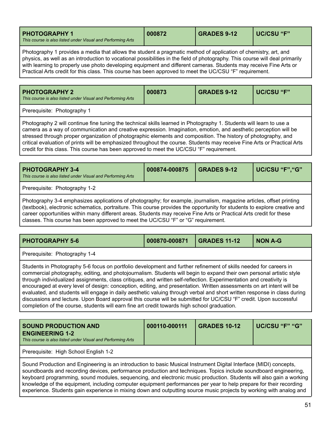<span id="page-51-0"></span>

| <b>PHOTOGRAPHY 1</b>                                        | 000872 | <b>GRADES 9-12</b> | UC/CSU "F" |
|-------------------------------------------------------------|--------|--------------------|------------|
| This course is also listed under Visual and Performing Arts |        |                    |            |

Photography 1 provides a media that allows the student a pragmatic method of application of chemistry, art, and physics, as well as an introduction to vocational possibilities in the field of photography. This course will deal primarily with learning to properly use photo developing equipment and different cameras. Students may receive Fine Arts or Practical Arts credit for this class. This course has been approved to meet the UC/CSU "F" requirement.

<span id="page-51-1"></span>

|  | <b>PHOTOGRAPHY 2</b><br>This course is also listed under Visual and Performing Arts | 000873 | <b>GRADES 9-12</b> | UC/CSU "F" |
|--|-------------------------------------------------------------------------------------|--------|--------------------|------------|
|--|-------------------------------------------------------------------------------------|--------|--------------------|------------|

Prerequisite: Photography 1

Photography 2 will continue fine tuning the technical skills learned in Photography 1. Students will learn to use a camera as a way of communication and creative expression. Imagination, emotion, and aesthetic perception will be stressed through proper organization of photographic elements and composition. The history of photography, and critical evaluation of prints will be emphasized throughout the course. Students may receive Fine Arts or Practical Arts credit for this class. This course has been approved to meet the UC/CSU "F" requirement.

<span id="page-51-2"></span>

| <b>PHOTOGRAPHY 3-4</b><br>This course is also listed under Visual and Performing Arts | 000874-000875 | <b>GRADES 9-12</b> | UC/CSU "F", "G" |
|---------------------------------------------------------------------------------------|---------------|--------------------|-----------------|
| Prerequisite: Photography 1-2                                                         |               |                    |                 |

Photography 3-4 emphasizes applications of photography; for example, journalism, magazine articles, offset printing (textbook), electronic schematics, portraiture. This course provides the opportunity for students to explore creative and career opportunities within many different areas. Students may receive Fine Arts or Practical Arts credit for these classes. This course has been approved to meet the UC/CSU "F" or "G" requirement.

<span id="page-51-3"></span>

| <b>PHOTOGRAPHY 5-6</b> |  |  | NON A-G |
|------------------------|--|--|---------|
|------------------------|--|--|---------|

Prerequisite: Photography 1-4

Students in Photography 5-6 focus on portfolio development and further refinement of skills needed for careers in commercial photography, editing, and photojournalism. Students will begin to expand their own personal artistic style through individualized assignments, class critiques, and written self-reflection. Experimentation and creativity is encouraged at every level of design: conception, editing, and presentation. Written assessments on art intent will be evaluated, and students will engage in daily aesthetic valuing through verbal and short written response in class during discussions and lecture. Upon Board approval this course will be submitted for UC/CSU "F" credit. Upon successful completion of the course, students will earn fine art credit towards high school graduation.

<span id="page-51-4"></span>

| <b>SOUND PRODUCTION AND</b><br><b>ENGINEERING 1-2</b><br>This course is also listed under Visual and Performing Arts | 000110-000111 | <b>GRADES 10-12</b> | l UC/CSU "F" "G" |
|----------------------------------------------------------------------------------------------------------------------|---------------|---------------------|------------------|
| Prerequisite: High School English 1-2                                                                                |               |                     |                  |

Sound Production and Engineering is an introduction to basic Musical Instrument Digital Interface (MIDI) concepts, soundboards and recording devices, performance production and techniques. Topics include soundboard engineering, keyboard programming, sound modules, sequencing, and electronic music production. Students will also gain a working knowledge of the equipment, including computer equipment performances per year to help prepare for their recording experience. Students gain experience in mixing down and outputting source music projects by working with analog and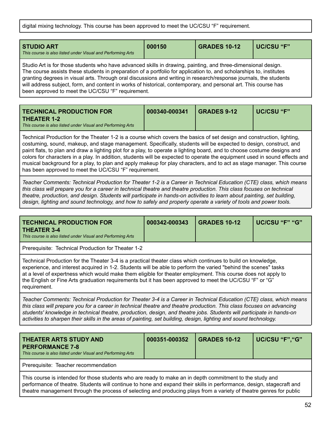digital mixing technology. This course has been approved to meet the UC/CSU "F" requirement.

| <b>STUDIO ART</b><br>This course is also listed under Visual and Performing Arts                                                                                                                                                     | 000150 | <b>GRADES 10-12</b> | UC/CSU "F" |  |
|--------------------------------------------------------------------------------------------------------------------------------------------------------------------------------------------------------------------------------------|--------|---------------------|------------|--|
| Studio Art is for those students who have advanced skills in drawing, painting, and three-dimensional design.<br>The course assists these students in preparation of a portfolio for application to, and scholarships to, institutes |        |                     |            |  |

The course assists these students in preparation of a portfolio for application to, and scholarships to, institutes granting degrees in visual arts. Through oral discussions and writing in research/response journals, the students will address subject, form, and content in works of historical, contemporary, and personal art. This course has been approved to meet the UC/CSU "F" requirement.

<span id="page-52-0"></span>

| <b>TECHNICAL PRODUCTION FOR</b><br>THEATER 1-2              | 000340-000341 | <b>GRADES 9-12</b> | ∣ UC/CSU "F" |
|-------------------------------------------------------------|---------------|--------------------|--------------|
| This course is also listed under Visual and Performing Arts |               |                    |              |

Technical Production for the Theater 1-2 is a course which covers the basics of set design and construction, lighting, costuming, sound, makeup, and stage management. Specifically, students will be expected to design, construct, and paint flats, to plan and draw a lighting plot for a play, to operate a lighting board, and to choose costume designs and colors for characters in a play. In addition, students will be expected to operate the equipment used in sound effects and musical background for a play, to plan and apply makeup for play characters, and to act as stage manager. This course has been approved to meet the UC/CSU "F" requirement.

Teacher Comments: Technical Production for Theater 1-2 is a Career in Technical Education (CTE) class, which means this class will prepare you for a career in technical theatre and theatre production. This class focuses on technical theatre, production, and design. Students will participate in hands-on activities to learn about painting, set building, design, lighting and sound technology, and how to safely and properly operate a variety of tools and power tools.

<span id="page-52-1"></span>

| <b>TECHNICAL PRODUCTION FOR</b><br><b>THEATER 3-4</b><br>This course is also listed under Visual and Performing Arts                                                                                                                                                                                                                                                                                                                                                                      | 000342-000343 | <b>GRADES 10-12</b> | UC/CSU "F" "G" |  |
|-------------------------------------------------------------------------------------------------------------------------------------------------------------------------------------------------------------------------------------------------------------------------------------------------------------------------------------------------------------------------------------------------------------------------------------------------------------------------------------------|---------------|---------------------|----------------|--|
| Prerequisite: Technical Production for Theater 1-2                                                                                                                                                                                                                                                                                                                                                                                                                                        |               |                     |                |  |
| Technical Production for the Theater 3-4 is a practical theater class which continues to build on knowledge,<br>experience, and interest acquired in 1-2. Students will be able to perform the varied "behind the scenes" tasks<br>at a level of expertness which would make them eligible for theater employment. This course does not apply to<br>the English or Fine Arts graduation requirements but it has been approved to meet the UC/CSU "F" or "G"<br>requirement.               |               |                     |                |  |
| Teacher Comments: Technical Production for Theater 3-4 is a Career in Technical Education (CTE) class, which means<br>this class will prepare you for a career in technical theatre and theatre production. This class focuses on advancing<br>students' knowledge in technical theatre, production, design, and theatre jobs. Students will participate in hands-on<br>activities to sharpen their skills in the areas of painting, set building, design, lighting and sound technology. |               |                     |                |  |

<span id="page-52-2"></span>

| THEATER ARTS STUDY AND<br><b>PERFORMANCE 7-8</b><br>This course is also listed under Visual and Performing Arts                                                                                                                                                                                                                                          | 000351-000352 | <b>GRADES 10-12</b> | UC/CSU "F", "G" |  |
|----------------------------------------------------------------------------------------------------------------------------------------------------------------------------------------------------------------------------------------------------------------------------------------------------------------------------------------------------------|---------------|---------------------|-----------------|--|
| Prerequisite: Teacher recommendation                                                                                                                                                                                                                                                                                                                     |               |                     |                 |  |
| This course is intended for those students who are ready to make an in depth commitment to the study and<br>performance of theatre. Students will continue to hone and expand their skills in performance, design, stagecraft and<br>theatre management through the process of selecting and producing plays from a variety of theatre genres for public |               |                     |                 |  |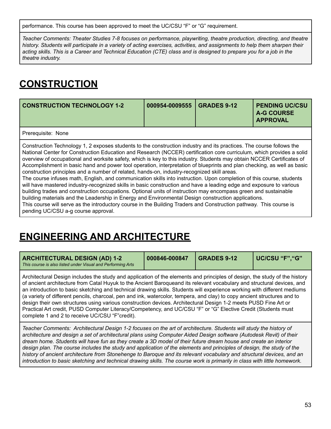performance. This course has been approved to meet the UC/CSU "F" or "G" requirement.

*Teacher Comments: Theater Studies 7-8 focuses on performance, playwriting, theatre production, directing, and theatre* history. Students will participate in a variety of acting exercises, activities, and assignments to help them sharpen their acting skills. This is a Career and Technical Education (CTE) class and is designed to prepare you for a job in the *theatre industry.*

## **CONSTRUCTION**

<span id="page-53-1"></span>

| <b>CONSTRUCTION TECHNOLOGY 1-2</b> | 000954-0009555   GRADES 9-12 | <b>PENDING UC/CSU</b><br><b>A-G COURSE</b><br><b>APPROVAL</b> |
|------------------------------------|------------------------------|---------------------------------------------------------------|
| Prerequisite: None                 |                              |                                                               |

Construction Technology 1, 2 exposes students to the construction industry and its practices. The course follows the National Center for Construction Education and Research (NCCER) certification core curriculum, which provides a solid overview of occupational and worksite safety, which is key to this industry. Students may obtain NCCER Certificates of Accomplishment in basic hand and power tool operation, interpretation of blueprints and plan checking, as well as basic construction principles and a number of related, hands-on, industry-recognized skill areas.

The course infuses math, English, and communication skills into instruction. Upon completion of this course, students will have mastered industry-recognized skills in basic construction and have a leading edge and exposure to various building trades and construction occupations. Optional units of instruction may encompass green and sustainable building materials and the Leadership in Energy and Environmental Design construction applications. This course will serve as the introductory course in the Building Traders and Construction pathway. This course is pending UC/CSU a-g course approval.

### **ENGINEERING AND ARCHITECTURE**

<span id="page-53-0"></span>

| <b>ARCHITECTURAL DESIGN (AD) 1-2</b><br>This course is also listed under Visual and Performing Arts                                                                                                                                                                                                                                                                                                                                                                                                                                                                                                                                                                                                                                                                                                | 000846-000847 | <b>GRADES 9-12</b> | UC/CSU "F", "G" |
|----------------------------------------------------------------------------------------------------------------------------------------------------------------------------------------------------------------------------------------------------------------------------------------------------------------------------------------------------------------------------------------------------------------------------------------------------------------------------------------------------------------------------------------------------------------------------------------------------------------------------------------------------------------------------------------------------------------------------------------------------------------------------------------------------|---------------|--------------------|-----------------|
| Architectural Design includes the study and application of the elements and principles of design, the study of the history<br>of ancient architecture from Catal Huyuk to the Ancient Baroqueand its relevant vocabulary and structural devices, and<br>an introduction to basic sketching and technical drawing skills. Students will experience working with different mediums<br>(a variety of different pencils, charcoal, pen and ink, watercolor, tempera, and clay) to copy ancient structures and to<br>design their own structures using various construction devices. Architectural Design 1-2 meets PUSD Fine Art or<br>Practical Art credit, PUSD Computer Literacy/Competency, and UC/CSU "F" or "G" Elective Credit (Students must<br>complete 1 and 2 to receive UC/CSU "F"credit). |               |                    |                 |

Teacher Comments: Architectural Design 1-2 focuses on the art of architecture. Students will study the history of architecture and design a set of architectural plans using Computer Aided Design software (Autodesk Revit) of their dream home. Students will have fun as they create a 3D model of their future dream house and create an interior design plan. The course includes the study and application of the elements and principles of design, the study of the history of ancient architecture from Stonehenge to Baroque and its relevant vocabulary and structural devices, and an introduction to basic sketching and technical drawing skills. The course work is primarily in class with little homework.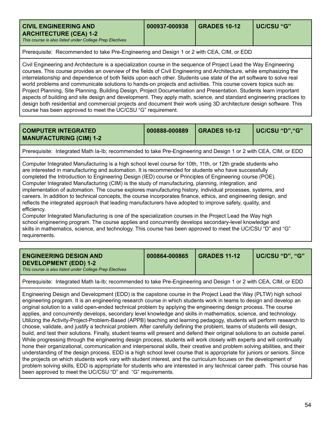<span id="page-54-0"></span>

| <b>CIVIL ENGINEERING AND</b>                            | 000937-000938 | GRADES 10-12 | UC/CSU "G" |
|---------------------------------------------------------|---------------|--------------|------------|
| <b>ARCHITECTURE (CEA) 1-2</b>                           |               |              |            |
| This course is also listed under College Prep Electives |               |              |            |

Prerequisite: Recommended to take Pre-Engineering and Design 1 or 2 with CEA, CIM, or EDD

Civil Engineering and Architecture is a specialization course in the sequence of Project Lead the Way Engineering courses. This course provides an overview of the fields of Civil Engineering and Architecture, while emphasizing the interrelationship and dependence of both fields upon each other. Students use state of the art software to solve real world problems and communicate solutions to hands-on projects and activities. This course covers topics such as: Project Planning, Site Planning, Building Design, Project Documentation and Presentation. Students learn important aspects of building and site design and development. They apply math, science, and standard engineering practices to design both residential and commercial projects and document their work using 3D architecture design software. This course has been approved to meet the UC/CSU "G" requirement.

<span id="page-54-1"></span>

| <b>COMPUTER INTEGRATED</b><br><b>MANUFACTURING (CIM) 1-2</b>                                                                                                                                                                                                                                                                                                                                                                                                                                                                                       | 000888-000889 | <b>GRADES 10-12</b> | UC/CSU "D", "G" |  |
|----------------------------------------------------------------------------------------------------------------------------------------------------------------------------------------------------------------------------------------------------------------------------------------------------------------------------------------------------------------------------------------------------------------------------------------------------------------------------------------------------------------------------------------------------|---------------|---------------------|-----------------|--|
| Prerequisite: Integrated Math Ia-Ib; recommended to take Pre-Engineering and Design 1 or 2 with CEA, CIM, or EDD                                                                                                                                                                                                                                                                                                                                                                                                                                   |               |                     |                 |  |
| Computer Integrated Manufacturing is a high school level course for 10th, 11th, or 12th grade students who<br>are interested in manufacturing and automation. It is recommended for students who have successfully<br>completed the Introduction to Engineering Design (IED) course or Principles of Engineering course (POE).<br>Computer Integrated Manufacturing (CIM) is the study of manufacturing, planning, integration, and<br>implementation of automation. The course explores manufacturing history, individual processes, systems, and |               |                     |                 |  |

careers. In addition to technical concepts, the course incorporates finance, ethics, and engineering design, and reflects the integrated approach that leading manufacturers have adopted to improve safety, quality, and efficiency.

Computer Integrated Manufacturing is one of the specialization courses in the Project Lead the Way high school engineering program. The course applies and concurrently develops secondary-level knowledge and skills in mathematics, science, and technology. This course has been approved to meet the UC/CSU "D" and "G" requirements.

<span id="page-54-2"></span>

|--|

Prerequisite: Integrated Math Ia-Ib; recommended to take Pre-Engineering and Design 1 or 2 with CEA, CIM, or EDD

Engineering Design and Development (EDD) is the capstone course in the Project Lead the Way (PLTW) high school engineering program. It is an engineering research course in which students work in teams to design and develop an original solution to a valid open-ended technical problem by applying the engineering design process. The course applies, and concurrently develops, secondary level knowledge and skills in mathematics, science, and technology. Utilizing the Activity-Project-Problem-Based (APPB) teaching and learning pedagogy, students will perform research to choose, validate, and justify a technical problem. After carefully defining the problem, teams of students will design, build, and test their solutions. Finally, student teams will present and defend their original solutions to an outside panel. While progressing through the engineering design process, students will work closely with experts and will continually hone their organizational, communication and interpersonal skills, their creative and problem solving abilities, and their understanding of the design process. EDD is a high school level course that is appropriate for juniors or seniors. Since the projects on which students work vary with student interest, and the curriculum focuses on the development of problem solving skills, EDD is appropriate for students who are interested in any technical career path. This course has been approved to meet the UC/CSU "D" and "G" requirements.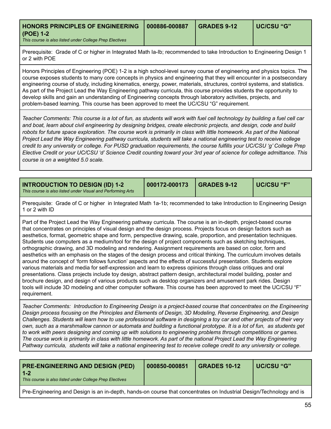| HONORS PRINCIPLES OF ENGINEERING   000886-000887        | <b>GRADES 9-12</b> | l UC/CSU "G" |
|---------------------------------------------------------|--------------------|--------------|
| (POE) 1-2                                               |                    |              |
| This course is also listed under College Prep Electives |                    |              |

Prerequisite: Grade of C or higher in Integrated Math Ia-Ib; recommended to take Introduction to Engineering Design 1 or 2 with POE

Honors Principles of Engineering (POE) 1-2 is a high school-level survey course of engineering and physics topics. The course exposes students to many core concepts in physics and engineering that they will encounter in a postsecondary engineering course of study, including kinematics, energy, power, materials, structures, control systems, and statistics. As part of the Project Lead the Way Engineering pathway curricula, this course provides students the opportunity to develop skills and gain an understanding of Engineering concepts through laboratory activities, projects, and problem-based learning. This course has been approved to meet the UC/CSU "G" requirement.

Teacher Comments: This course is a lot of fun, as students will work with fuel cell technology by building a fuel cell car and boat, learn about civil engineering by designing bridges, create electronic projects, and design, code and build robots for future space exploration. The course work is primarily in class with little homework. As part of the National Project Lead the Way Engineering pathway curricula, students will take a national engineering test to receive college credit to any university or college. For PUSD graduation requirements, the course fulfills your UC/CSU 'q' College Prep Elective Credit or vour UC/CSU 'd' Science Credit counting toward vour 3rd vear of science for college admittance. This *course is on a weighted 5.0 scale.*

<span id="page-55-0"></span>

| <b>INTRODUCTION TO DESIGN (ID) 1-2</b><br>This course is also listed under Visual and Performing Arts                                                                                                                                                                                                                                                                                                                                                                                                                                                                                                                                                                                                                                                                                                                                                                                                                                                                                                                                                                                                                                                                                                                                                                                                                             | 000172-000173 | <b>GRADES 9-12</b> | <b>UC/CSU "F"</b> |
|-----------------------------------------------------------------------------------------------------------------------------------------------------------------------------------------------------------------------------------------------------------------------------------------------------------------------------------------------------------------------------------------------------------------------------------------------------------------------------------------------------------------------------------------------------------------------------------------------------------------------------------------------------------------------------------------------------------------------------------------------------------------------------------------------------------------------------------------------------------------------------------------------------------------------------------------------------------------------------------------------------------------------------------------------------------------------------------------------------------------------------------------------------------------------------------------------------------------------------------------------------------------------------------------------------------------------------------|---------------|--------------------|-------------------|
| Prerequisite: Grade of C or higher in Integrated Math 1a-1b; recommended to take Introduction to Engineering Design<br>1 or 2 with ID                                                                                                                                                                                                                                                                                                                                                                                                                                                                                                                                                                                                                                                                                                                                                                                                                                                                                                                                                                                                                                                                                                                                                                                             |               |                    |                   |
| Part of the Project Lead the Way Engineering pathway curricula. The course is an in-depth, project-based course<br>that concentrates on principles of visual design and the design process. Projects focus on design factors such as<br>aesthetics, format, geometric shape and form, perspective drawing, scale, proportion, and presentation techniques.<br>Students use computers as a medium/tool for the design of project components such as sketching techniques,<br>orthographic drawing, and 3D modeling and rendering. Assignment requirements are based on color, form and<br>aesthetics with an emphasis on the stages of the design process and critical thinking. The curriculum involves details<br>around the concept of 'form follows function' aspects and the effects of successful presentation. Students explore<br>various materials and media for self-expression and learn to express opinions through class critiques and oral<br>presentations. Class projects include toy design, abstract pattern design, architectural model building, poster and<br>brochure design, and design of various products such as desktop organizers and amusement park rides. Design<br>tools will include 3D modeling and other computer software. This course has been approved to meet the UC/CSU "F"<br>requirement. |               |                    |                   |

*Teacher Comments: Introduction to Engineering Design is a project-based course that concentrates on the Engineering Design process focusing on the Principles and Elements of Design, 3D Modeling, Reverse Engineering, and Design* Challenges. Students will learn how to use professional software in designing a toy car and other projects of their very own, such as a marshmallow cannon or automata and building a functional prototype. It is a lot of fun, as students get to work with peers designing and coming up with solutions to engineering problems through competitions or games. The course work is primarily in class with little homework. As part of the national Project Lead the Way Engineering Pathway curricula, students will take a national engineering test to receive college credit to any university or college.

| <b>PRE-ENGINEERING AND DESIGN (PED)</b><br>$-1-2$<br>This course is also listed under College Prep Electives | 000850-000851 | GRADES 10-12 | UC/CSU "G" |
|--------------------------------------------------------------------------------------------------------------|---------------|--------------|------------|
|                                                                                                              |               |              |            |

Pre-Engineering and Design is an in-depth, hands-on course that concentrates on Industrial Design/Technology and is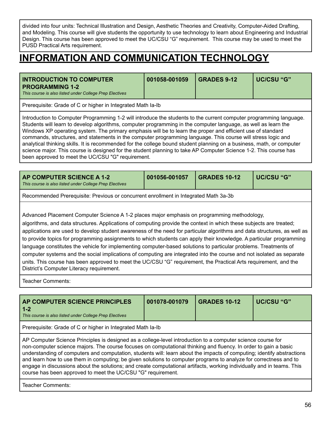divided into four units: Technical Illustration and Design, Aesthetic Theories and Creativity, Computer-Aided Drafting, and Modeling. This course will give students the opportunity to use technology to learn about Engineering and Industrial Design. This course has been approved to meet the UC/CSU "G" requirement. This course may be used to meet the PUSD Practical Arts requirement.

### **INFORMATION AND COMMUNICATION TECHNOLOGY**

<span id="page-56-2"></span>

| <b>INTRODUCTION TO COMPUTER</b><br><b>PROGRAMMING 1-2</b><br>This course is also listed under College Prep Electives | 001058-001059 | <b>GRADES 9-12</b> | UC/CSU "G" |
|----------------------------------------------------------------------------------------------------------------------|---------------|--------------------|------------|
| Prerequisite: Grade of C or higher in Integrated Math Ia-Ib                                                          |               |                    |            |

Introduction to Computer Programming 1-2 will introduce the students to the current computer programming language. Students will learn to develop algorithms, computer programming in the computer language, as well as learn the Windows XP operating system. The primary emphasis will be to learn the proper and efficient use of standard commands, structures, and statements in the computer programming language. This course will stress logic and analytical thinking skills. It is recommended for the college bound student planning on a business, math, or computer science major. This course is designed for the student planning to take AP Computer Science 1-2. This course has been approved to meet the UC/CSU "G" requirement.

<span id="page-56-0"></span>

| <b>AP COMPUTER SCIENCE A 1-2</b><br>This course is also listed under College Prep Electives | 001056-001057 | <b>GRADES 10-12</b> | UC/CSU "G" |
|---------------------------------------------------------------------------------------------|---------------|---------------------|------------|
|                                                                                             |               |                     |            |

Recommended Prerequisite: Previous or concurrent enrollment in Integrated Math 3a-3b

Advanced Placement Computer Science A 1-2 places major emphasis on programming methodology,

algorithms, and data structures. Applications of computing provide the context in which these subjects are treated; applications are used to develop student awareness of the need for particular algorithms and data structures, as well as to provide topics for programming assignments to which students can apply their knowledge. A particular programming language constitutes the vehicle for implementing computer-based solutions to particular problems. Treatments of computer systems and the social implications of computing are integrated into the course and not isolated as separate units. This course has been approved to meet the UC/CSU "G" requirement, the Practical Arts requirement, and the District's Computer Literacy requirement.

Teacher Comments:

<span id="page-56-1"></span>

| AP COMPUTER SCIENCE PRINCIPLES<br>$1 - 2$<br>This course is also listed under College Prep Electives                                                                                                                                                                                                                                                                                                                                                                                                                                                                                                                                                                    | 001078-001079 | <b>GRADES 10-12</b> | <b>UC/CSU "G"</b> |  |  |
|-------------------------------------------------------------------------------------------------------------------------------------------------------------------------------------------------------------------------------------------------------------------------------------------------------------------------------------------------------------------------------------------------------------------------------------------------------------------------------------------------------------------------------------------------------------------------------------------------------------------------------------------------------------------------|---------------|---------------------|-------------------|--|--|
| Prerequisite: Grade of C or higher in Integrated Math Ia-Ib                                                                                                                                                                                                                                                                                                                                                                                                                                                                                                                                                                                                             |               |                     |                   |  |  |
| AP Computer Science Principles is designed as a college-level introduction to a computer science course for<br>non-computer science majors. The course focuses on computational thinking and fluency. In order to gain a basic<br>understanding of computers and computation, students will: learn about the impacts of computing; identify abstractions<br>and learn how to use them in computing; be given solutions to computer programs to analyze for correctness and to<br>engage in discussions about the solutions; and create computational artifacts, working individually and in teams. This<br>course has been approved to meet the UC/CSU "G" requirement. |               |                     |                   |  |  |
|                                                                                                                                                                                                                                                                                                                                                                                                                                                                                                                                                                                                                                                                         |               |                     |                   |  |  |

Teacher Comments: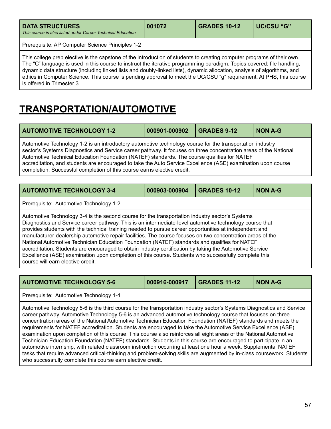| <b>DATA STRUCTURES</b><br>This course is also listed under Career Technical Education | 001072 | <b>GRADES 10-12</b> | UC/CSU "G" |
|---------------------------------------------------------------------------------------|--------|---------------------|------------|
| Prerequisite: AP Computer Science Principles 1-2                                      |        |                     |            |

This college prep elective is the capstone of the introduction of students to creating computer programs of their own. The "C" language is used in this course to instruct the iterative programming paradigm. Topics covered: file handling, dynamic data structure (including linked lists and doubly-linked lists), dynamic allocation, analysis of algorithms, and ethics in Computer Science. This course is pending approval to meet the UC/CSU "g" requirement. At PHS, this course is offered in Trimester 3.

## **TRANSPORTATION/AUTOMOTIVE**

<span id="page-57-0"></span>

| <b>AUTOMOTIVE TECHNOLOGY 1-2</b>                                                                                                                                                                                                                                                                                                                                                                                                                                                                                        | 000901-000902 | GRADES 9-12 | NON A-G |
|-------------------------------------------------------------------------------------------------------------------------------------------------------------------------------------------------------------------------------------------------------------------------------------------------------------------------------------------------------------------------------------------------------------------------------------------------------------------------------------------------------------------------|---------------|-------------|---------|
| Automotive Technology 1-2 is an introductory automotive technology course for the transportation industry<br>sector's Systems Diagnostics and Service career pathway. It focuses on three concentration areas of the National<br>Automotive Technical Education Foundation (NATEF) standards. The course qualifies for NATEF<br>accreditation, and students are encouraged to take the Auto Service Excellence (ASE) examination upon course<br>completion. Successful completion of this course earns elective credit. |               |             |         |

<span id="page-57-1"></span>

| <b>AUTOMOTIVE TECHNOLOGY 3-4</b>                                                                                                                                                                                                                                                                                                                                                                                                                                                                                                                                                                                                                                                                                                                                                             | 000903-000904 | <b>GRADES 10-12</b> | <b>NON A-G</b> |  |  |
|----------------------------------------------------------------------------------------------------------------------------------------------------------------------------------------------------------------------------------------------------------------------------------------------------------------------------------------------------------------------------------------------------------------------------------------------------------------------------------------------------------------------------------------------------------------------------------------------------------------------------------------------------------------------------------------------------------------------------------------------------------------------------------------------|---------------|---------------------|----------------|--|--|
| Prerequisite: Automotive Technology 1-2                                                                                                                                                                                                                                                                                                                                                                                                                                                                                                                                                                                                                                                                                                                                                      |               |                     |                |  |  |
| Automotive Technology 3-4 is the second course for the transportation industry sector's Systems<br>Diagnostics and Service career pathway. This is an intermediate-level automotive technology course that<br>provides students with the technical training needed to pursue career opportunities at independent and<br>manufacturer-dealership automotive repair facilities. The course focuses on two concentration areas of the<br>National Automotive Technician Education Foundation (NATEF) standards and qualifies for NATEF<br>accreditation. Students are encouraged to obtain industry certification by taking the Automotive Service<br>Excellence (ASE) examination upon completion of this course. Students who successfully complete this<br>course will earn elective credit. |               |                     |                |  |  |

<span id="page-57-2"></span>

| <b>AUTOMOTIVE TECHNOLOGY 5-6</b> | 000916-000917 | <b>GRADES 11-12</b> | <b>NON A-G</b> |
|----------------------------------|---------------|---------------------|----------------|
|                                  |               |                     |                |

Prerequisite: Automotive Technology 1-4

Automotive Technology 5-6 is the third course for the transportation industry sector's Systems Diagnostics and Service career pathway. Automotive Technology 5-6 is an advanced automotive technology course that focuses on three concentration areas of the National Automotive Technician Education Foundation (NATEF) standards and meets the requirements for NATEF accreditation. Students are encouraged to take the Automotive Service Excellence (ASE) examination upon completion of this course. This course also reinforces all eight areas of the National Automotive Technician Education Foundation (NATEF) standards. Students in this course are encouraged to participate in an automotive internship, with related classroom instruction occurring at least one hour a week. Supplemental NATEF tasks that require advanced critical-thinking and problem-solving skills are augmented by in-class coursework. Students who successfully complete this course earn elective credit.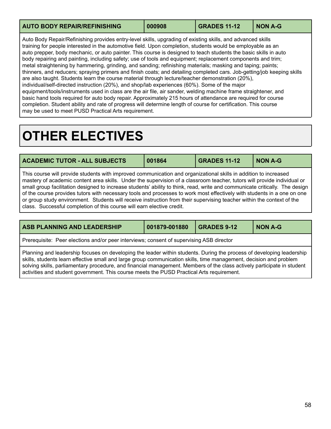<span id="page-58-3"></span>

| <b>AUTO BODY REPAIR/REFINISHING</b> | 000908 | <b>GRADES 11-12</b> | <b>NON A-G</b> |
|-------------------------------------|--------|---------------------|----------------|
|                                     |        |                     |                |

Auto Body Repair/Refinishing provides entry-level skills, upgrading of existing skills, and advanced skills training for people interested in the automotive field. Upon completion, students would be employable as an auto prepper, body mechanic, or auto painter. This course is designed to teach students the basic skills in auto body repairing and painting, including safety; use of tools and equipment; replacement components and trim; metal straightening by hammering, grinding, and sanding; refinishing materials; masking and taping; paints; thinners, and reducers; spraying primers and finish coats; and detailing completed cars. Job-getting/job keeping skills are also taught. Students learn the course material through lecture/teacher demonstration (20%), individual/self-directed instruction (20%), and shop/lab experiences (60%). Some of the major equipment/tools/instruments used in class are the air file, air sander, welding machine frame straightener, and basic hand tools required for auto body repair. Approximately 215 hours of attendance are required for course completion. Student ability and rate of progress will determine length of course for certification. This course may be used to meet PUSD Practical Arts requirement.

## <span id="page-58-0"></span>**OTHER ELECTIVES**

<span id="page-58-1"></span>

| <b>ACADEMIC TUTOR - ALL SUBJECTS</b>                                                                                                                                                                                                                                                                                                                                                                                                                                                                                                                                                                                                                                                                        | 001864 | <b>GRADES 11-12</b> | <b>NON A-G</b> |
|-------------------------------------------------------------------------------------------------------------------------------------------------------------------------------------------------------------------------------------------------------------------------------------------------------------------------------------------------------------------------------------------------------------------------------------------------------------------------------------------------------------------------------------------------------------------------------------------------------------------------------------------------------------------------------------------------------------|--------|---------------------|----------------|
| This course will provide students with improved communication and organizational skills in addition to increased<br>mastery of academic content area skills. Under the supervision of a classroom teacher, tutors will provide individual or<br>small group facilitation designed to increase students' ability to think, read, write and communicate critically. The design<br>of the course provides tutors with necessary tools and processes to work most effectively with students in a one on one<br>or group study environment. Students will receive instruction from their supervising teacher within the context of the<br>class. Successful completion of this course will earn elective credit. |        |                     |                |

<span id="page-58-2"></span>

| <b>ASB PLANNING AND LEADERSHIP</b>                                                                                                                                                                                                                                                                                                                                                                                                                                  | 001879-001880 | <b>GRADES 9-12</b> | <b>NON A-G</b> |  |
|---------------------------------------------------------------------------------------------------------------------------------------------------------------------------------------------------------------------------------------------------------------------------------------------------------------------------------------------------------------------------------------------------------------------------------------------------------------------|---------------|--------------------|----------------|--|
| Prerequisite: Peer elections and/or peer interviews; consent of supervising ASB director                                                                                                                                                                                                                                                                                                                                                                            |               |                    |                |  |
| Planning and leadership focuses on developing the leader within students. During the process of developing leadership<br>skills, students learn effective small and large group communication skills, time management, decision and problem<br>solving skills, parliamentary procedure, and financial management. Members of the class actively participate in student<br>activities and student government. This course meets the PUSD Practical Arts requirement. |               |                    |                |  |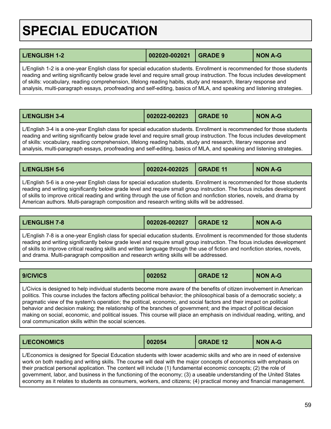# <span id="page-59-0"></span>**SPECIAL EDUCATION**

<span id="page-59-2"></span>

| <b>L/ENGLISH 1-2</b>                                                                                                                                                                                                                              | 002020-002021 GRADE 9 | <b>NON A-G</b> |
|---------------------------------------------------------------------------------------------------------------------------------------------------------------------------------------------------------------------------------------------------|-----------------------|----------------|
| L/English 1-2 is a one-year English class for special education students. Enrollment is recommended for those students<br>reading and writing significantly below grade level and require small group instruction. The focus includes development |                       |                |

of skills: vocabulary, reading comprehension, lifelong reading habits, study and research, literary response and analysis, multi-paragraph essays, proofreading and self-editing, basics of MLA, and speaking and listening strategies.

<span id="page-59-3"></span>

| L/ENGLISH 3-4 | $\big  002022 - 002023 \big $ | GRADE 10 | <b>NON A-G</b> |
|---------------|-------------------------------|----------|----------------|
|---------------|-------------------------------|----------|----------------|

L/English 3-4 is a one-year English class for special education students. Enrollment is recommended for those students reading and writing significantly below grade level and require small group instruction. The focus includes development of skills: vocabulary, reading comprehension, lifelong reading habits, study and research, literary response and analysis, multi-paragraph essays, proofreading and self-editing, basics of MLA, and speaking and listening strategies.

<span id="page-59-4"></span>

| <b>L/ENGLISH 5-6</b> | $\big  002024 - 002025 \big $ | GRADE 11 | <b>NON A-G</b> |
|----------------------|-------------------------------|----------|----------------|
|                      |                               |          |                |

L/English 5-6 is a one-year English class for special education students. Enrollment is recommended for those students reading and writing significantly below grade level and require small group instruction. The focus includes development of skills to improve critical reading and writing through the use of fiction and nonfiction stories, novels, and drama by American authors. Multi-paragraph composition and research writing skills will be addressed.

<span id="page-59-5"></span>

|  | L/ENGLISH 7-8 | 002026-002027 | GRADE 12 | <b>NON A-G</b> |
|--|---------------|---------------|----------|----------------|
|--|---------------|---------------|----------|----------------|

L/English 7-8 is a one-year English class for special education students. Enrollment is recommended for those students reading and writing significantly below grade level and require small group instruction. The focus includes development of skills to improve critical reading skills and written language through the use of fiction and nonfiction stories, novels, and drama. Multi-paragraph composition and research writing skills will be addressed.

<span id="page-59-1"></span>

| 9/CIVICS | 002052 | <b>GRADE 12</b> | <b>NON A-G</b> |
|----------|--------|-----------------|----------------|
|          |        |                 |                |

L/Civics is designed to help individual students become more aware of the benefits of citizen involvement in American politics. This course includes the factors affecting political behavior; the philosophical basis of a democratic society; a pragmatic view of the system's operation; the political, economic, and social factors and their impact on political behavior and decision making; the relationship of the branches of government; and the impact of political decision making on social, economic, and political issues. This course will place an emphasis on individual reading, writing, and oral communication skills within the social sciences.

<span id="page-59-6"></span>

| <b>L/ECONOMICS</b><br>002054<br><b>NON A-G</b><br><b>GRADE 12</b> |  |
|-------------------------------------------------------------------|--|
|-------------------------------------------------------------------|--|

L/Economics is designed for Special Education students with lower academic skills and who are in need of extensive work on both reading and writing skills. The course will deal with the major concepts of economics with emphasis on their practical personal application. The content will include (1) fundamental economic concepts; (2) the role of government, labor, and business in the functioning of the economy; (3) a useable understanding of the United States economy as it relates to students as consumers, workers, and citizens; (4) practical money and financial management.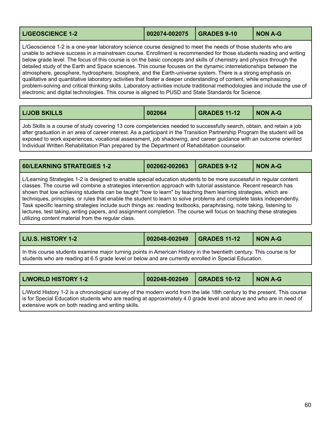<span id="page-60-0"></span>

| <b>L/GEOSCIENCE 1-2</b> |  | <b>NON A-G</b> |
|-------------------------|--|----------------|
|                         |  |                |

L/Geoscience 1-2 is a one-year laboratory science course designed to meet the needs of those students who are unable to achieve success in a mainstream course. Enrollment is recommended for those students reading and writing below grade level. The focus of this course is on the basic concepts and skills of chemistry and physics through the detailed study of the Earth and Space sciences. This course focuses on the dynamic interrelationships between the atmosphere, geosphere, hydrosphere, biosphere, and the Earth-universe system. There is a strong emphasis on qualitative and quantitative laboratory activities that foster a deeper understanding of content, while emphasizing problem-solving and critical thinking skills. Laboratory activities include traditional methodologies and include the use of electronic and digital technologies. This course is aligned to PUSD and State Standards for Science.

<span id="page-60-1"></span>

| <b>LIJOB SKILLS</b> | 002064 | <b>GRADES 11-12</b> | <b>NON A-G</b> |
|---------------------|--------|---------------------|----------------|
|                     |        |                     |                |

Job Skills is a course of study covering 13 core competencies needed to successfully search, obtain, and retain a job after graduation in an area of career interest. As a participant in the Transition Partnership Program the student will be exposed to work experiences, vocational assessment, job shadowing, and career guidance with an outcome oriented Individual Written Rehabilitation Plan prepared by the Department of Rehabilitation counselor.

<span id="page-60-2"></span>

| 002062-002063<br><b>60/LEARNING STRATEGIES 1-2</b><br><b>NON A-G</b><br><b>GRADES 9-12</b> |
|--------------------------------------------------------------------------------------------|
|--------------------------------------------------------------------------------------------|

L/Learning Strategies 1-2 is designed to enable special education students to be more successful in regular content classes. The course will combine a strategies intervention approach with tutorial assistance. Recent research has shown that low achieving students can be taught "how to learn" by teaching them learning strategies, which are techniques, principles, or rules that enable the student to learn to solve problems and complete tasks independently. Task specific learning strategies include such things as: reading textbooks, paraphrasing, note taking, listening to lectures, test taking, writing papers, and assignment completion. The course will focus on teaching these strategies utilizing content material from the regular class.

<span id="page-60-3"></span>

| <b>L/U.S. HISTORY 1-2</b><br>002048-002049<br>$\overline{\phantom{0}}$ GRADES 11-12<br><b>NON A-G</b> |
|-------------------------------------------------------------------------------------------------------|
|-------------------------------------------------------------------------------------------------------|

In this course students examine major turning points in American History in the twentieth century. This course is for students who are reading at 6.5 grade level or below and are currently enrolled in Special Education.

| <b>L/WORLD HISTORY 1-2</b>                                                                                               | 002048-002049   GRADES 10-12 |  | <b>NON A-G</b> |  |
|--------------------------------------------------------------------------------------------------------------------------|------------------------------|--|----------------|--|
| L Morld History 1-2 is a chronological survey of the modern world from the late 18th century to the present. This course |                              |  |                |  |

is a chronological survey of the modern world from the late 18th century to the present. This a is for Special Education students who are reading at approximately 4.0 grade level and above and who are in need of extensive work on both reading and writing skills.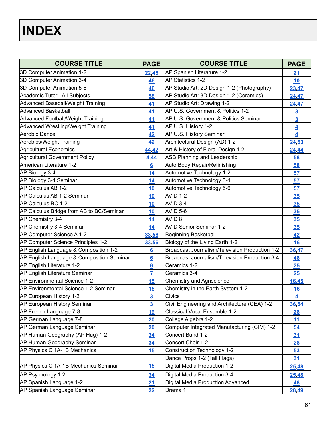<span id="page-61-0"></span>

| <b>COURSE TITLE</b>                       | <b>PAGE</b>         | <b>COURSE TITLE</b>                            | <b>PAGE</b>             |
|-------------------------------------------|---------------------|------------------------------------------------|-------------------------|
| 3D Computer Animation 1-2                 | 22,46               | AP Spanish Literature 1-2                      | 21                      |
| 3D Computer Animation 3-4                 | 46                  | AP Statistics 1-2                              | 10                      |
| 3D Computer Animation 5-6                 | 46                  | AP Studio Art: 2D Design 1-2 (Photography)     | 23,47                   |
| Academic Tutor - All Subjects             | 58                  | AP Studio Art: 3D Design 1-2 (Ceramics)        | <u>24,47</u>            |
| <b>Advanced Baseball/Weight Training</b>  | 41                  | AP Studio Art: Drawing 1-2                     | 24,47                   |
| Advanced Basketball                       | 41                  | AP U.S. Government & Politics 1-2              | $\overline{3}$          |
| <b>Advanced Football/Weight Training</b>  | 41                  | AP U.S. Government & Politics Seminar          | $\overline{3}$          |
| Advanced Wrestling/Weight Training        | 41                  | AP U.S. History 1-2                            | $\overline{4}$          |
| Aerobic Dance                             | 42                  | <b>AP U.S. History Seminar</b>                 | $\overline{\mathbf{4}}$ |
| Aerobics/Weight Training                  | 42                  | Architectural Design (AD) 1-2                  | 24,53                   |
| <b>Agricultural Economics</b>             | 44,42               | Art & History of Floral Design 1-2             | 24,44                   |
| <b>Agricultural Government Policy</b>     | 4.44                | <b>ASB Planning and Leadership</b>             | 58                      |
| American Literature 1-2                   | 6                   | Auto Body Repair/Refinishing                   | 58                      |
| AP Biology 3-4                            | 14                  | Automotive Technology 1-2                      | 57                      |
| AP Biology 3-4 Seminar                    | 14                  | Automotive Technology 3-4                      | 57                      |
| AP Calculus AB 1-2                        | <u>10</u>           | Automotive Technology 5-6                      | 57                      |
| AP Calculus AB 1-2 Seminar                | 10                  | AVID 1-2                                       | 35                      |
| AP Calculus BC 1-2                        | 10                  | AVID 3-4                                       | 35                      |
| AP Calculus Bridge from AB to BC/Seminar  | 10                  | AVID 5-6                                       | 35                      |
| AP Chemistry 3-4                          | <u>14</u>           | AVID <sub>8</sub>                              | 35                      |
| AP Chemistry 3-4 Seminar                  | 14                  | <b>AVID Senior Seminar 1-2</b>                 | 35                      |
| AP Computer Science A 1-2                 | 33,56               | Beginning Basketball                           | 42                      |
| AP Computer Science Principles 1-2        | <u>33,56</u>        | Biology of the Living Earth 1-2                | <b>16</b>               |
| AP English Language & Composition 1-2     | 6                   | Broadcast Journalism/Television Production 1-2 | 36,47                   |
| AP English Language & Composition Seminar | $6 \nightharpoonup$ | Broadcast Journalism/Television Production 3-4 | <b>48</b>               |
| AP English Literature 1-2                 | $6\phantom{1}$      | Ceramics 1-2                                   | 25                      |
| AP English Literature Seminar             | 7                   | Ceramics 3-4                                   | 25                      |
| AP Environmental Science 1-2              | 15                  | Chemistry and Agriscience                      | <u>16,45</u>            |
| AP Environmental Science 1-2 Seminar      | 15                  | Chemistry in the Earth System 1-2              | <b>16</b>               |
| AP European History 1-2                   | $\overline{3}$      | Civics                                         | $\overline{4}$          |
| AP European History Seminar               | <u>3</u>            | Civil Engineering and Architecture (CEA) 1-2   | <u>36,54</u>            |
| AP French Language 7-8                    | <u>19</u>           | Classical Vocal Ensemble 1-2                   | 28                      |
| AP German Language 7-8                    | 20                  | College Algebra 1-2                            | 11                      |
| AP German Language Seminar                | 20                  | Computer Integrated Manufacturing (CIM) 1-2    | 54                      |
| AP Human Geography (AP Hug) 1-2           | 34                  | Concert Band 1-2                               | 31                      |
| <b>AP Human Geography Seminar</b>         | 34                  | Concert Choir 1-2                              | <u>28</u>               |
| AP Physics C 1A-1B Mechanics              | 15                  | Construction Technology 1-2                    | 53                      |
|                                           |                     | Dance Props 1-2 (Tall Flags)                   | 31                      |
| AP Physics C 1A-1B Mechanics Seminar      | 15                  | Digital Media Production 1-2                   | 25,48                   |
| AP Psychology 1-2                         | 34                  | Digital Media Production 3-4                   | 25,48                   |
| AP Spanish Language 1-2                   | 21                  | Digital Media Production Advanced              | <u>48</u>               |
| AP Spanish Language Seminar               | 22                  | Drama 1                                        | 28,49                   |